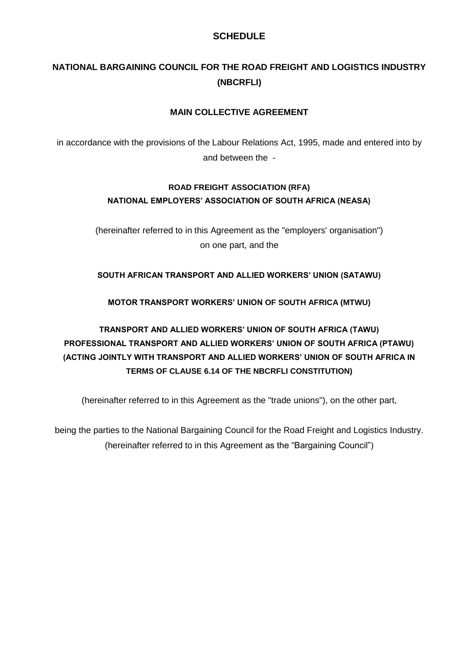# **SCHEDULE**

# **NATIONAL BARGAINING COUNCIL FOR THE ROAD FREIGHT AND LOGISTICS INDUSTRY (NBCRFLI)**

# **MAIN COLLECTIVE AGREEMENT**

in accordance with the provisions of the Labour Relations Act, 1995, made and entered into by and between the -

# **ROAD FREIGHT ASSOCIATION (RFA) NATIONAL EMPLOYERS' ASSOCIATION OF SOUTH AFRICA (NEASA)**

(hereinafter referred to in this Agreement as the "employers' organisation") on one part, and the

# **SOUTH AFRICAN TRANSPORT AND ALLIED WORKERS' UNION (SATAWU)**

**MOTOR TRANSPORT WORKERS' UNION OF SOUTH AFRICA (MTWU)**

# **TRANSPORT AND ALLIED WORKERS' UNION OF SOUTH AFRICA (TAWU) PROFESSIONAL TRANSPORT AND ALLIED WORKERS' UNION OF SOUTH AFRICA (PTAWU) (ACTING JOINTLY WITH TRANSPORT AND ALLIED WORKERS' UNION OF SOUTH AFRICA IN TERMS OF CLAUSE 6.14 OF THE NBCRFLI CONSTITUTION)**

(hereinafter referred to in this Agreement as the "trade unions"), on the other part,

being the parties to the National Bargaining Council for the Road Freight and Logistics Industry. (hereinafter referred to in this Agreement as the "Bargaining Council")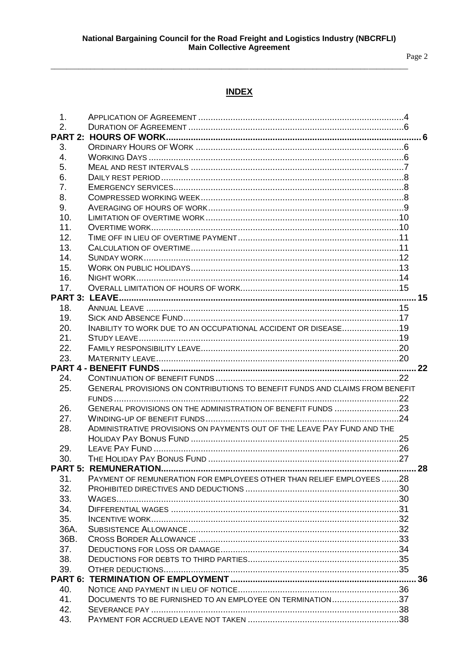Page 2

# **INDEX**

| 1 <sub>1</sub> |                                                                              |  |
|----------------|------------------------------------------------------------------------------|--|
| 2.             |                                                                              |  |
|                |                                                                              |  |
| 3.             |                                                                              |  |
| 4.             |                                                                              |  |
| 5.             |                                                                              |  |
| 6.             |                                                                              |  |
| 7.             |                                                                              |  |
| 8.             |                                                                              |  |
| 9.             |                                                                              |  |
| 10.            |                                                                              |  |
| 11.            |                                                                              |  |
| 12.            |                                                                              |  |
| 13.            |                                                                              |  |
| 14.            |                                                                              |  |
| 15.            |                                                                              |  |
| 16.            |                                                                              |  |
| 17.            |                                                                              |  |
|                |                                                                              |  |
| 18.            |                                                                              |  |
| 19.            |                                                                              |  |
| 20.            | INABILITY TO WORK DUE TO AN OCCUPATIONAL ACCIDENT OR DISEASE19               |  |
| 21.            |                                                                              |  |
| 22.            |                                                                              |  |
| 23.            |                                                                              |  |
|                |                                                                              |  |
|                |                                                                              |  |
| 24.            |                                                                              |  |
| 25.            | GENERAL PROVISIONS ON CONTRIBUTIONS TO BENEFIT FUNDS AND CLAIMS FROM BENEFIT |  |
|                |                                                                              |  |
| 26.            | GENERAL PROVISIONS ON THE ADMINISTRATION OF BENEFIT FUNDS 23                 |  |
| 27.            |                                                                              |  |
| 28.            | ADMINISTRATIVE PROVISIONS ON PAYMENTS OUT OF THE LEAVE PAY FUND AND THE      |  |
|                |                                                                              |  |
| 29.            |                                                                              |  |
| 30.            |                                                                              |  |
|                |                                                                              |  |
| 31.            | PAYMENT OF REMUNERATION FOR EMPLOYEES OTHER THAN RELIEF EMPLOYEES28          |  |
| 32.            |                                                                              |  |
| 33.            |                                                                              |  |
| 34.            |                                                                              |  |
| 35.            |                                                                              |  |
| 36A.           |                                                                              |  |
| 36B.           |                                                                              |  |
| 37.            |                                                                              |  |
| 38.            |                                                                              |  |
| 39.            |                                                                              |  |
|                |                                                                              |  |
| 40.            |                                                                              |  |
| 41.            | DOCUMENTS TO BE FURNISHED TO AN EMPLOYEE ON TERMINATION37                    |  |
| 42.<br>43.     |                                                                              |  |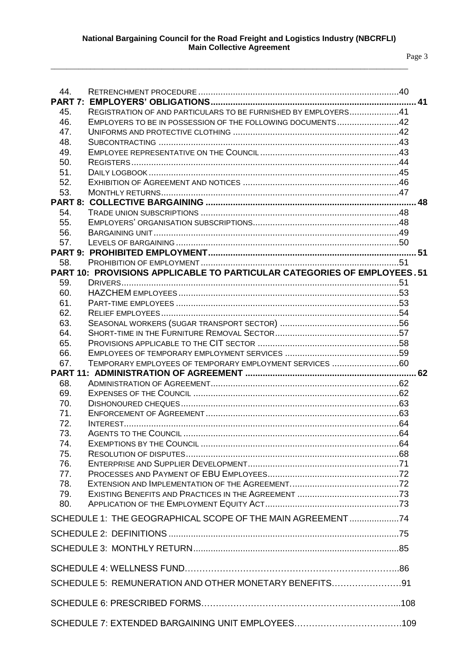| 44.        |                                                                         |  |
|------------|-------------------------------------------------------------------------|--|
|            |                                                                         |  |
| 45.        | REGISTRATION OF AND PARTICULARS TO BE FURNISHED BY EMPLOYERS41          |  |
| 46.        | EMPLOYERS TO BE IN POSSESSION OF THE FOLLOWING DOCUMENTS42              |  |
| 47.        |                                                                         |  |
| 48.        |                                                                         |  |
| 49.        |                                                                         |  |
| 50.        |                                                                         |  |
| 51.<br>52. |                                                                         |  |
| 53.        |                                                                         |  |
|            |                                                                         |  |
| 54.        |                                                                         |  |
| 55.        |                                                                         |  |
| 56.        |                                                                         |  |
| 57.        |                                                                         |  |
|            |                                                                         |  |
| 58.        |                                                                         |  |
|            | PART 10: PROVISIONS APPLICABLE TO PARTICULAR CATEGORIES OF EMPLOYEES.51 |  |
| 59.        |                                                                         |  |
| 60.        |                                                                         |  |
| 61.        |                                                                         |  |
| 62.        |                                                                         |  |
| 63.        |                                                                         |  |
| 64.        |                                                                         |  |
| 65.        |                                                                         |  |
| 66.        |                                                                         |  |
| 67.        | TEMPORARY EMPLOYEES OF TEMPORARY EMPLOYMENT SERVICES 60                 |  |
|            |                                                                         |  |
| 68.        |                                                                         |  |
| 69.        |                                                                         |  |
| 70.<br>71. |                                                                         |  |
| 72.        |                                                                         |  |
| 73.        |                                                                         |  |
| 74.        |                                                                         |  |
| 75.        |                                                                         |  |
| 76.        |                                                                         |  |
| 77.        |                                                                         |  |
| 78.        |                                                                         |  |
| 79.        |                                                                         |  |
| 80.        |                                                                         |  |
|            | SCHEDULE 1: THE GEOGRAPHICAL SCOPE OF THE MAIN AGREEMENT 74             |  |
|            |                                                                         |  |
|            |                                                                         |  |
|            |                                                                         |  |
|            |                                                                         |  |
|            | SCHEDULE 5: REMUNERATION AND OTHER MONETARY BENEFITS91                  |  |
|            |                                                                         |  |
|            |                                                                         |  |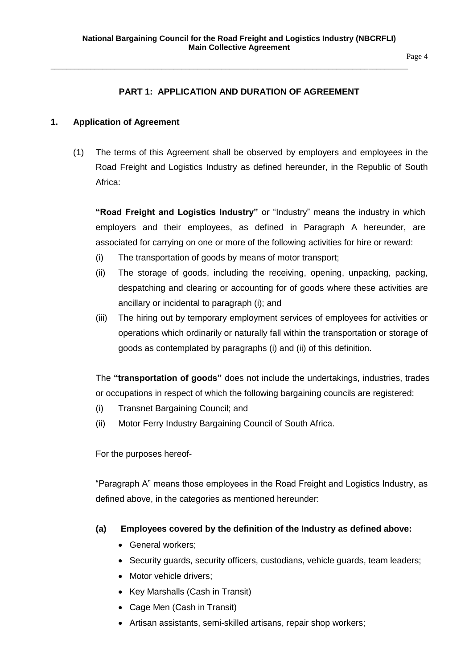Page 4

# **PART 1: APPLICATION AND DURATION OF AGREEMENT**

\_\_\_\_\_\_\_\_\_\_\_\_\_\_\_\_\_\_\_\_\_\_\_\_\_\_\_\_\_\_\_\_\_\_\_\_\_\_\_\_\_\_\_\_\_\_\_\_\_\_\_\_\_\_\_\_\_\_\_\_\_\_\_\_\_\_\_\_\_\_\_\_\_\_\_\_\_\_\_\_\_\_\_\_\_\_\_\_\_\_

### <span id="page-3-0"></span>**1. Application of Agreement**

(1) The terms of this Agreement shall be observed by employers and employees in the Road Freight and Logistics Industry as defined hereunder, in the Republic of South Africa:

**"Road Freight and Logistics Industry"** or "Industry" means the industry in which employers and their employees, as defined in Paragraph A hereunder, are associated for carrying on one or more of the following activities for hire or reward:

- (i) The transportation of goods by means of motor transport;
- (ii) The storage of goods, including the receiving, opening, unpacking, packing, despatching and clearing or accounting for of goods where these activities are ancillary or incidental to paragraph (i); and
- (iii) The hiring out by temporary employment services of employees for activities or operations which ordinarily or naturally fall within the transportation or storage of goods as contemplated by paragraphs (i) and (ii) of this definition.

The **"transportation of goods"** does not include the undertakings, industries, trades or occupations in respect of which the following bargaining councils are registered:

- (i) Transnet Bargaining Council; and
- (ii) Motor Ferry Industry Bargaining Council of South Africa.

For the purposes hereof-

"Paragraph A" means those employees in the Road Freight and Logistics Industry, as defined above, in the categories as mentioned hereunder:

#### **(a) Employees covered by the definition of the Industry as defined above:**

- General workers;
- Security guards, security officers, custodians, vehicle guards, team leaders;
- Motor vehicle drivers;
- Key Marshalls (Cash in Transit)
- Cage Men (Cash in Transit)
- Artisan assistants, semi-skilled artisans, repair shop workers;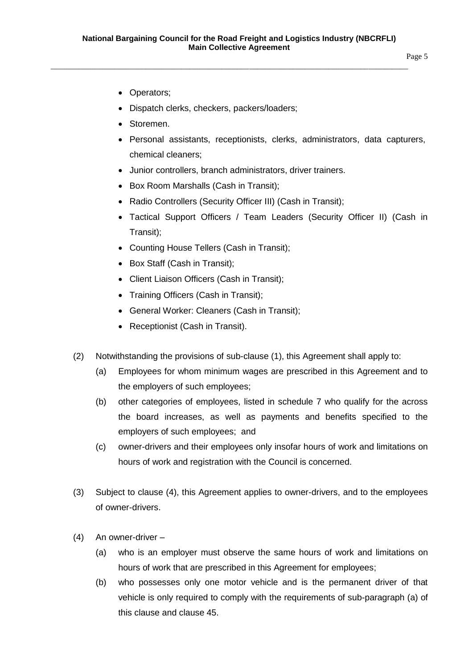Page 5

- Operators;
- Dispatch clerks, checkers, packers/loaders;
- Storemen.
- Personal assistants, receptionists, clerks, administrators, data capturers, chemical cleaners;
- Junior controllers, branch administrators, driver trainers.
- Box Room Marshalls (Cash in Transit);
- Radio Controllers (Security Officer III) (Cash in Transit);
- Tactical Support Officers / Team Leaders (Security Officer II) (Cash in Transit);
- Counting House Tellers (Cash in Transit);
- Box Staff (Cash in Transit);
- Client Liaison Officers (Cash in Transit);
- Training Officers (Cash in Transit);
- General Worker: Cleaners (Cash in Transit);
- Receptionist (Cash in Transit).
- (2) Notwithstanding the provisions of sub-clause (1), this Agreement shall apply to:
	- (a) Employees for whom minimum wages are prescribed in this Agreement and to the employers of such employees;
	- (b) other categories of employees, listed in schedule 7 who qualify for the across the board increases, as well as payments and benefits specified to the employers of such employees; and
	- (c) owner-drivers and their employees only insofar hours of work and limitations on hours of work and registration with the Council is concerned.
- (3) Subject to clause (4), this Agreement applies to owner-drivers, and to the employees of owner-drivers.
- (4) An owner-driver
	- (a) who is an employer must observe the same hours of work and limitations on hours of work that are prescribed in this Agreement for employees;
	- (b) who possesses only one motor vehicle and is the permanent driver of that vehicle is only required to comply with the requirements of sub-paragraph (a) of this clause and clause 45.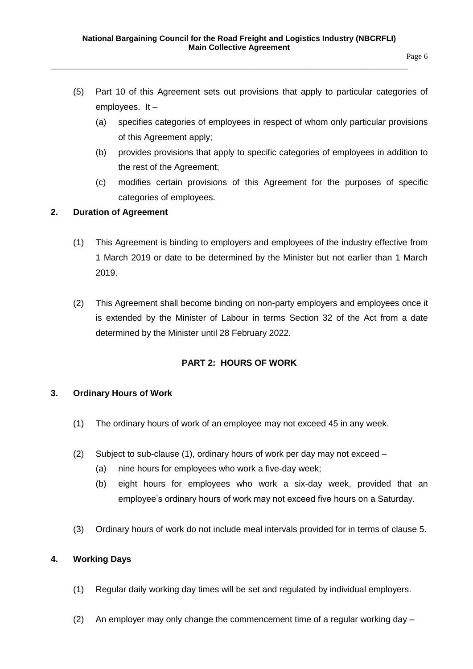- (5) Part 10 of this Agreement sets out provisions that apply to particular categories of employees. It –
	- (a) specifies categories of employees in respect of whom only particular provisions of this Agreement apply;
	- (b) provides provisions that apply to specific categories of employees in addition to the rest of the Agreement;
	- (c) modifies certain provisions of this Agreement for the purposes of specific categories of employees.

# <span id="page-5-0"></span>**2. Duration of Agreement**

- (1) This Agreement is binding to employers and employees of the industry effective from 1 March 2019 or date to be determined by the Minister but not earlier than 1 March 2019.
- (2) This Agreement shall become binding on non-party employers and employees once it is extended by the Minister of Labour in terms Section 32 of the Act from a date determined by the Minister until 28 February 2022.

# **PART 2: HOURS OF WORK**

# <span id="page-5-2"></span><span id="page-5-1"></span>**3. Ordinary Hours of Work**

- (1) The ordinary hours of work of an employee may not exceed 45 in any week.
- (2) Subject to sub-clause (1), ordinary hours of work per day may not exceed
	- (a) nine hours for employees who work a five-day week;
	- (b) eight hours for employees who work a six-day week, provided that an employee's ordinary hours of work may not exceed five hours on a Saturday.
- (3) Ordinary hours of work do not include meal intervals provided for in terms of clause 5.

# <span id="page-5-3"></span>**4. Working Days**

- (1) Regular daily working day times will be set and regulated by individual employers.
- (2) An employer may only change the commencement time of a regular working day  $-$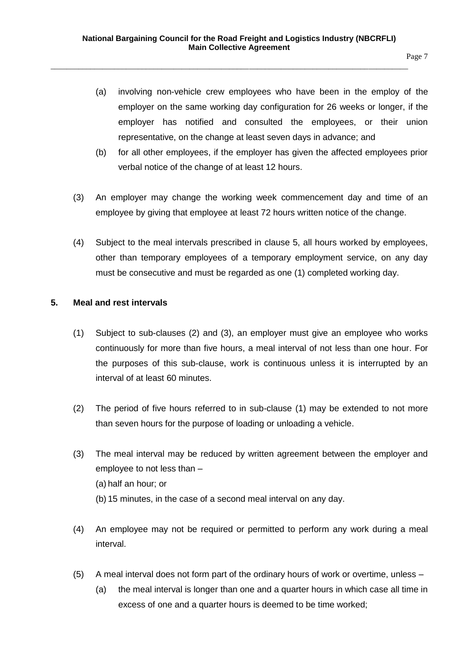- (a) involving non-vehicle crew employees who have been in the employ of the employer on the same working day configuration for 26 weeks or longer, if the employer has notified and consulted the employees, or their union representative, on the change at least seven days in advance; and
- (b) for all other employees, if the employer has given the affected employees prior verbal notice of the change of at least 12 hours.
- (3) An employer may change the working week commencement day and time of an employee by giving that employee at least 72 hours written notice of the change.
- (4) Subject to the meal intervals prescribed in clause 5, all hours worked by employees, other than temporary employees of a temporary employment service, on any day must be consecutive and must be regarded as one (1) completed working day.

# <span id="page-6-0"></span>**5. Meal and rest intervals**

- (1) Subject to sub-clauses (2) and (3), an employer must give an employee who works continuously for more than five hours, a meal interval of not less than one hour. For the purposes of this sub-clause, work is continuous unless it is interrupted by an interval of at least 60 minutes.
- (2) The period of five hours referred to in sub-clause (1) may be extended to not more than seven hours for the purpose of loading or unloading a vehicle.
- (3) The meal interval may be reduced by written agreement between the employer and employee to not less than – (a) half an hour; or (b) 15 minutes, in the case of a second meal interval on any day.
- (4) An employee may not be required or permitted to perform any work during a meal interval.
- (5) A meal interval does not form part of the ordinary hours of work or overtime, unless
	- (a) the meal interval is longer than one and a quarter hours in which case all time in excess of one and a quarter hours is deemed to be time worked;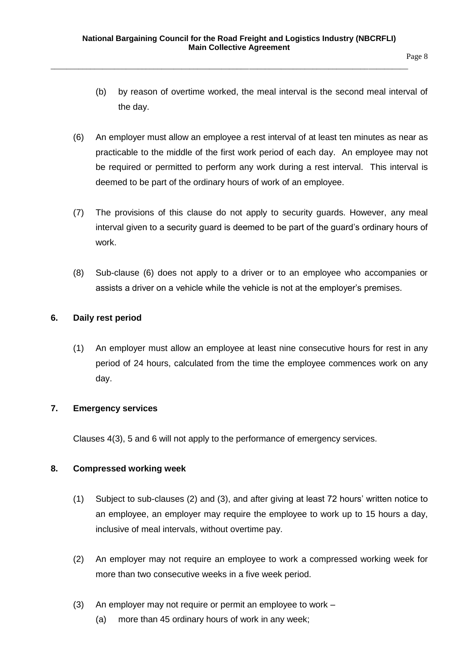- (b) by reason of overtime worked, the meal interval is the second meal interval of the day.
- (6) An employer must allow an employee a rest interval of at least ten minutes as near as practicable to the middle of the first work period of each day. An employee may not be required or permitted to perform any work during a rest interval. This interval is deemed to be part of the ordinary hours of work of an employee.
- (7) The provisions of this clause do not apply to security guards. However, any meal interval given to a security guard is deemed to be part of the guard's ordinary hours of work.
- (8) Sub-clause (6) does not apply to a driver or to an employee who accompanies or assists a driver on a vehicle while the vehicle is not at the employer's premises.

# <span id="page-7-0"></span>**6. Daily rest period**

(1) An employer must allow an employee at least nine consecutive hours for rest in any period of 24 hours, calculated from the time the employee commences work on any day.

# <span id="page-7-1"></span>**7. Emergency services**

Clauses 4(3), 5 and 6 will not apply to the performance of emergency services.

# <span id="page-7-2"></span>**8. Compressed working week**

- (1) Subject to sub-clauses (2) and (3), and after giving at least 72 hours' written notice to an employee, an employer may require the employee to work up to 15 hours a day, inclusive of meal intervals, without overtime pay.
- (2) An employer may not require an employee to work a compressed working week for more than two consecutive weeks in a five week period.
- (3) An employer may not require or permit an employee to work
	- (a) more than 45 ordinary hours of work in any week;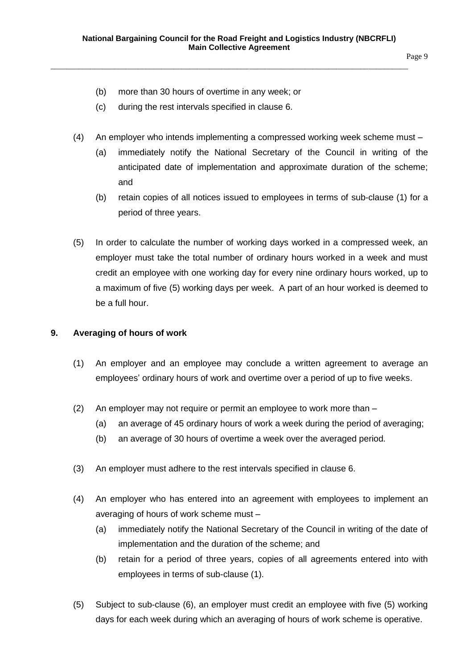- (b) more than 30 hours of overtime in any week; or
- (c) during the rest intervals specified in clause 6.
- (4) An employer who intends implementing a compressed working week scheme must
	- (a) immediately notify the National Secretary of the Council in writing of the anticipated date of implementation and approximate duration of the scheme; and
	- (b) retain copies of all notices issued to employees in terms of sub-clause (1) for a period of three years.
- (5) In order to calculate the number of working days worked in a compressed week, an employer must take the total number of ordinary hours worked in a week and must credit an employee with one working day for every nine ordinary hours worked, up to a maximum of five (5) working days per week. A part of an hour worked is deemed to be a full hour.

# <span id="page-8-0"></span>**9. Averaging of hours of work**

- (1) An employer and an employee may conclude a written agreement to average an employees' ordinary hours of work and overtime over a period of up to five weeks.
- (2) An employer may not require or permit an employee to work more than
	- (a) an average of 45 ordinary hours of work a week during the period of averaging;
	- (b) an average of 30 hours of overtime a week over the averaged period.
- (3) An employer must adhere to the rest intervals specified in clause 6.
- (4) An employer who has entered into an agreement with employees to implement an averaging of hours of work scheme must –
	- (a) immediately notify the National Secretary of the Council in writing of the date of implementation and the duration of the scheme; and
	- (b) retain for a period of three years, copies of all agreements entered into with employees in terms of sub-clause (1).
- (5) Subject to sub-clause (6), an employer must credit an employee with five (5) working days for each week during which an averaging of hours of work scheme is operative.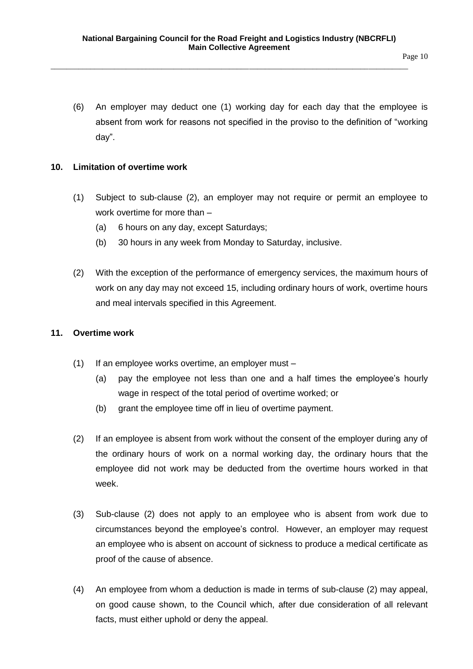(6) An employer may deduct one (1) working day for each day that the employee is absent from work for reasons not specified in the proviso to the definition of "working day".

#### <span id="page-9-0"></span>**10. Limitation of overtime work**

- (1) Subject to sub-clause (2), an employer may not require or permit an employee to work overtime for more than –
	- (a) 6 hours on any day, except Saturdays;
	- (b) 30 hours in any week from Monday to Saturday, inclusive.
- (2) With the exception of the performance of emergency services, the maximum hours of work on any day may not exceed 15, including ordinary hours of work, overtime hours and meal intervals specified in this Agreement.

#### <span id="page-9-1"></span>**11. Overtime work**

- (1) If an employee works overtime, an employer must
	- (a) pay the employee not less than one and a half times the employee's hourly wage in respect of the total period of overtime worked; or
	- (b) grant the employee time off in lieu of overtime payment.
- (2) If an employee is absent from work without the consent of the employer during any of the ordinary hours of work on a normal working day, the ordinary hours that the employee did not work may be deducted from the overtime hours worked in that week.
- (3) Sub-clause (2) does not apply to an employee who is absent from work due to circumstances beyond the employee's control. However, an employer may request an employee who is absent on account of sickness to produce a medical certificate as proof of the cause of absence.
- (4) An employee from whom a deduction is made in terms of sub-clause (2) may appeal, on good cause shown, to the Council which, after due consideration of all relevant facts, must either uphold or deny the appeal.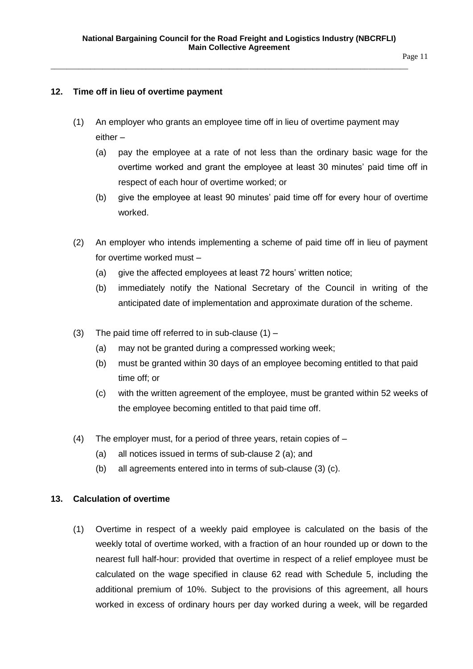### <span id="page-10-0"></span>**12. Time off in lieu of overtime payment**

- (1) An employer who grants an employee time off in lieu of overtime payment may either –
	- (a) pay the employee at a rate of not less than the ordinary basic wage for the overtime worked and grant the employee at least 30 minutes' paid time off in respect of each hour of overtime worked; or
	- (b) give the employee at least 90 minutes' paid time off for every hour of overtime worked.
- (2) An employer who intends implementing a scheme of paid time off in lieu of payment for overtime worked must –
	- (a) give the affected employees at least 72 hours' written notice;
	- (b) immediately notify the National Secretary of the Council in writing of the anticipated date of implementation and approximate duration of the scheme.
- (3) The paid time off referred to in sub-clause  $(1)$ 
	- (a) may not be granted during a compressed working week;
	- (b) must be granted within 30 days of an employee becoming entitled to that paid time off; or
	- (c) with the written agreement of the employee, must be granted within 52 weeks of the employee becoming entitled to that paid time off.
- (4) The employer must, for a period of three years, retain copies of
	- (a) all notices issued in terms of sub-clause 2 (a); and
	- (b) all agreements entered into in terms of sub-clause (3) (c).

# <span id="page-10-1"></span>**13. Calculation of overtime**

(1) Overtime in respect of a weekly paid employee is calculated on the basis of the weekly total of overtime worked, with a fraction of an hour rounded up or down to the nearest full half-hour: provided that overtime in respect of a relief employee must be calculated on the wage specified in clause 62 read with Schedule 5, including the additional premium of 10%. Subject to the provisions of this agreement, all hours worked in excess of ordinary hours per day worked during a week, will be regarded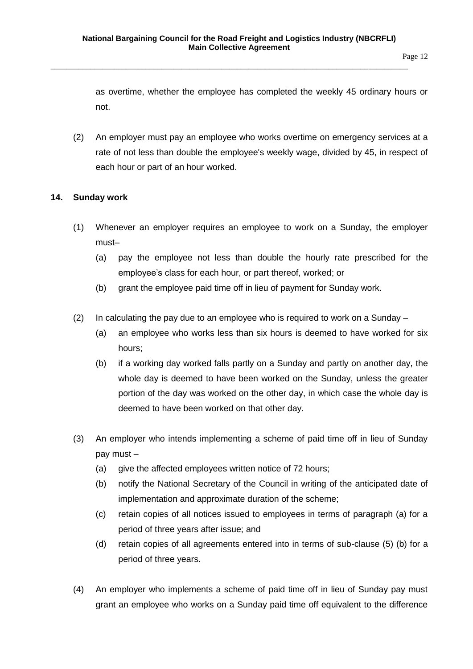as overtime, whether the employee has completed the weekly 45 ordinary hours or not.

(2) An employer must pay an employee who works overtime on emergency services at a rate of not less than double the employee's weekly wage, divided by 45, in respect of each hour or part of an hour worked.

# <span id="page-11-0"></span>**14. Sunday work**

- (1) Whenever an employer requires an employee to work on a Sunday, the employer must–
	- (a) pay the employee not less than double the hourly rate prescribed for the employee's class for each hour, or part thereof, worked; or
	- (b) grant the employee paid time off in lieu of payment for Sunday work.
- (2) In calculating the pay due to an employee who is required to work on a Sunday  $-$ 
	- (a) an employee who works less than six hours is deemed to have worked for six hours;
	- (b) if a working day worked falls partly on a Sunday and partly on another day, the whole day is deemed to have been worked on the Sunday, unless the greater portion of the day was worked on the other day, in which case the whole day is deemed to have been worked on that other day.
- (3) An employer who intends implementing a scheme of paid time off in lieu of Sunday pay must –
	- (a) give the affected employees written notice of 72 hours;
	- (b) notify the National Secretary of the Council in writing of the anticipated date of implementation and approximate duration of the scheme;
	- (c) retain copies of all notices issued to employees in terms of paragraph (a) for a period of three years after issue; and
	- (d) retain copies of all agreements entered into in terms of sub-clause (5) (b) for a period of three years.
- (4) An employer who implements a scheme of paid time off in lieu of Sunday pay must grant an employee who works on a Sunday paid time off equivalent to the difference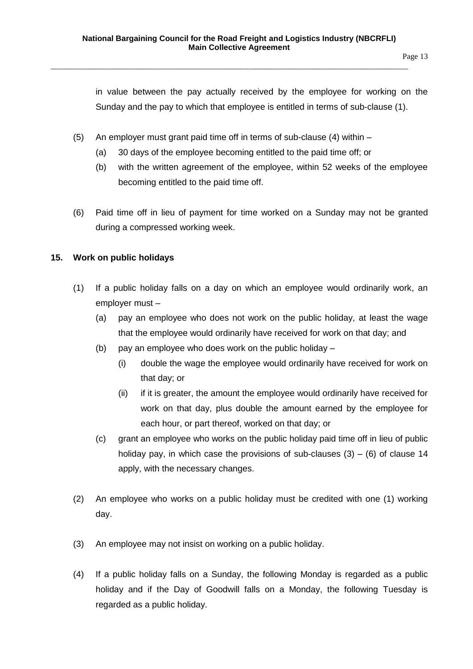in value between the pay actually received by the employee for working on the Sunday and the pay to which that employee is entitled in terms of sub-clause (1).

- (5) An employer must grant paid time off in terms of sub-clause (4) within
	- (a) 30 days of the employee becoming entitled to the paid time off; or
	- (b) with the written agreement of the employee, within 52 weeks of the employee becoming entitled to the paid time off.
- (6) Paid time off in lieu of payment for time worked on a Sunday may not be granted during a compressed working week.

# <span id="page-12-0"></span>**15. Work on public holidays**

- (1) If a public holiday falls on a day on which an employee would ordinarily work, an employer must –
	- (a) pay an employee who does not work on the public holiday, at least the wage that the employee would ordinarily have received for work on that day; and
	- (b) pay an employee who does work on the public holiday
		- (i) double the wage the employee would ordinarily have received for work on that day; or
		- (ii) if it is greater, the amount the employee would ordinarily have received for work on that day, plus double the amount earned by the employee for each hour, or part thereof, worked on that day; or
	- (c) grant an employee who works on the public holiday paid time off in lieu of public holiday pay, in which case the provisions of sub-clauses  $(3) - (6)$  of clause 14 apply, with the necessary changes.
- (2) An employee who works on a public holiday must be credited with one (1) working day.
- (3) An employee may not insist on working on a public holiday.
- (4) If a public holiday falls on a Sunday, the following Monday is regarded as a public holiday and if the Day of Goodwill falls on a Monday, the following Tuesday is regarded as a public holiday.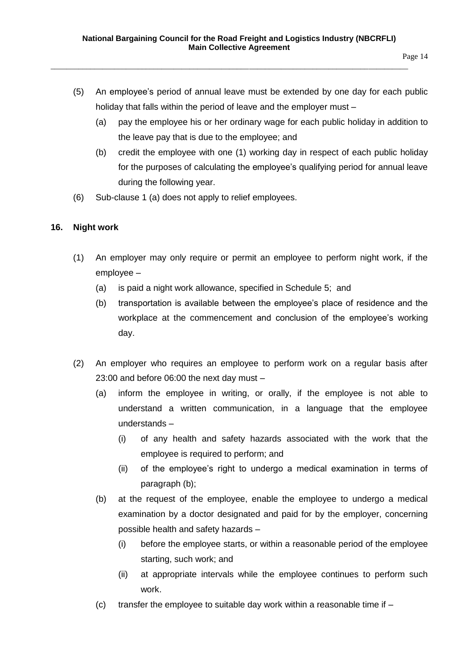- (5) An employee's period of annual leave must be extended by one day for each public holiday that falls within the period of leave and the employer must –
	- (a) pay the employee his or her ordinary wage for each public holiday in addition to the leave pay that is due to the employee; and
	- (b) credit the employee with one (1) working day in respect of each public holiday for the purposes of calculating the employee's qualifying period for annual leave during the following year.
- (6) Sub-clause 1 (a) does not apply to relief employees.

# <span id="page-13-0"></span>**16. Night work**

- (1) An employer may only require or permit an employee to perform night work, if the employee –
	- (a) is paid a night work allowance, specified in Schedule 5; and
	- (b) transportation is available between the employee's place of residence and the workplace at the commencement and conclusion of the employee's working day.
- (2) An employer who requires an employee to perform work on a regular basis after 23:00 and before 06:00 the next day must –
	- (a) inform the employee in writing, or orally, if the employee is not able to understand a written communication, in a language that the employee understands –
		- (i) of any health and safety hazards associated with the work that the employee is required to perform; and
		- (ii) of the employee's right to undergo a medical examination in terms of paragraph (b);
	- (b) at the request of the employee, enable the employee to undergo a medical examination by a doctor designated and paid for by the employer, concerning possible health and safety hazards –
		- (i) before the employee starts, or within a reasonable period of the employee starting, such work; and
		- (ii) at appropriate intervals while the employee continues to perform such work.
	- (c) transfer the employee to suitable day work within a reasonable time if  $-$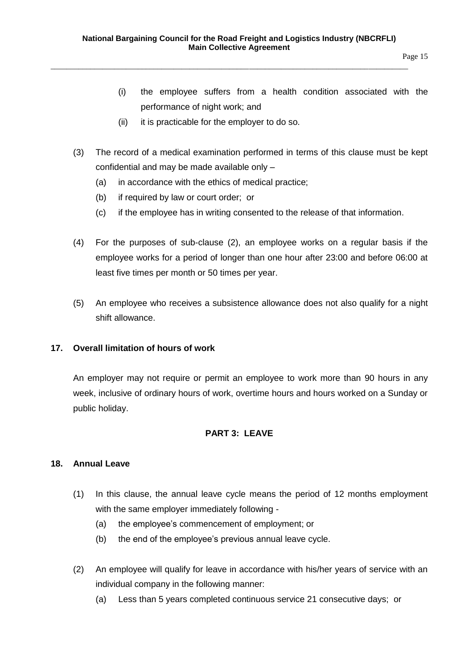- (i) the employee suffers from a health condition associated with the performance of night work; and
- (ii) it is practicable for the employer to do so.
- (3) The record of a medical examination performed in terms of this clause must be kept confidential and may be made available only –
	- (a) in accordance with the ethics of medical practice;
	- (b) if required by law or court order; or
	- (c) if the employee has in writing consented to the release of that information.
- (4) For the purposes of sub-clause (2), an employee works on a regular basis if the employee works for a period of longer than one hour after 23:00 and before 06:00 at least five times per month or 50 times per year.
- (5) An employee who receives a subsistence allowance does not also qualify for a night shift allowance.

# <span id="page-14-0"></span>**17. Overall limitation of hours of work**

An employer may not require or permit an employee to work more than 90 hours in any week, inclusive of ordinary hours of work, overtime hours and hours worked on a Sunday or public holiday.

# **PART 3: LEAVE**

# <span id="page-14-2"></span><span id="page-14-1"></span>**18. Annual Leave**

- (1) In this clause, the annual leave cycle means the period of 12 months employment with the same employer immediately following -
	- (a) the employee's commencement of employment; or
	- (b) the end of the employee's previous annual leave cycle.
- (2) An employee will qualify for leave in accordance with his/her years of service with an individual company in the following manner:
	- (a) Less than 5 years completed continuous service 21 consecutive days; or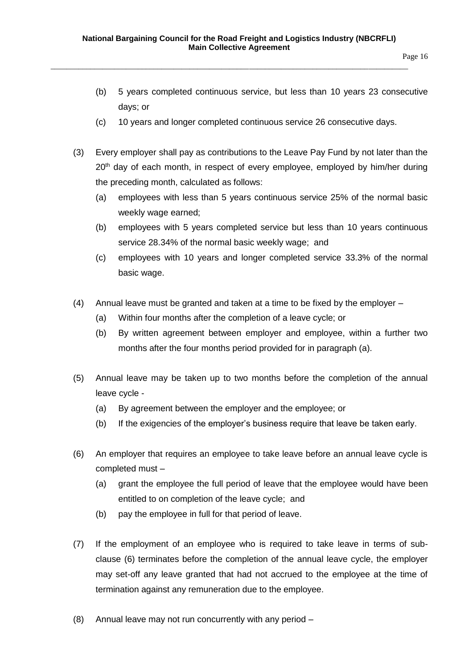- (b) 5 years completed continuous service, but less than 10 years 23 consecutive days; or
- (c) 10 years and longer completed continuous service 26 consecutive days.
- (3) Every employer shall pay as contributions to the Leave Pay Fund by not later than the 20<sup>th</sup> day of each month, in respect of every employee, employed by him/her during the preceding month, calculated as follows:
	- (a) employees with less than 5 years continuous service 25% of the normal basic weekly wage earned;
	- (b) employees with 5 years completed service but less than 10 years continuous service 28.34% of the normal basic weekly wage; and
	- (c) employees with 10 years and longer completed service 33.3% of the normal basic wage.
- (4) Annual leave must be granted and taken at a time to be fixed by the employer
	- (a) Within four months after the completion of a leave cycle; or
	- (b) By written agreement between employer and employee, within a further two months after the four months period provided for in paragraph (a).
- (5) Annual leave may be taken up to two months before the completion of the annual leave cycle -
	- (a) By agreement between the employer and the employee; or
	- (b) If the exigencies of the employer's business require that leave be taken early.
- (6) An employer that requires an employee to take leave before an annual leave cycle is completed must –
	- (a) grant the employee the full period of leave that the employee would have been entitled to on completion of the leave cycle; and
	- (b) pay the employee in full for that period of leave.
- (7) If the employment of an employee who is required to take leave in terms of subclause (6) terminates before the completion of the annual leave cycle, the employer may set-off any leave granted that had not accrued to the employee at the time of termination against any remuneration due to the employee.
- (8) Annual leave may not run concurrently with any period –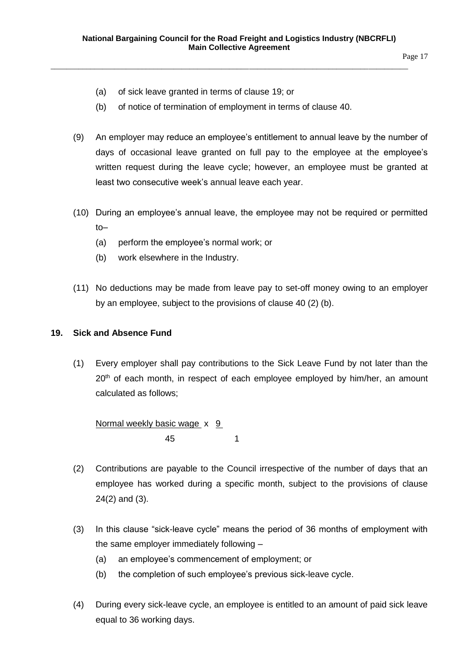Page 17

- (a) of sick leave granted in terms of clause 19; or
- (b) of notice of termination of employment in terms of clause 40.

\_\_\_\_\_\_\_\_\_\_\_\_\_\_\_\_\_\_\_\_\_\_\_\_\_\_\_\_\_\_\_\_\_\_\_\_\_\_\_\_\_\_\_\_\_\_\_\_\_\_\_\_\_\_\_\_\_\_\_\_\_\_\_\_\_\_\_\_\_\_\_\_\_\_\_\_\_\_\_\_\_\_\_\_\_\_\_\_\_\_

- (9) An employer may reduce an employee's entitlement to annual leave by the number of days of occasional leave granted on full pay to the employee at the employee's written request during the leave cycle; however, an employee must be granted at least two consecutive week's annual leave each year.
- (10) During an employee's annual leave, the employee may not be required or permitted to–
	- (a) perform the employee's normal work; or
	- (b) work elsewhere in the Industry.
- (11) No deductions may be made from leave pay to set-off money owing to an employer by an employee, subject to the provisions of clause 40 (2) (b).

#### <span id="page-16-0"></span>**19. Sick and Absence Fund**

(1) Every employer shall pay contributions to the Sick Leave Fund by not later than the  $20<sup>th</sup>$  of each month, in respect of each employee employed by him/her, an amount calculated as follows;

Normal weekly basic wage x 9 45 1

- (2) Contributions are payable to the Council irrespective of the number of days that an employee has worked during a specific month, subject to the provisions of clause 24(2) and (3).
- (3) In this clause "sick-leave cycle" means the period of 36 months of employment with the same employer immediately following –
	- (a) an employee's commencement of employment; or
	- (b) the completion of such employee's previous sick-leave cycle.
- (4) During every sick-leave cycle, an employee is entitled to an amount of paid sick leave equal to 36 working days.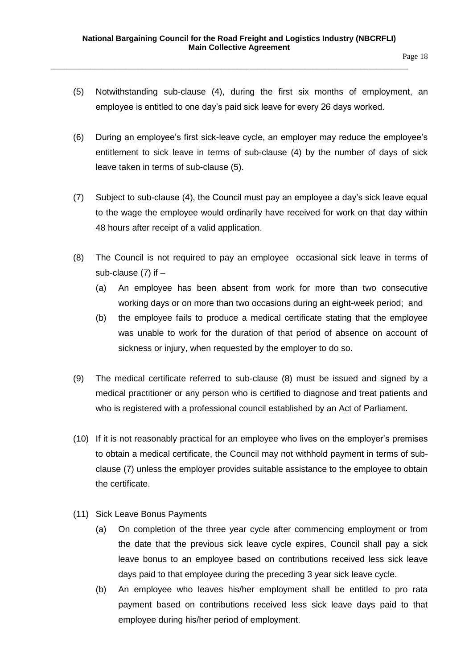- (5) Notwithstanding sub-clause (4), during the first six months of employment, an employee is entitled to one day's paid sick leave for every 26 days worked.
- (6) During an employee's first sick-leave cycle, an employer may reduce the employee's entitlement to sick leave in terms of sub-clause (4) by the number of days of sick leave taken in terms of sub-clause (5).
- (7) Subject to sub-clause (4), the Council must pay an employee a day's sick leave equal to the wage the employee would ordinarily have received for work on that day within 48 hours after receipt of a valid application.
- (8) The Council is not required to pay an employee occasional sick leave in terms of sub-clause  $(7)$  if  $-$ 
	- (a) An employee has been absent from work for more than two consecutive working days or on more than two occasions during an eight-week period; and
	- (b) the employee fails to produce a medical certificate stating that the employee was unable to work for the duration of that period of absence on account of sickness or injury, when requested by the employer to do so.
- (9) The medical certificate referred to sub-clause (8) must be issued and signed by a medical practitioner or any person who is certified to diagnose and treat patients and who is registered with a professional council established by an Act of Parliament.
- (10) If it is not reasonably practical for an employee who lives on the employer's premises to obtain a medical certificate, the Council may not withhold payment in terms of subclause (7) unless the employer provides suitable assistance to the employee to obtain the certificate.
- (11) Sick Leave Bonus Payments
	- (a) On completion of the three year cycle after commencing employment or from the date that the previous sick leave cycle expires, Council shall pay a sick leave bonus to an employee based on contributions received less sick leave days paid to that employee during the preceding 3 year sick leave cycle.
	- (b) An employee who leaves his/her employment shall be entitled to pro rata payment based on contributions received less sick leave days paid to that employee during his/her period of employment.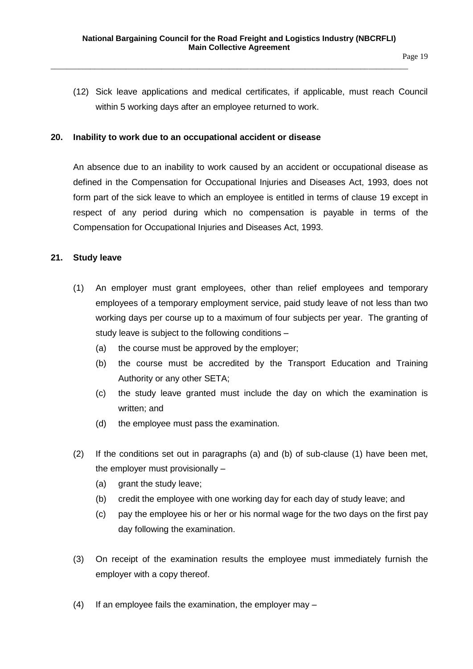(12) Sick leave applications and medical certificates, if applicable, must reach Council within 5 working days after an employee returned to work.

#### <span id="page-18-0"></span>**20. Inability to work due to an occupational accident or disease**

An absence due to an inability to work caused by an accident or occupational disease as defined in the Compensation for Occupational Injuries and Diseases Act, 1993, does not form part of the sick leave to which an employee is entitled in terms of clause 19 except in respect of any period during which no compensation is payable in terms of the Compensation for Occupational Injuries and Diseases Act, 1993.

#### <span id="page-18-1"></span>**21. Study leave**

- (1) An employer must grant employees, other than relief employees and temporary employees of a temporary employment service, paid study leave of not less than two working days per course up to a maximum of four subjects per year. The granting of study leave is subject to the following conditions –
	- (a) the course must be approved by the employer;
	- (b) the course must be accredited by the Transport Education and Training Authority or any other SETA;
	- (c) the study leave granted must include the day on which the examination is written; and
	- (d) the employee must pass the examination.
- (2) If the conditions set out in paragraphs (a) and (b) of sub-clause (1) have been met, the employer must provisionally –
	- (a) grant the study leave;
	- (b) credit the employee with one working day for each day of study leave; and
	- (c) pay the employee his or her or his normal wage for the two days on the first pay day following the examination.
- (3) On receipt of the examination results the employee must immediately furnish the employer with a copy thereof.
- (4) If an employee fails the examination, the employer may –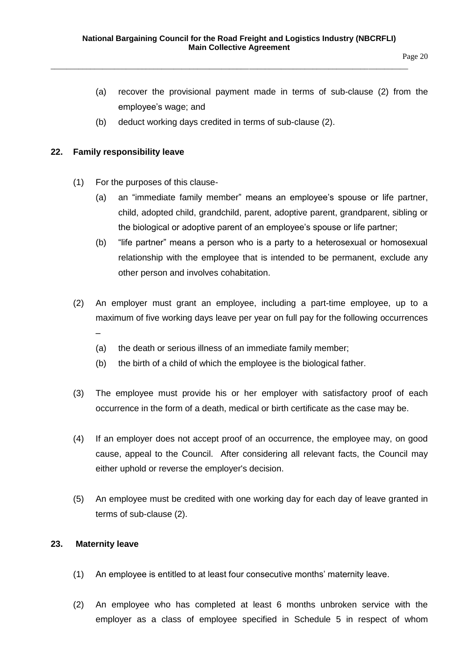- (a) recover the provisional payment made in terms of sub-clause (2) from the employee's wage; and
- (b) deduct working days credited in terms of sub-clause (2).

### <span id="page-19-0"></span>**22. Family responsibility leave**

- (1) For the purposes of this clause-
	- (a) an "immediate family member" means an employee's spouse or life partner, child, adopted child, grandchild, parent, adoptive parent, grandparent, sibling or the biological or adoptive parent of an employee's spouse or life partner;
	- (b) "life partner" means a person who is a party to a heterosexual or homosexual relationship with the employee that is intended to be permanent, exclude any other person and involves cohabitation.
- (2) An employer must grant an employee, including a part-time employee, up to a maximum of five working days leave per year on full pay for the following occurrences –
	- (a) the death or serious illness of an immediate family member;
	- (b) the birth of a child of which the employee is the biological father.
- (3) The employee must provide his or her employer with satisfactory proof of each occurrence in the form of a death, medical or birth certificate as the case may be.
- (4) If an employer does not accept proof of an occurrence, the employee may, on good cause, appeal to the Council. After considering all relevant facts, the Council may either uphold or reverse the employer's decision.
- (5) An employee must be credited with one working day for each day of leave granted in terms of sub-clause (2).

# <span id="page-19-1"></span>**23. Maternity leave**

- (1) An employee is entitled to at least four consecutive months' maternity leave.
- (2) An employee who has completed at least 6 months unbroken service with the employer as a class of employee specified in Schedule 5 in respect of whom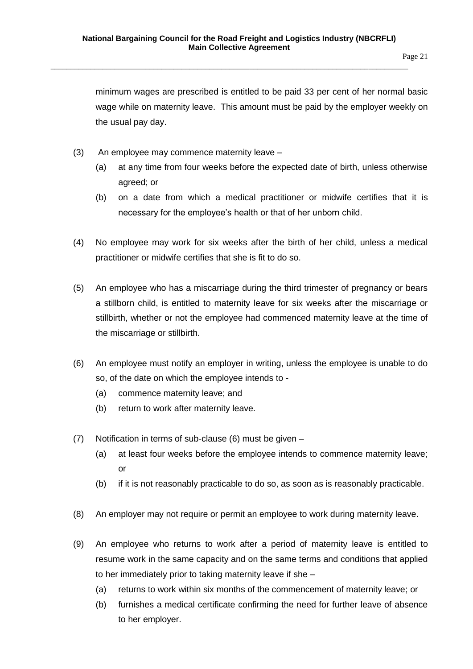minimum wages are prescribed is entitled to be paid 33 per cent of her normal basic wage while on maternity leave. This amount must be paid by the employer weekly on the usual pay day.

- (3) An employee may commence maternity leave
	- (a) at any time from four weeks before the expected date of birth, unless otherwise agreed; or
	- (b) on a date from which a medical practitioner or midwife certifies that it is necessary for the employee's health or that of her unborn child.
- (4) No employee may work for six weeks after the birth of her child, unless a medical practitioner or midwife certifies that she is fit to do so.
- (5) An employee who has a miscarriage during the third trimester of pregnancy or bears a stillborn child, is entitled to maternity leave for six weeks after the miscarriage or stillbirth, whether or not the employee had commenced maternity leave at the time of the miscarriage or stillbirth.
- (6) An employee must notify an employer in writing, unless the employee is unable to do so, of the date on which the employee intends to -
	- (a) commence maternity leave; and
	- (b) return to work after maternity leave.
- (7) Notification in terms of sub-clause (6) must be given
	- (a) at least four weeks before the employee intends to commence maternity leave; or
	- (b) if it is not reasonably practicable to do so, as soon as is reasonably practicable.
- (8) An employer may not require or permit an employee to work during maternity leave.
- (9) An employee who returns to work after a period of maternity leave is entitled to resume work in the same capacity and on the same terms and conditions that applied to her immediately prior to taking maternity leave if she –
	- (a) returns to work within six months of the commencement of maternity leave; or
	- (b) furnishes a medical certificate confirming the need for further leave of absence to her employer.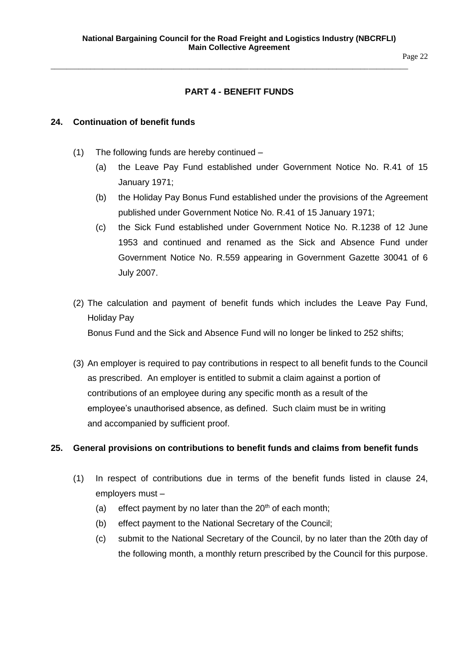# Page 22

# **PART 4 - BENEFIT FUNDS**

### <span id="page-21-1"></span><span id="page-21-0"></span>**24. Continuation of benefit funds**

- (1) The following funds are hereby continued
	- (a) the Leave Pay Fund established under Government Notice No. R.41 of 15 January 1971;
	- (b) the Holiday Pay Bonus Fund established under the provisions of the Agreement published under Government Notice No. R.41 of 15 January 1971;
	- (c) the Sick Fund established under Government Notice No. R.1238 of 12 June 1953 and continued and renamed as the Sick and Absence Fund under Government Notice No. R.559 appearing in Government Gazette 30041 of 6 July 2007.
- (2) The calculation and payment of benefit funds which includes the Leave Pay Fund, Holiday Pay Bonus Fund and the Sick and Absence Fund will no longer be linked to 252 shifts;
- (3) An employer is required to pay contributions in respect to all benefit funds to the Council as prescribed. An employer is entitled to submit a claim against a portion of contributions of an employee during any specific month as a result of the employee's unauthorised absence, as defined. Such claim must be in writing and accompanied by sufficient proof.

# <span id="page-21-2"></span>**25. General provisions on contributions to benefit funds and claims from benefit funds**

- (1) In respect of contributions due in terms of the benefit funds listed in clause 24, employers must –
	- (a) effect payment by no later than the  $20<sup>th</sup>$  of each month;
	- (b) effect payment to the National Secretary of the Council;
	- (c) submit to the National Secretary of the Council, by no later than the 20th day of the following month, a monthly return prescribed by the Council for this purpose.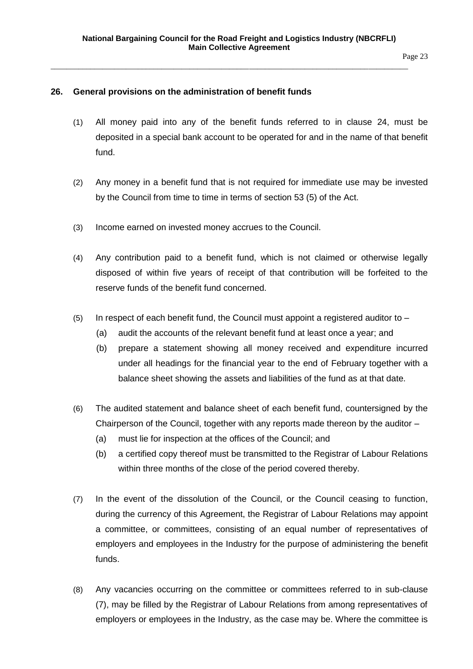Page 23

# <span id="page-22-0"></span>**26. General provisions on the administration of benefit funds**

- (1) All money paid into any of the benefit funds referred to in clause 24, must be deposited in a special bank account to be operated for and in the name of that benefit fund.
- (2) Any money in a benefit fund that is not required for immediate use may be invested by the Council from time to time in terms of section 53 (5) of the Act.
- (3) Income earned on invested money accrues to the Council.
- (4) Any contribution paid to a benefit fund, which is not claimed or otherwise legally disposed of within five years of receipt of that contribution will be forfeited to the reserve funds of the benefit fund concerned.
- $(5)$  In respect of each benefit fund, the Council must appoint a registered auditor to  $-$ 
	- (a) audit the accounts of the relevant benefit fund at least once a year; and
	- (b) prepare a statement showing all money received and expenditure incurred under all headings for the financial year to the end of February together with a balance sheet showing the assets and liabilities of the fund as at that date.
- (6) The audited statement and balance sheet of each benefit fund, countersigned by the Chairperson of the Council, together with any reports made thereon by the auditor –
	- (a) must lie for inspection at the offices of the Council; and
	- (b) a certified copy thereof must be transmitted to the Registrar of Labour Relations within three months of the close of the period covered thereby.
- (7) In the event of the dissolution of the Council, or the Council ceasing to function, during the currency of this Agreement, the Registrar of Labour Relations may appoint a committee, or committees, consisting of an equal number of representatives of employers and employees in the Industry for the purpose of administering the benefit funds.
- (8) Any vacancies occurring on the committee or committees referred to in sub-clause (7), may be filled by the Registrar of Labour Relations from among representatives of employers or employees in the Industry, as the case may be. Where the committee is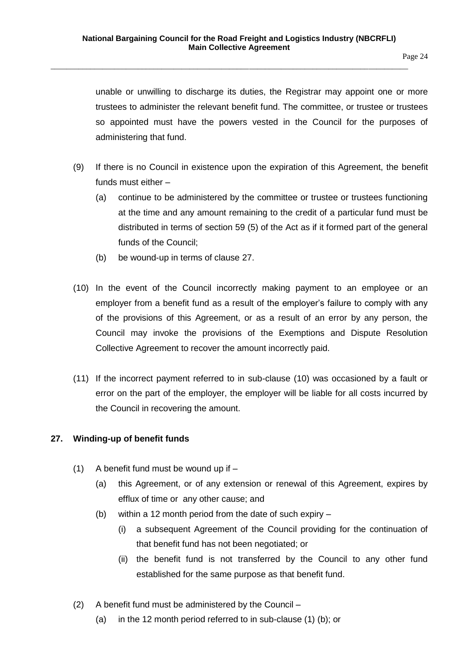unable or unwilling to discharge its duties, the Registrar may appoint one or more trustees to administer the relevant benefit fund. The committee, or trustee or trustees so appointed must have the powers vested in the Council for the purposes of administering that fund.

- (9) If there is no Council in existence upon the expiration of this Agreement, the benefit funds must either –
	- (a) continue to be administered by the committee or trustee or trustees functioning at the time and any amount remaining to the credit of a particular fund must be distributed in terms of section 59 (5) of the Act as if it formed part of the general funds of the Council;
	- (b) be wound-up in terms of clause 27.
- (10) In the event of the Council incorrectly making payment to an employee or an employer from a benefit fund as a result of the employer's failure to comply with any of the provisions of this Agreement, or as a result of an error by any person, the Council may invoke the provisions of the Exemptions and Dispute Resolution Collective Agreement to recover the amount incorrectly paid.
- (11) If the incorrect payment referred to in sub-clause (10) was occasioned by a fault or error on the part of the employer, the employer will be liable for all costs incurred by the Council in recovering the amount.

# <span id="page-23-0"></span>**27. Winding-up of benefit funds**

- (1) A benefit fund must be wound up if
	- (a) this Agreement, or of any extension or renewal of this Agreement, expires by efflux of time or any other cause; and
	- (b) within a 12 month period from the date of such expiry
		- (i) a subsequent Agreement of the Council providing for the continuation of that benefit fund has not been negotiated; or
		- (ii) the benefit fund is not transferred by the Council to any other fund established for the same purpose as that benefit fund.
- (2) A benefit fund must be administered by the Council
	- (a) in the 12 month period referred to in sub-clause (1) (b); or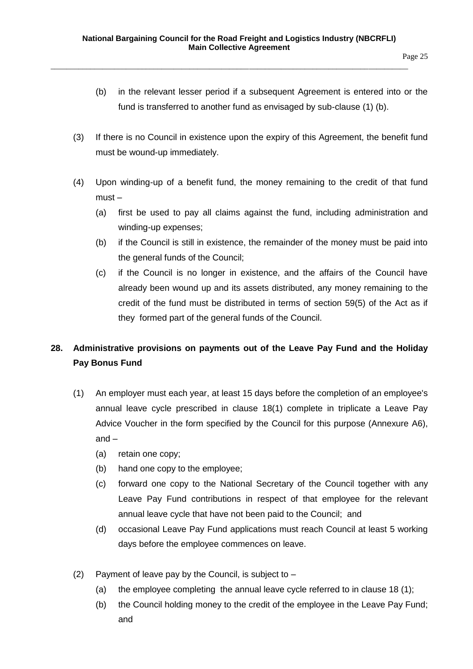- (b) in the relevant lesser period if a subsequent Agreement is entered into or the fund is transferred to another fund as envisaged by sub-clause (1) (b).
- (3) If there is no Council in existence upon the expiry of this Agreement, the benefit fund must be wound-up immediately.
- (4) Upon winding-up of a benefit fund, the money remaining to the credit of that fund must –
	- (a) first be used to pay all claims against the fund, including administration and winding-up expenses;
	- (b) if the Council is still in existence, the remainder of the money must be paid into the general funds of the Council;
	- (c) if the Council is no longer in existence, and the affairs of the Council have already been wound up and its assets distributed, any money remaining to the credit of the fund must be distributed in terms of section 59(5) of the Act as if they formed part of the general funds of the Council.

# <span id="page-24-0"></span>**28. Administrative provisions on payments out of the Leave Pay Fund and the Holiday Pay Bonus Fund**

- (1) An employer must each year, at least 15 days before the completion of an employee's annual leave cycle prescribed in clause 18(1) complete in triplicate a Leave Pay Advice Voucher in the form specified by the Council for this purpose (Annexure A6), and –
	- (a) retain one copy;
	- (b) hand one copy to the employee;
	- (c) forward one copy to the National Secretary of the Council together with any Leave Pay Fund contributions in respect of that employee for the relevant annual leave cycle that have not been paid to the Council; and
	- (d) occasional Leave Pay Fund applications must reach Council at least 5 working days before the employee commences on leave.
- (2) Payment of leave pay by the Council, is subject to
	- (a) the employee completing the annual leave cycle referred to in clause 18 (1);
	- (b) the Council holding money to the credit of the employee in the Leave Pay Fund; and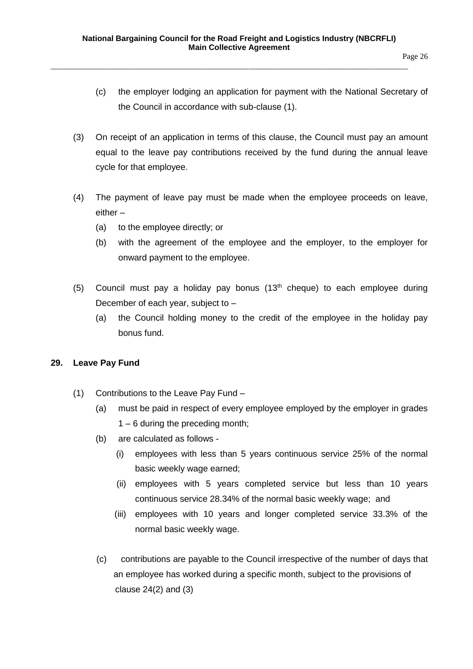- Page 26
- (c) the employer lodging an application for payment with the National Secretary of the Council in accordance with sub-clause (1).
- (3) On receipt of an application in terms of this clause, the Council must pay an amount equal to the leave pay contributions received by the fund during the annual leave cycle for that employee.
- (4) The payment of leave pay must be made when the employee proceeds on leave, either –
	- (a) to the employee directly; or
	- (b) with the agreement of the employee and the employer, to the employer for onward payment to the employee.
- (5) Council must pay a holiday pay bonus  $(13<sup>th</sup>$  cheque) to each employee during December of each year, subject to –
	- (a) the Council holding money to the credit of the employee in the holiday pay bonus fund.

# <span id="page-25-0"></span>**29. Leave Pay Fund**

- (1) Contributions to the Leave Pay Fund
	- (a) must be paid in respect of every employee employed by the employer in grades 1 – 6 during the preceding month;
	- (b) are calculated as follows
		- (i) employees with less than 5 years continuous service 25% of the normal basic weekly wage earned;
		- (ii) employees with 5 years completed service but less than 10 years continuous service 28.34% of the normal basic weekly wage; and
		- (iii) employees with 10 years and longer completed service 33.3% of the normal basic weekly wage.
	- (c) contributions are payable to the Council irrespective of the number of days that an employee has worked during a specific month, subject to the provisions of clause 24(2) and (3)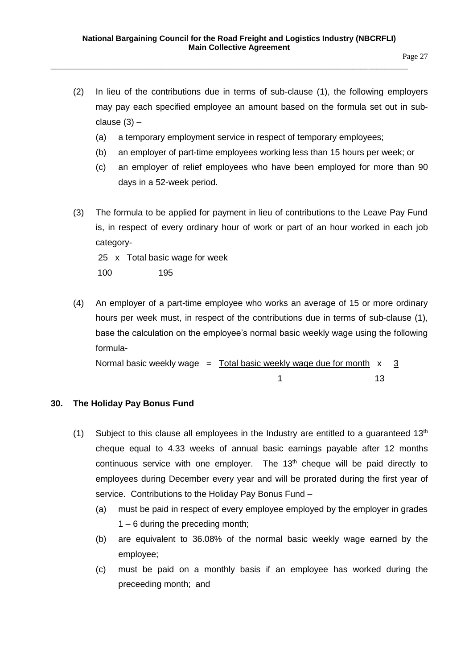- (2) In lieu of the contributions due in terms of sub-clause (1), the following employers may pay each specified employee an amount based on the formula set out in subclause  $(3)$  –
	- (a) a temporary employment service in respect of temporary employees;
	- (b) an employer of part-time employees working less than 15 hours per week; or
	- (c) an employer of relief employees who have been employed for more than 90 days in a 52-week period.
- (3) The formula to be applied for payment in lieu of contributions to the Leave Pay Fund is, in respect of every ordinary hour of work or part of an hour worked in each job category-

25 x Total basic wage for week 100 195

(4) An employer of a part-time employee who works an average of 15 or more ordinary hours per week must, in respect of the contributions due in terms of sub-clause (1), base the calculation on the employee's normal basic weekly wage using the following formula-

Normal basic weekly wage  $=$  Total basic weekly wage due for month  $x = 3$ 1 13

#### <span id="page-26-0"></span>**30. The Holiday Pay Bonus Fund**

- (1) Subject to this clause all employees in the Industry are entitled to a quaranteed  $13<sup>th</sup>$ cheque equal to 4.33 weeks of annual basic earnings payable after 12 months continuous service with one employer. The  $13<sup>th</sup>$  cheque will be paid directly to employees during December every year and will be prorated during the first year of service. Contributions to the Holiday Pay Bonus Fund –
	- (a) must be paid in respect of every employee employed by the employer in grades 1 – 6 during the preceding month;
	- (b) are equivalent to 36.08% of the normal basic weekly wage earned by the employee;
	- (c) must be paid on a monthly basis if an employee has worked during the preceeding month; and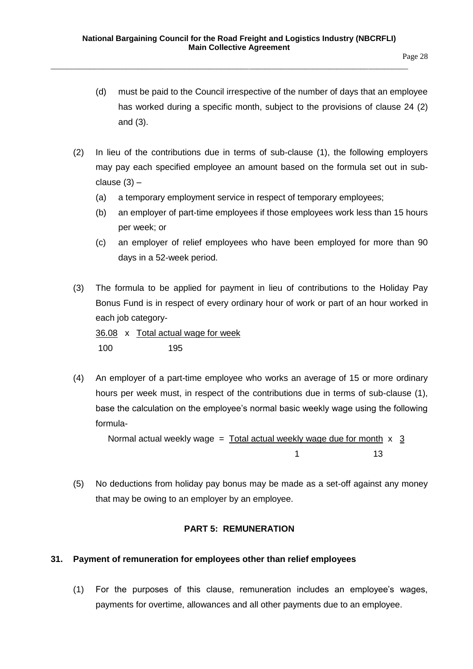- (d) must be paid to the Council irrespective of the number of days that an employee has worked during a specific month, subject to the provisions of clause 24 (2) and (3).
- (2) In lieu of the contributions due in terms of sub-clause (1), the following employers may pay each specified employee an amount based on the formula set out in subclause (3) –
	- (a) a temporary employment service in respect of temporary employees;
	- (b) an employer of part-time employees if those employees work less than 15 hours per week; or
	- (c) an employer of relief employees who have been employed for more than 90 days in a 52-week period.
- (3) The formula to be applied for payment in lieu of contributions to the Holiday Pay Bonus Fund is in respect of every ordinary hour of work or part of an hour worked in each job category-

36.08 x Total actual wage for week 100 195

(4) An employer of a part-time employee who works an average of 15 or more ordinary hours per week must, in respect of the contributions due in terms of sub-clause (1), base the calculation on the employee's normal basic weekly wage using the following formula-

Normal actual weekly wage = Total actual weekly wage due for month  $x = 3$  $1$  13

(5) No deductions from holiday pay bonus may be made as a set-off against any money that may be owing to an employer by an employee.

# **PART 5: REMUNERATION**

#### <span id="page-27-1"></span><span id="page-27-0"></span>**31. Payment of remuneration for employees other than relief employees**

(1) For the purposes of this clause, remuneration includes an employee's wages, payments for overtime, allowances and all other payments due to an employee.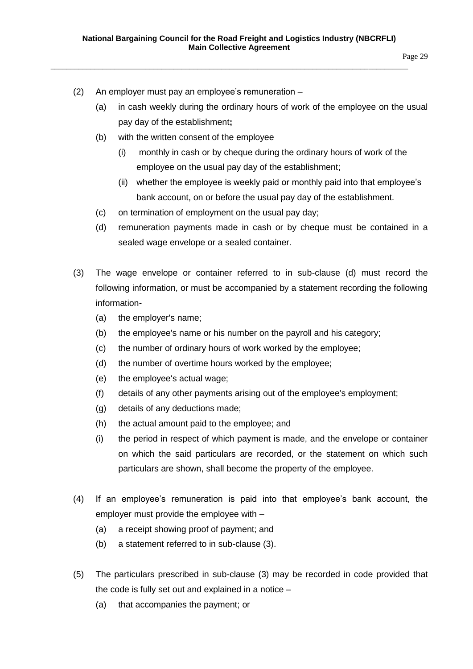- (2) An employer must pay an employee's remuneration
	- (a) in cash weekly during the ordinary hours of work of the employee on the usual pay day of the establishment**;**
	- (b) with the written consent of the employee
		- (i) monthly in cash or by cheque during the ordinary hours of work of the employee on the usual pay day of the establishment;
		- (ii) whether the employee is weekly paid or monthly paid into that employee's bank account, on or before the usual pay day of the establishment.
	- (c) on termination of employment on the usual pay day;
	- (d) remuneration payments made in cash or by cheque must be contained in a sealed wage envelope or a sealed container.
- (3) The wage envelope or container referred to in sub-clause (d) must record the following information, or must be accompanied by a statement recording the following information-
	- (a) the employer's name;
	- (b) the employee's name or his number on the payroll and his category;
	- (c) the number of ordinary hours of work worked by the employee;
	- (d) the number of overtime hours worked by the employee;
	- (e) the employee's actual wage;
	- (f) details of any other payments arising out of the employee's employment;
	- (g) details of any deductions made;
	- (h) the actual amount paid to the employee; and
	- (i) the period in respect of which payment is made, and the envelope or container on which the said particulars are recorded, or the statement on which such particulars are shown, shall become the property of the employee.
- (4) If an employee's remuneration is paid into that employee's bank account, the employer must provide the employee with –
	- (a) a receipt showing proof of payment; and
	- (b) a statement referred to in sub-clause (3).
- (5) The particulars prescribed in sub-clause (3) may be recorded in code provided that the code is fully set out and explained in a notice –
	- (a) that accompanies the payment; or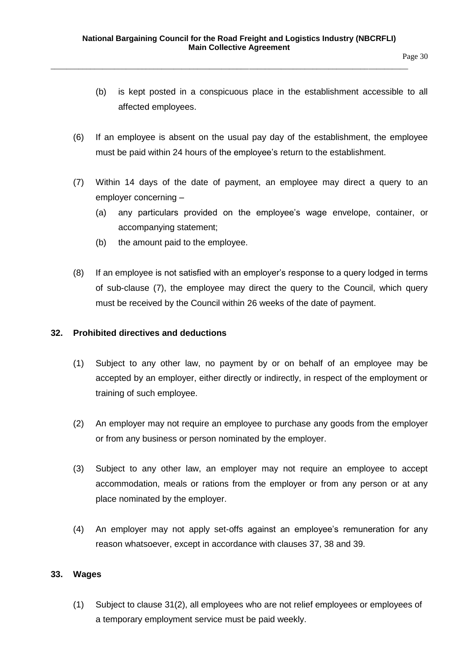- (b) is kept posted in a conspicuous place in the establishment accessible to all affected employees.
- (6) If an employee is absent on the usual pay day of the establishment, the employee must be paid within 24 hours of the employee's return to the establishment.
- (7) Within 14 days of the date of payment, an employee may direct a query to an employer concerning –
	- (a) any particulars provided on the employee's wage envelope, container, or accompanying statement;
	- (b) the amount paid to the employee.
- (8) If an employee is not satisfied with an employer's response to a query lodged in terms of sub-clause (7), the employee may direct the query to the Council, which query must be received by the Council within 26 weeks of the date of payment.

#### <span id="page-29-0"></span>**32. Prohibited directives and deductions**

- (1) Subject to any other law, no payment by or on behalf of an employee may be accepted by an employer, either directly or indirectly, in respect of the employment or training of such employee.
- (2) An employer may not require an employee to purchase any goods from the employer or from any business or person nominated by the employer.
- (3) Subject to any other law, an employer may not require an employee to accept accommodation, meals or rations from the employer or from any person or at any place nominated by the employer.
- (4) An employer may not apply set-offs against an employee's remuneration for any reason whatsoever, except in accordance with clauses 37, 38 and 39.

# <span id="page-29-1"></span>**33. Wages**

(1) Subject to clause 31(2), all employees who are not relief employees or employees of a temporary employment service must be paid weekly.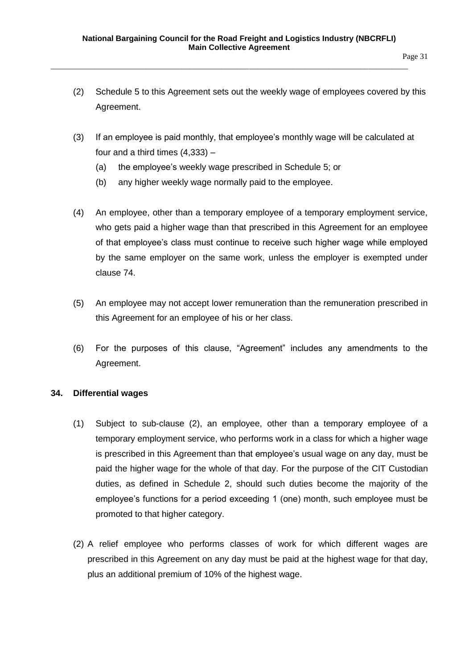- (2) Schedule 5 to this Agreement sets out the weekly wage of employees covered by this Agreement.
- (3) If an employee is paid monthly, that employee's monthly wage will be calculated at four and a third times (4,333) –
	- (a) the employee's weekly wage prescribed in Schedule 5; or
	- (b) any higher weekly wage normally paid to the employee.
- (4) An employee, other than a temporary employee of a temporary employment service, who gets paid a higher wage than that prescribed in this Agreement for an employee of that employee's class must continue to receive such higher wage while employed by the same employer on the same work, unless the employer is exempted under clause 74.
- (5) An employee may not accept lower remuneration than the remuneration prescribed in this Agreement for an employee of his or her class.
- (6) For the purposes of this clause, "Agreement" includes any amendments to the Agreement.

# <span id="page-30-0"></span>**34. Differential wages**

- (1) Subject to sub-clause (2), an employee, other than a temporary employee of a temporary employment service, who performs work in a class for which a higher wage is prescribed in this Agreement than that employee's usual wage on any day, must be paid the higher wage for the whole of that day. For the purpose of the CIT Custodian duties, as defined in Schedule 2, should such duties become the majority of the employee's functions for a period exceeding 1 (one) month, such employee must be promoted to that higher category.
- (2) A relief employee who performs classes of work for which different wages are prescribed in this Agreement on any day must be paid at the highest wage for that day, plus an additional premium of 10% of the highest wage.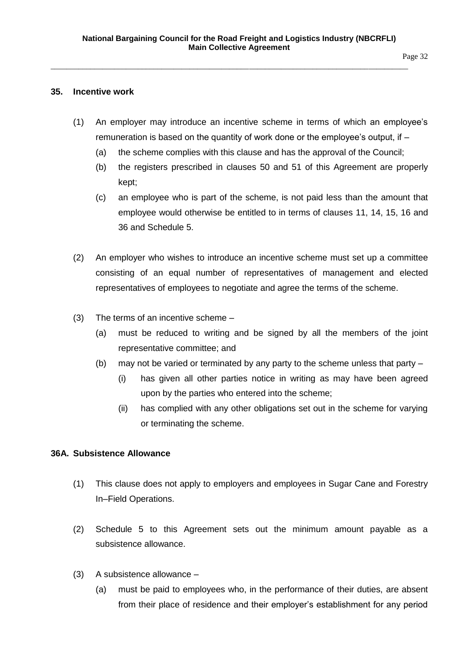#### <span id="page-31-0"></span>**35. Incentive work**

- (1) An employer may introduce an incentive scheme in terms of which an employee's remuneration is based on the quantity of work done or the employee's output, if –
	- (a) the scheme complies with this clause and has the approval of the Council;
	- (b) the registers prescribed in clauses 50 and 51 of this Agreement are properly kept;
	- (c) an employee who is part of the scheme, is not paid less than the amount that employee would otherwise be entitled to in terms of clauses 11, 14, 15, 16 and 36 and Schedule 5.
- (2) An employer who wishes to introduce an incentive scheme must set up a committee consisting of an equal number of representatives of management and elected representatives of employees to negotiate and agree the terms of the scheme.
- (3) The terms of an incentive scheme
	- (a) must be reduced to writing and be signed by all the members of the joint representative committee; and
	- (b) may not be varied or terminated by any party to the scheme unless that party
		- (i) has given all other parties notice in writing as may have been agreed upon by the parties who entered into the scheme;
		- (ii) has complied with any other obligations set out in the scheme for varying or terminating the scheme.

# <span id="page-31-1"></span>**36A. Subsistence Allowance**

- (1) This clause does not apply to employers and employees in Sugar Cane and Forestry In–Field Operations.
- (2) Schedule 5 to this Agreement sets out the minimum amount payable as a subsistence allowance.
- (3) A subsistence allowance
	- (a) must be paid to employees who, in the performance of their duties, are absent from their place of residence and their employer's establishment for any period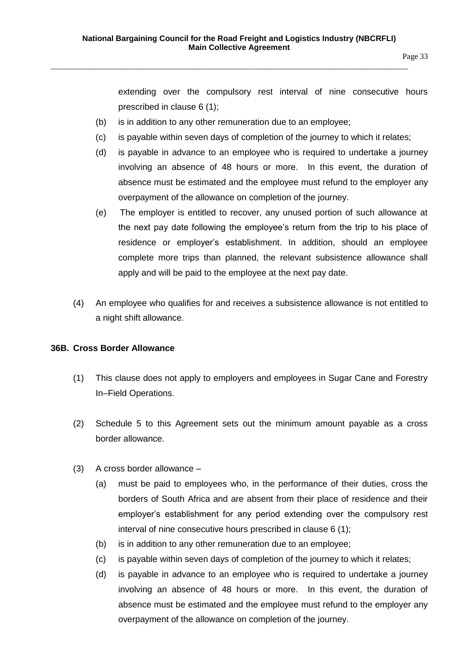Page 33

extending over the compulsory rest interval of nine consecutive hours prescribed in clause 6 (1);

- (b) is in addition to any other remuneration due to an employee;
- (c) is payable within seven days of completion of the journey to which it relates;
- (d) is payable in advance to an employee who is required to undertake a journey involving an absence of 48 hours or more. In this event, the duration of absence must be estimated and the employee must refund to the employer any overpayment of the allowance on completion of the journey.
- (e) The employer is entitled to recover, any unused portion of such allowance at the next pay date following the employee's return from the trip to his place of residence or employer's establishment. In addition, should an employee complete more trips than planned, the relevant subsistence allowance shall apply and will be paid to the employee at the next pay date.
- (4) An employee who qualifies for and receives a subsistence allowance is not entitled to a night shift allowance.

# <span id="page-32-0"></span>**36B. Cross Border Allowance**

- (1) This clause does not apply to employers and employees in Sugar Cane and Forestry In–Field Operations.
- (2) Schedule 5 to this Agreement sets out the minimum amount payable as a cross border allowance.
- (3) A cross border allowance
	- (a) must be paid to employees who, in the performance of their duties, cross the borders of South Africa and are absent from their place of residence and their employer's establishment for any period extending over the compulsory rest interval of nine consecutive hours prescribed in clause 6 (1);
	- (b) is in addition to any other remuneration due to an employee;
	- (c) is payable within seven days of completion of the journey to which it relates;
	- (d) is payable in advance to an employee who is required to undertake a journey involving an absence of 48 hours or more. In this event, the duration of absence must be estimated and the employee must refund to the employer any overpayment of the allowance on completion of the journey.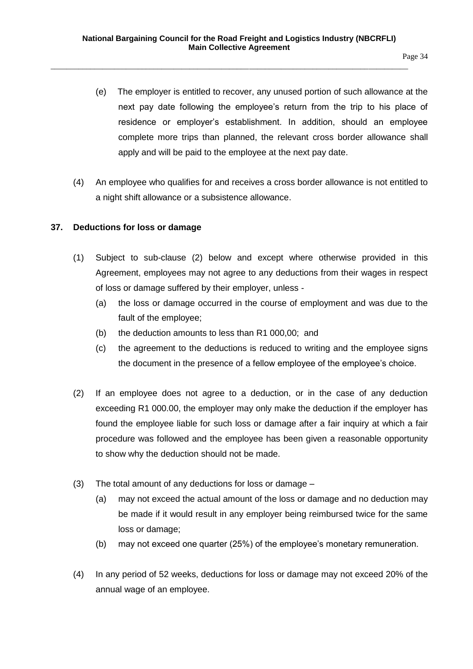- (e) The employer is entitled to recover, any unused portion of such allowance at the next pay date following the employee's return from the trip to his place of residence or employer's establishment. In addition, should an employee complete more trips than planned, the relevant cross border allowance shall apply and will be paid to the employee at the next pay date.
- (4) An employee who qualifies for and receives a cross border allowance is not entitled to a night shift allowance or a subsistence allowance.

#### <span id="page-33-0"></span>**37. Deductions for loss or damage**

- (1) Subject to sub-clause (2) below and except where otherwise provided in this Agreement, employees may not agree to any deductions from their wages in respect of loss or damage suffered by their employer, unless -
	- (a) the loss or damage occurred in the course of employment and was due to the fault of the employee;
	- (b) the deduction amounts to less than R1 000,00; and
	- (c) the agreement to the deductions is reduced to writing and the employee signs the document in the presence of a fellow employee of the employee's choice.
- (2) If an employee does not agree to a deduction, or in the case of any deduction exceeding R1 000.00, the employer may only make the deduction if the employer has found the employee liable for such loss or damage after a fair inquiry at which a fair procedure was followed and the employee has been given a reasonable opportunity to show why the deduction should not be made.
- (3) The total amount of any deductions for loss or damage
	- (a) may not exceed the actual amount of the loss or damage and no deduction may be made if it would result in any employer being reimbursed twice for the same loss or damage;
	- (b) may not exceed one quarter (25%) of the employee's monetary remuneration.
- (4) In any period of 52 weeks, deductions for loss or damage may not exceed 20% of the annual wage of an employee.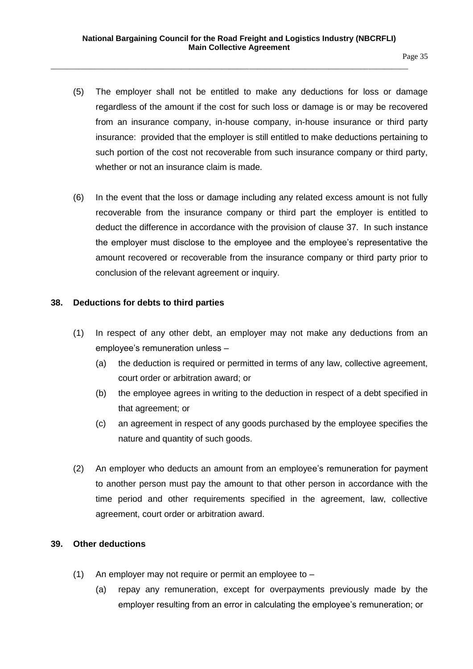- (5) The employer shall not be entitled to make any deductions for loss or damage regardless of the amount if the cost for such loss or damage is or may be recovered from an insurance company, in-house company, in-house insurance or third party insurance: provided that the employer is still entitled to make deductions pertaining to such portion of the cost not recoverable from such insurance company or third party, whether or not an insurance claim is made.
- (6) In the event that the loss or damage including any related excess amount is not fully recoverable from the insurance company or third part the employer is entitled to deduct the difference in accordance with the provision of clause 37. In such instance the employer must disclose to the employee and the employee's representative the amount recovered or recoverable from the insurance company or third party prior to conclusion of the relevant agreement or inquiry.

#### <span id="page-34-0"></span>**38. Deductions for debts to third parties**

- (1) In respect of any other debt, an employer may not make any deductions from an employee's remuneration unless –
	- (a) the deduction is required or permitted in terms of any law, collective agreement, court order or arbitration award; or
	- (b) the employee agrees in writing to the deduction in respect of a debt specified in that agreement; or
	- (c) an agreement in respect of any goods purchased by the employee specifies the nature and quantity of such goods.
- (2) An employer who deducts an amount from an employee's remuneration for payment to another person must pay the amount to that other person in accordance with the time period and other requirements specified in the agreement, law, collective agreement, court order or arbitration award.

#### <span id="page-34-1"></span>**39. Other deductions**

- (1) An employer may not require or permit an employee to
	- (a) repay any remuneration, except for overpayments previously made by the employer resulting from an error in calculating the employee's remuneration; or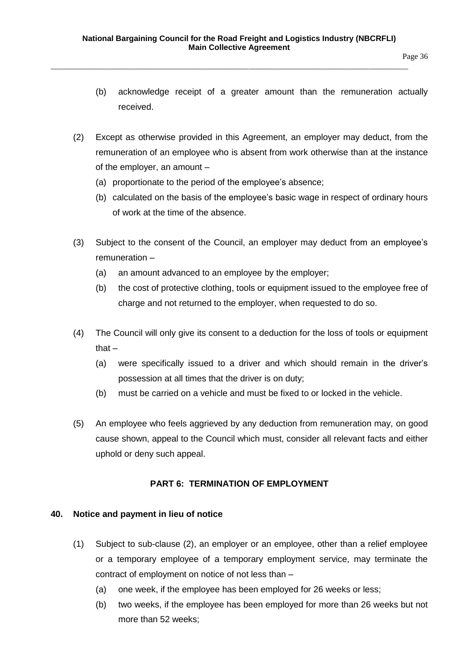- (b) acknowledge receipt of a greater amount than the remuneration actually received.
- (2) Except as otherwise provided in this Agreement, an employer may deduct, from the remuneration of an employee who is absent from work otherwise than at the instance of the employer, an amount –
	- (a) proportionate to the period of the employee's absence;
	- (b) calculated on the basis of the employee's basic wage in respect of ordinary hours of work at the time of the absence.
- (3) Subject to the consent of the Council, an employer may deduct from an employee's remuneration –
	- (a) an amount advanced to an employee by the employer;
	- (b) the cost of protective clothing, tools or equipment issued to the employee free of charge and not returned to the employer, when requested to do so.
- (4) The Council will only give its consent to a deduction for the loss of tools or equipment that –
	- (a) were specifically issued to a driver and which should remain in the driver's possession at all times that the driver is on duty;
	- (b) must be carried on a vehicle and must be fixed to or locked in the vehicle.
- (5) An employee who feels aggrieved by any deduction from remuneration may, on good cause shown, appeal to the Council which must, consider all relevant facts and either uphold or deny such appeal.

# **PART 6: TERMINATION OF EMPLOYMENT**

# <span id="page-35-1"></span><span id="page-35-0"></span>**40. Notice and payment in lieu of notice**

- (1) Subject to sub-clause (2), an employer or an employee, other than a relief employee or a temporary employee of a temporary employment service, may terminate the contract of employment on notice of not less than –
	- (a) one week, if the employee has been employed for 26 weeks or less;
	- (b) two weeks, if the employee has been employed for more than 26 weeks but not more than 52 weeks;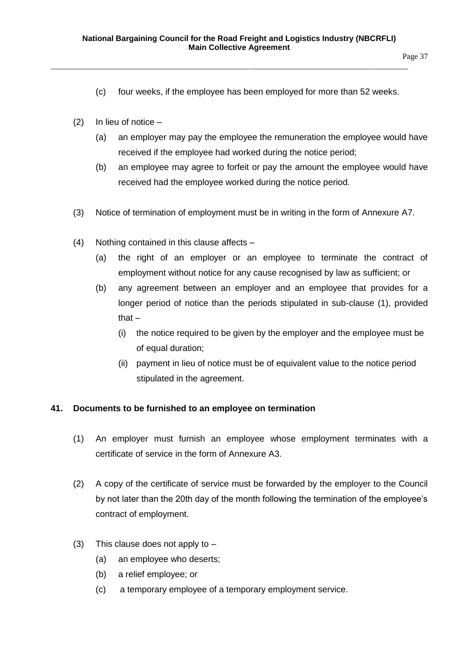- Page 37
- (c) four weeks, if the employee has been employed for more than 52 weeks.
- (2) In lieu of notice  $-$ 
	- (a) an employer may pay the employee the remuneration the employee would have received if the employee had worked during the notice period;
	- (b) an employee may agree to forfeit or pay the amount the employee would have received had the employee worked during the notice period.
- (3) Notice of termination of employment must be in writing in the form of Annexure A7.
- (4) Nothing contained in this clause affects
	- (a) the right of an employer or an employee to terminate the contract of employment without notice for any cause recognised by law as sufficient; or
	- (b) any agreement between an employer and an employee that provides for a longer period of notice than the periods stipulated in sub-clause (1), provided that $-$ 
		- (i) the notice required to be given by the employer and the employee must be of equal duration;
		- (ii) payment in lieu of notice must be of equivalent value to the notice period stipulated in the agreement.

### **41. Documents to be furnished to an employee on termination**

- (1) An employer must furnish an employee whose employment terminates with a certificate of service in the form of Annexure A3.
- (2) A copy of the certificate of service must be forwarded by the employer to the Council by not later than the 20th day of the month following the termination of the employee's contract of employment.
- (3) This clause does not apply to  $-$ 
	- (a) an employee who deserts;
	- (b) a relief employee; or
	- (c) a temporary employee of a temporary employment service.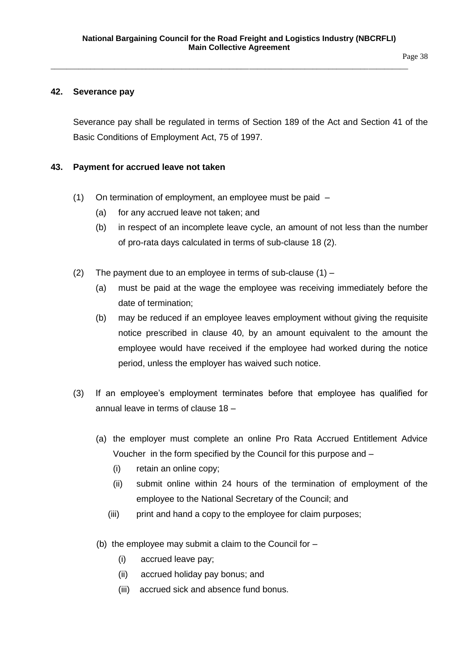#### **42. Severance pay**

Severance pay shall be regulated in terms of Section 189 of the Act and Section 41 of the Basic Conditions of Employment Act, 75 of 1997.

#### **43. Payment for accrued leave not taken**

- (1) On termination of employment, an employee must be paid
	- (a) for any accrued leave not taken; and
	- (b) in respect of an incomplete leave cycle, an amount of not less than the number of pro-rata days calculated in terms of sub-clause 18 (2).
- (2) The payment due to an employee in terms of sub-clause  $(1)$ 
	- (a) must be paid at the wage the employee was receiving immediately before the date of termination;
	- (b) may be reduced if an employee leaves employment without giving the requisite notice prescribed in clause 40, by an amount equivalent to the amount the employee would have received if the employee had worked during the notice period, unless the employer has waived such notice.
- (3) If an employee's employment terminates before that employee has qualified for annual leave in terms of clause 18 –
	- (a) the employer must complete an online Pro Rata Accrued Entitlement Advice Voucher in the form specified by the Council for this purpose and –
		- (i) retain an online copy;
		- (ii) submit online within 24 hours of the termination of employment of the employee to the National Secretary of the Council; and
		- (iii) print and hand a copy to the employee for claim purposes;
	- (b) the employee may submit a claim to the Council for  $-$ 
		- (i) accrued leave pay;
		- (ii) accrued holiday pay bonus; and
		- (iii) accrued sick and absence fund bonus.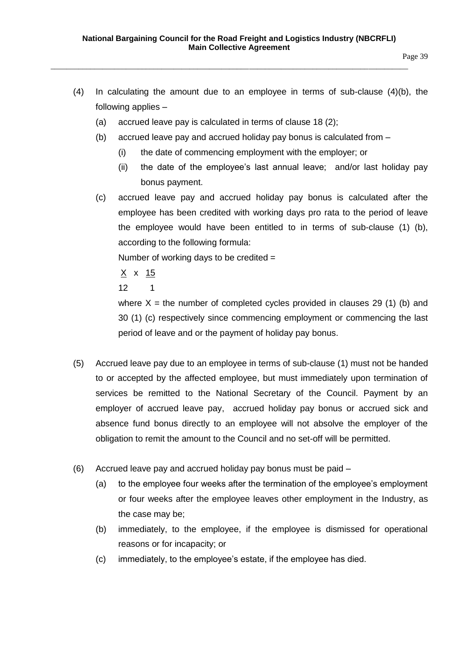- (4) In calculating the amount due to an employee in terms of sub-clause (4)(b), the following applies –
	- (a) accrued leave pay is calculated in terms of clause 18 (2);
	- (b) accrued leave pay and accrued holiday pay bonus is calculated from
		- (i) the date of commencing employment with the employer; or
		- (ii) the date of the employee's last annual leave; and/or last holiday pay bonus payment.
	- (c) accrued leave pay and accrued holiday pay bonus is calculated after the employee has been credited with working days pro rata to the period of leave the employee would have been entitled to in terms of sub-clause (1) (b), according to the following formula:

Number of working days to be credited =

 $X \times 15$ 

12 1

where  $X =$  the number of completed cycles provided in clauses 29 (1) (b) and 30 (1) (c) respectively since commencing employment or commencing the last period of leave and or the payment of holiday pay bonus.

- (5) Accrued leave pay due to an employee in terms of sub-clause (1) must not be handed to or accepted by the affected employee, but must immediately upon termination of services be remitted to the National Secretary of the Council. Payment by an employer of accrued leave pay, accrued holiday pay bonus or accrued sick and absence fund bonus directly to an employee will not absolve the employer of the obligation to remit the amount to the Council and no set-off will be permitted.
- (6) Accrued leave pay and accrued holiday pay bonus must be paid
	- (a) to the employee four weeks after the termination of the employee's employment or four weeks after the employee leaves other employment in the Industry, as the case may be;
	- (b) immediately, to the employee, if the employee is dismissed for operational reasons or for incapacity; or
	- (c) immediately, to the employee's estate, if the employee has died.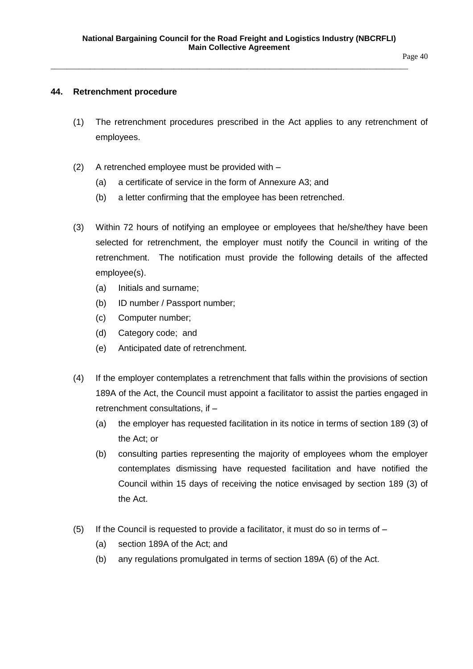#### Page 40

# **44. Retrenchment procedure**

- (1) The retrenchment procedures prescribed in the Act applies to any retrenchment of employees.
- (2) A retrenched employee must be provided with
	- (a) a certificate of service in the form of Annexure A3; and
	- (b) a letter confirming that the employee has been retrenched.
- (3) Within 72 hours of notifying an employee or employees that he/she/they have been selected for retrenchment, the employer must notify the Council in writing of the retrenchment. The notification must provide the following details of the affected employee(s).
	- (a) Initials and surname;
	- (b) ID number / Passport number;
	- (c) Computer number;
	- (d) Category code; and
	- (e) Anticipated date of retrenchment.
- (4) If the employer contemplates a retrenchment that falls within the provisions of section 189A of the Act, the Council must appoint a facilitator to assist the parties engaged in retrenchment consultations, if –
	- (a) the employer has requested facilitation in its notice in terms of section 189 (3) of the Act; or
	- (b) consulting parties representing the majority of employees whom the employer contemplates dismissing have requested facilitation and have notified the Council within 15 days of receiving the notice envisaged by section 189 (3) of the Act.
- (5) If the Council is requested to provide a facilitator, it must do so in terms of  $-$ 
	- (a) section 189A of the Act; and
	- (b) any regulations promulgated in terms of section 189A (6) of the Act.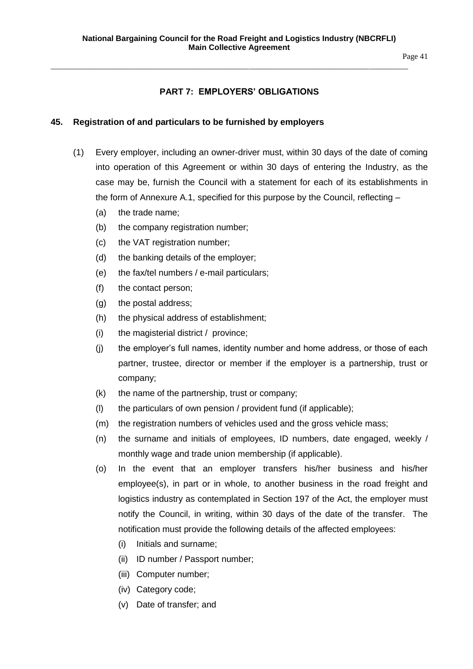Page 41

# **PART 7: EMPLOYERS' OBLIGATIONS**

\_\_\_\_\_\_\_\_\_\_\_\_\_\_\_\_\_\_\_\_\_\_\_\_\_\_\_\_\_\_\_\_\_\_\_\_\_\_\_\_\_\_\_\_\_\_\_\_\_\_\_\_\_\_\_\_\_\_\_\_\_\_\_\_\_\_\_\_\_\_\_\_\_\_\_\_\_\_\_\_\_\_\_\_\_\_\_\_\_\_

#### **45. Registration of and particulars to be furnished by employers**

- (1) Every employer, including an owner-driver must, within 30 days of the date of coming into operation of this Agreement or within 30 days of entering the Industry, as the case may be, furnish the Council with a statement for each of its establishments in the form of Annexure A.1, specified for this purpose by the Council, reflecting –
	- (a) the trade name;
	- (b) the company registration number;
	- (c) the VAT registration number;
	- (d) the banking details of the employer;
	- (e) the fax/tel numbers / e-mail particulars;
	- (f) the contact person;
	- (g) the postal address;
	- (h) the physical address of establishment;
	- (i) the magisterial district / province;
	- (j) the employer's full names, identity number and home address, or those of each partner, trustee, director or member if the employer is a partnership, trust or company;
	- (k) the name of the partnership, trust or company;
	- (l) the particulars of own pension / provident fund (if applicable);
	- (m) the registration numbers of vehicles used and the gross vehicle mass;
	- (n) the surname and initials of employees, ID numbers, date engaged, weekly / monthly wage and trade union membership (if applicable).
	- (o) In the event that an employer transfers his/her business and his/her employee(s), in part or in whole, to another business in the road freight and logistics industry as contemplated in Section 197 of the Act, the employer must notify the Council, in writing, within 30 days of the date of the transfer. The notification must provide the following details of the affected employees:
		- (i) Initials and surname;
		- (ii) ID number / Passport number;
		- (iii) Computer number;
		- (iv) Category code;
		- (v) Date of transfer; and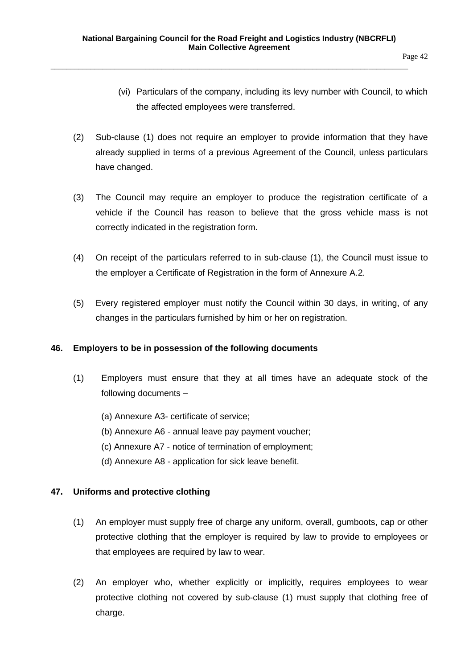- (vi) Particulars of the company, including its levy number with Council, to which the affected employees were transferred.
- (2) Sub-clause (1) does not require an employer to provide information that they have already supplied in terms of a previous Agreement of the Council, unless particulars have changed.
- (3) The Council may require an employer to produce the registration certificate of a vehicle if the Council has reason to believe that the gross vehicle mass is not correctly indicated in the registration form.
- (4) On receipt of the particulars referred to in sub-clause (1), the Council must issue to the employer a Certificate of Registration in the form of Annexure A.2.
- (5) Every registered employer must notify the Council within 30 days, in writing, of any changes in the particulars furnished by him or her on registration.

# **46. Employers to be in possession of the following documents**

- (1) Employers must ensure that they at all times have an adequate stock of the following documents –
	- (a) Annexure A3- certificate of service;
	- (b) Annexure A6 annual leave pay payment voucher;
	- (c) Annexure A7 notice of termination of employment;
	- (d) Annexure A8 application for sick leave benefit.

# **47. Uniforms and protective clothing**

- (1) An employer must supply free of charge any uniform, overall, gumboots, cap or other protective clothing that the employer is required by law to provide to employees or that employees are required by law to wear.
- (2) An employer who, whether explicitly or implicitly, requires employees to wear protective clothing not covered by sub-clause (1) must supply that clothing free of charge.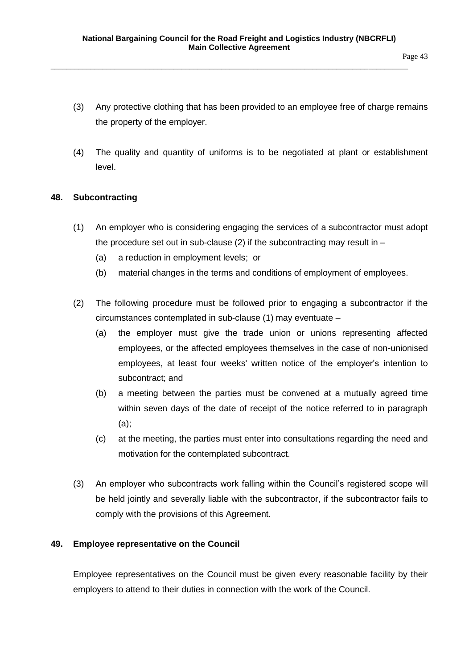- (3) Any protective clothing that has been provided to an employee free of charge remains the property of the employer.
- (4) The quality and quantity of uniforms is to be negotiated at plant or establishment level.

# **48. Subcontracting**

- (1) An employer who is considering engaging the services of a subcontractor must adopt the procedure set out in sub-clause (2) if the subcontracting may result in  $-$ 
	- (a) a reduction in employment levels; or
	- (b) material changes in the terms and conditions of employment of employees.
- (2) The following procedure must be followed prior to engaging a subcontractor if the circumstances contemplated in sub-clause (1) may eventuate –
	- (a) the employer must give the trade union or unions representing affected employees, or the affected employees themselves in the case of non-unionised employees, at least four weeks' written notice of the employer's intention to subcontract; and
	- (b) a meeting between the parties must be convened at a mutually agreed time within seven days of the date of receipt of the notice referred to in paragraph (a);
	- (c) at the meeting, the parties must enter into consultations regarding the need and motivation for the contemplated subcontract.
- (3) An employer who subcontracts work falling within the Council's registered scope will be held jointly and severally liable with the subcontractor, if the subcontractor fails to comply with the provisions of this Agreement.

### **49. Employee representative on the Council**

Employee representatives on the Council must be given every reasonable facility by their employers to attend to their duties in connection with the work of the Council.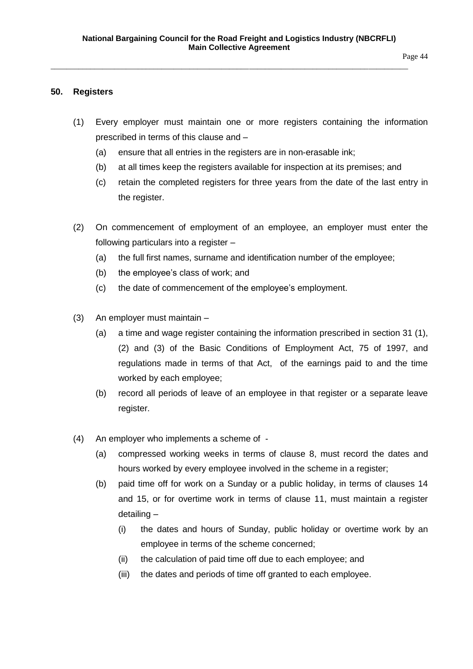#### **50. Registers**

- (1) Every employer must maintain one or more registers containing the information prescribed in terms of this clause and –
	- (a) ensure that all entries in the registers are in non-erasable ink;
	- (b) at all times keep the registers available for inspection at its premises; and
	- (c) retain the completed registers for three years from the date of the last entry in the register.
- (2) On commencement of employment of an employee, an employer must enter the following particulars into a register –
	- (a) the full first names, surname and identification number of the employee;
	- (b) the employee's class of work; and
	- (c) the date of commencement of the employee's employment.
- (3) An employer must maintain
	- (a) a time and wage register containing the information prescribed in section 31 (1), (2) and (3) of the Basic Conditions of Employment Act, 75 of 1997, and regulations made in terms of that Act, of the earnings paid to and the time worked by each employee;
	- (b) record all periods of leave of an employee in that register or a separate leave register.
- (4) An employer who implements a scheme of
	- (a) compressed working weeks in terms of clause 8, must record the dates and hours worked by every employee involved in the scheme in a register;
	- (b) paid time off for work on a Sunday or a public holiday, in terms of clauses 14 and 15, or for overtime work in terms of clause 11, must maintain a register detailing –
		- (i) the dates and hours of Sunday, public holiday or overtime work by an employee in terms of the scheme concerned;
		- (ii) the calculation of paid time off due to each employee; and
		- (iii) the dates and periods of time off granted to each employee.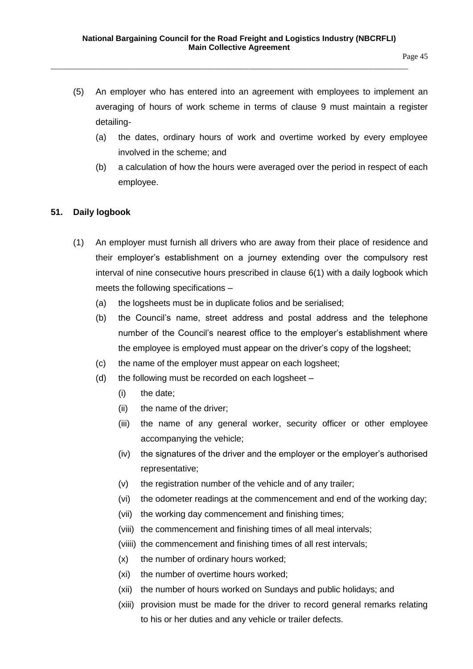- (5) An employer who has entered into an agreement with employees to implement an averaging of hours of work scheme in terms of clause 9 must maintain a register detailing-
	- (a) the dates, ordinary hours of work and overtime worked by every employee involved in the scheme; and
	- (b) a calculation of how the hours were averaged over the period in respect of each employee.

### **51. Daily logbook**

- (1) An employer must furnish all drivers who are away from their place of residence and their employer's establishment on a journey extending over the compulsory rest interval of nine consecutive hours prescribed in clause 6(1) with a daily logbook which meets the following specifications –
	- (a) the logsheets must be in duplicate folios and be serialised;
	- (b) the Council's name, street address and postal address and the telephone number of the Council's nearest office to the employer's establishment where the employee is employed must appear on the driver's copy of the logsheet;
	- (c) the name of the employer must appear on each logsheet;
	- (d) the following must be recorded on each logsheet
		- (i) the date;
		- (ii) the name of the driver;
		- (iii) the name of any general worker, security officer or other employee accompanying the vehicle;
		- (iv) the signatures of the driver and the employer or the employer's authorised representative;
		- (v) the registration number of the vehicle and of any trailer;
		- (vi) the odometer readings at the commencement and end of the working day;
		- (vii) the working day commencement and finishing times;
		- (viii) the commencement and finishing times of all meal intervals;
		- (viiii) the commencement and finishing times of all rest intervals;
		- (x) the number of ordinary hours worked;
		- (xi) the number of overtime hours worked;
		- (xii) the number of hours worked on Sundays and public holidays; and
		- (xiii) provision must be made for the driver to record general remarks relating to his or her duties and any vehicle or trailer defects.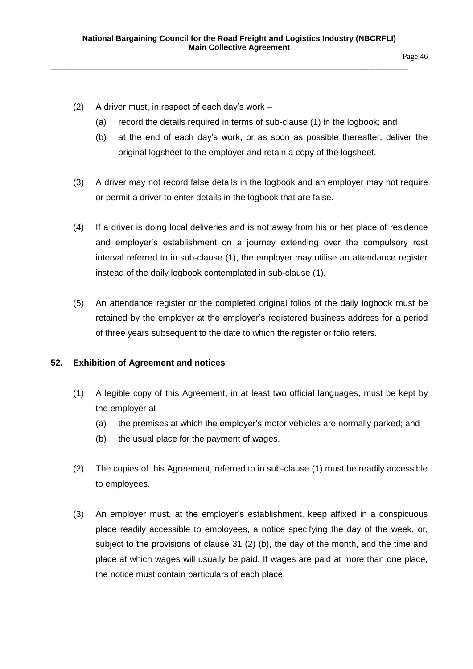- (2) A driver must, in respect of each day's work
	- (a) record the details required in terms of sub-clause (1) in the logbook; and
	- (b) at the end of each day's work, or as soon as possible thereafter, deliver the original logsheet to the employer and retain a copy of the logsheet.
- (3) A driver may not record false details in the logbook and an employer may not require or permit a driver to enter details in the logbook that are false.
- (4) If a driver is doing local deliveries and is not away from his or her place of residence and employer's establishment on a journey extending over the compulsory rest interval referred to in sub-clause (1), the employer may utilise an attendance register instead of the daily logbook contemplated in sub-clause (1).
- (5) An attendance register or the completed original folios of the daily logbook must be retained by the employer at the employer's registered business address for a period of three years subsequent to the date to which the register or folio refers.

# **52. Exhibition of Agreement and notices**

- (1) A legible copy of this Agreement, in at least two official languages, must be kept by the employer at –
	- (a) the premises at which the employer's motor vehicles are normally parked; and
	- (b) the usual place for the payment of wages.
- (2) The copies of this Agreement, referred to in sub-clause (1) must be readily accessible to employees.
- (3) An employer must, at the employer's establishment, keep affixed in a conspicuous place readily accessible to employees, a notice specifying the day of the week, or, subject to the provisions of clause 31 (2) (b), the day of the month, and the time and place at which wages will usually be paid. If wages are paid at more than one place, the notice must contain particulars of each place.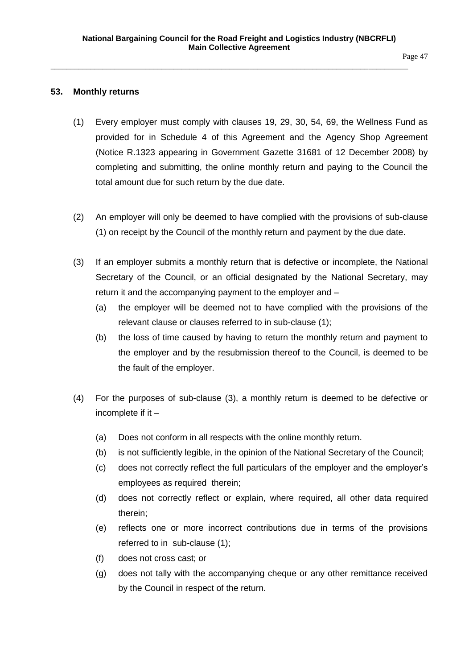Page 47

#### **53. Monthly returns**

- (1) Every employer must comply with clauses 19, 29, 30, 54, 69, the Wellness Fund as provided for in Schedule 4 of this Agreement and the Agency Shop Agreement (Notice R.1323 appearing in Government Gazette 31681 of 12 December 2008) by completing and submitting, the online monthly return and paying to the Council the total amount due for such return by the due date.
- (2) An employer will only be deemed to have complied with the provisions of sub-clause (1) on receipt by the Council of the monthly return and payment by the due date.
- (3) If an employer submits a monthly return that is defective or incomplete, the National Secretary of the Council, or an official designated by the National Secretary, may return it and the accompanying payment to the employer and –
	- (a) the employer will be deemed not to have complied with the provisions of the relevant clause or clauses referred to in sub-clause (1);
	- (b) the loss of time caused by having to return the monthly return and payment to the employer and by the resubmission thereof to the Council, is deemed to be the fault of the employer.
- (4) For the purposes of sub-clause (3), a monthly return is deemed to be defective or incomplete if it –
	- (a) Does not conform in all respects with the online monthly return.
	- (b) is not sufficiently legible, in the opinion of the National Secretary of the Council;
	- (c) does not correctly reflect the full particulars of the employer and the employer's employees as required therein;
	- (d) does not correctly reflect or explain, where required, all other data required therein;
	- (e) reflects one or more incorrect contributions due in terms of the provisions referred to in sub-clause (1);
	- (f) does not cross cast; or
	- (g) does not tally with the accompanying cheque or any other remittance received by the Council in respect of the return.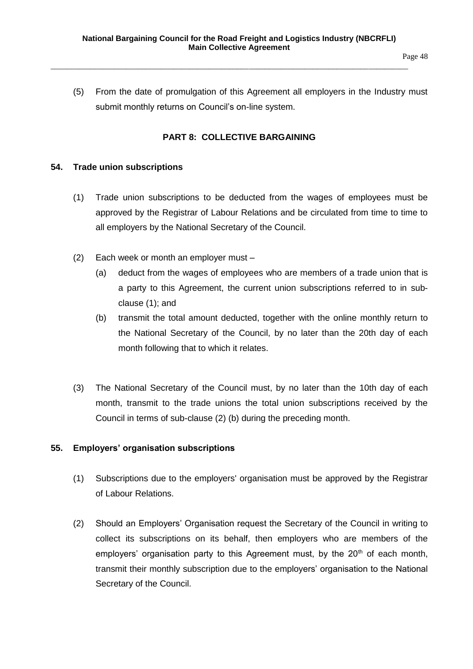(5) From the date of promulgation of this Agreement all employers in the Industry must submit monthly returns on Council's on-line system.

### **PART 8: COLLECTIVE BARGAINING**

#### **54. Trade union subscriptions**

- (1) Trade union subscriptions to be deducted from the wages of employees must be approved by the Registrar of Labour Relations and be circulated from time to time to all employers by the National Secretary of the Council.
- (2) Each week or month an employer must
	- (a) deduct from the wages of employees who are members of a trade union that is a party to this Agreement, the current union subscriptions referred to in subclause (1); and
	- (b) transmit the total amount deducted, together with the online monthly return to the National Secretary of the Council, by no later than the 20th day of each month following that to which it relates.
- (3) The National Secretary of the Council must, by no later than the 10th day of each month, transmit to the trade unions the total union subscriptions received by the Council in terms of sub-clause (2) (b) during the preceding month.

### **55. Employers' organisation subscriptions**

- (1) Subscriptions due to the employers' organisation must be approved by the Registrar of Labour Relations.
- (2) Should an Employers' Organisation request the Secretary of the Council in writing to collect its subscriptions on its behalf, then employers who are members of the employers' organisation party to this Agreement must, by the  $20<sup>th</sup>$  of each month, transmit their monthly subscription due to the employers' organisation to the National Secretary of the Council.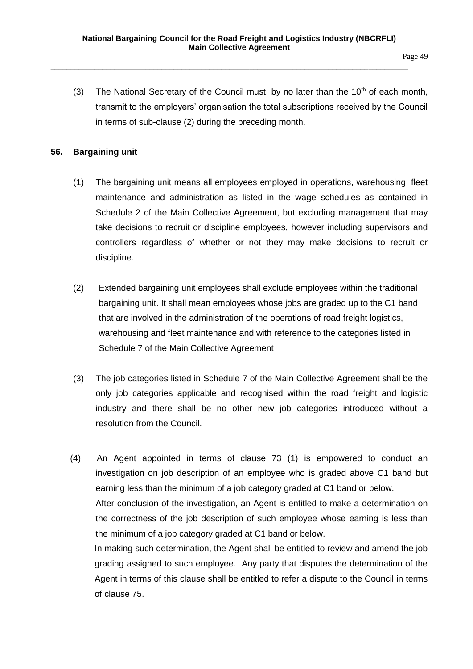(3) The National Secretary of the Council must, by no later than the  $10<sup>th</sup>$  of each month, transmit to the employers' organisation the total subscriptions received by the Council in terms of sub-clause (2) during the preceding month.

### **56. Bargaining unit**

- (1) The bargaining unit means all employees employed in operations, warehousing, fleet maintenance and administration as listed in the wage schedules as contained in Schedule 2 of the Main Collective Agreement, but excluding management that may take decisions to recruit or discipline employees, however including supervisors and controllers regardless of whether or not they may make decisions to recruit or discipline.
- (2) Extended bargaining unit employees shall exclude employees within the traditional bargaining unit. It shall mean employees whose jobs are graded up to the C1 band that are involved in the administration of the operations of road freight logistics, warehousing and fleet maintenance and with reference to the categories listed in Schedule 7 of the Main Collective Agreement
- (3) The job categories listed in Schedule 7 of the Main Collective Agreement shall be the only job categories applicable and recognised within the road freight and logistic industry and there shall be no other new job categories introduced without a resolution from the Council.
- (4) An Agent appointed in terms of clause 73 (1) is empowered to conduct an investigation on job description of an employee who is graded above C1 band but earning less than the minimum of a job category graded at C1 band or below. After conclusion of the investigation, an Agent is entitled to make a determination on the correctness of the job description of such employee whose earning is less than the minimum of a job category graded at C1 band or below. In making such determination, the Agent shall be entitled to review and amend the job grading assigned to such employee. Any party that disputes the determination of the Agent in terms of this clause shall be entitled to refer a dispute to the Council in terms of clause 75.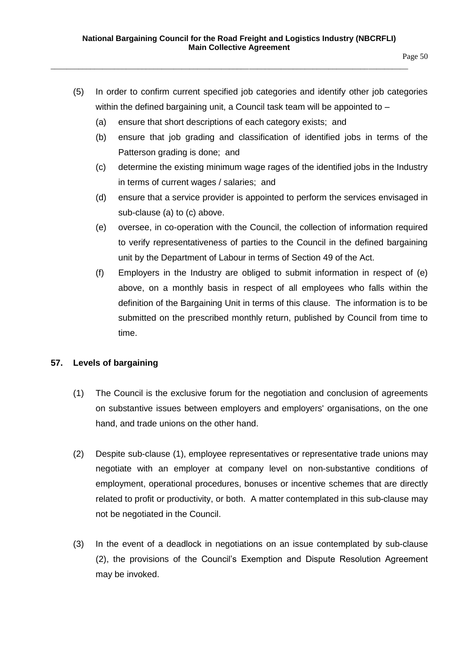- (5) In order to confirm current specified job categories and identify other job categories within the defined bargaining unit, a Council task team will be appointed to -
	- (a) ensure that short descriptions of each category exists; and
	- (b) ensure that job grading and classification of identified jobs in terms of the Patterson grading is done; and
	- (c) determine the existing minimum wage rages of the identified jobs in the Industry in terms of current wages / salaries; and
	- (d) ensure that a service provider is appointed to perform the services envisaged in sub-clause (a) to (c) above.
	- (e) oversee, in co-operation with the Council, the collection of information required to verify representativeness of parties to the Council in the defined bargaining unit by the Department of Labour in terms of Section 49 of the Act.
	- (f) Employers in the Industry are obliged to submit information in respect of (e) above, on a monthly basis in respect of all employees who falls within the definition of the Bargaining Unit in terms of this clause. The information is to be submitted on the prescribed monthly return, published by Council from time to time.

### **57. Levels of bargaining**

- (1) The Council is the exclusive forum for the negotiation and conclusion of agreements on substantive issues between employers and employers' organisations, on the one hand, and trade unions on the other hand.
- (2) Despite sub-clause (1), employee representatives or representative trade unions may negotiate with an employer at company level on non-substantive conditions of employment, operational procedures, bonuses or incentive schemes that are directly related to profit or productivity, or both. A matter contemplated in this sub-clause may not be negotiated in the Council.
- (3) In the event of a deadlock in negotiations on an issue contemplated by sub-clause (2), the provisions of the Council's Exemption and Dispute Resolution Agreement may be invoked.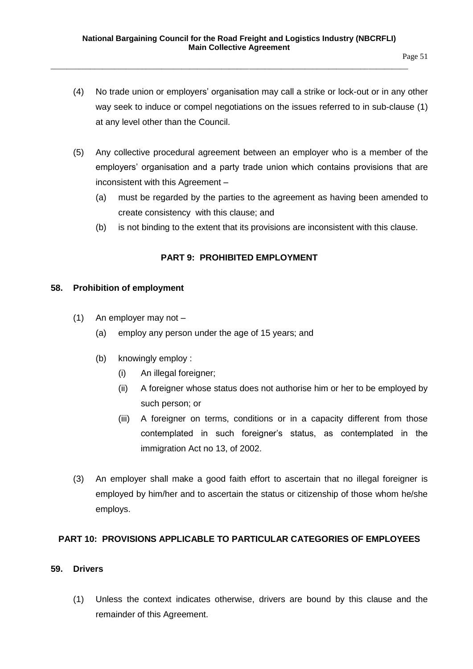- (4) No trade union or employers' organisation may call a strike or lock-out or in any other way seek to induce or compel negotiations on the issues referred to in sub-clause (1) at any level other than the Council.
- (5) Any collective procedural agreement between an employer who is a member of the employers' organisation and a party trade union which contains provisions that are inconsistent with this Agreement –
	- (a) must be regarded by the parties to the agreement as having been amended to create consistency with this clause; and
	- (b) is not binding to the extent that its provisions are inconsistent with this clause.

# **PART 9: PROHIBITED EMPLOYMENT**

### **58. Prohibition of employment**

- (1) An employer may not
	- (a) employ any person under the age of 15 years; and
	- (b) knowingly employ :
		- (i) An illegal foreigner;
		- (ii) A foreigner whose status does not authorise him or her to be employed by such person; or
		- (iii) A foreigner on terms, conditions or in a capacity different from those contemplated in such foreigner's status, as contemplated in the immigration Act no 13, of 2002.
- (3) An employer shall make a good faith effort to ascertain that no illegal foreigner is employed by him/her and to ascertain the status or citizenship of those whom he/she employs.

### **PART 10: PROVISIONS APPLICABLE TO PARTICULAR CATEGORIES OF EMPLOYEES**

#### **59. Drivers**

(1) Unless the context indicates otherwise, drivers are bound by this clause and the remainder of this Agreement.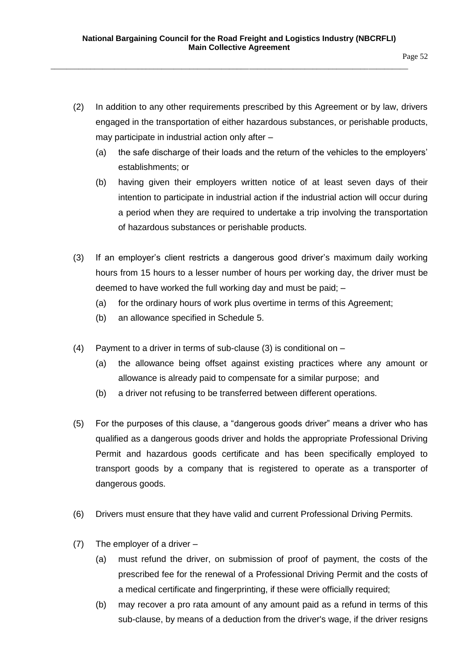- (2) In addition to any other requirements prescribed by this Agreement or by law, drivers engaged in the transportation of either hazardous substances, or perishable products, may participate in industrial action only after –
	- (a) the safe discharge of their loads and the return of the vehicles to the employers' establishments; or
	- (b) having given their employers written notice of at least seven days of their intention to participate in industrial action if the industrial action will occur during a period when they are required to undertake a trip involving the transportation of hazardous substances or perishable products.
- (3) If an employer's client restricts a dangerous good driver's maximum daily working hours from 15 hours to a lesser number of hours per working day, the driver must be deemed to have worked the full working day and must be paid; –
	- (a) for the ordinary hours of work plus overtime in terms of this Agreement;
	- (b) an allowance specified in Schedule 5.
- (4) Payment to a driver in terms of sub-clause (3) is conditional on
	- (a) the allowance being offset against existing practices where any amount or allowance is already paid to compensate for a similar purpose; and
	- (b) a driver not refusing to be transferred between different operations.
- (5) For the purposes of this clause, a "dangerous goods driver" means a driver who has qualified as a dangerous goods driver and holds the appropriate Professional Driving Permit and hazardous goods certificate and has been specifically employed to transport goods by a company that is registered to operate as a transporter of dangerous goods.
- (6) Drivers must ensure that they have valid and current Professional Driving Permits.
- (7) The employer of a driver
	- (a) must refund the driver, on submission of proof of payment, the costs of the prescribed fee for the renewal of a Professional Driving Permit and the costs of a medical certificate and fingerprinting, if these were officially required;
	- (b) may recover a pro rata amount of any amount paid as a refund in terms of this sub-clause, by means of a deduction from the driver's wage, if the driver resigns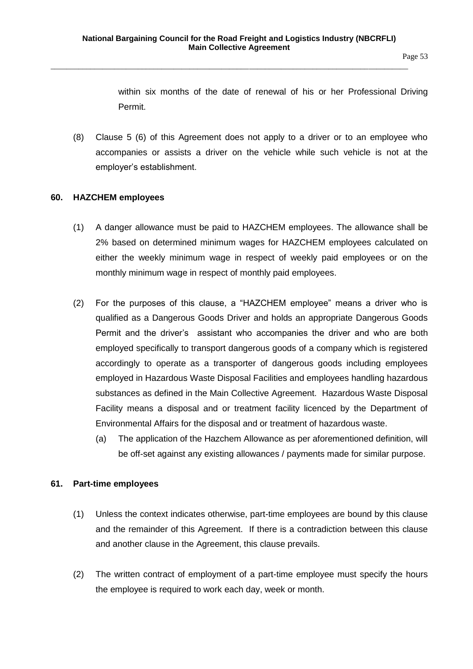within six months of the date of renewal of his or her Professional Driving Permit.

(8) Clause 5 (6) of this Agreement does not apply to a driver or to an employee who accompanies or assists a driver on the vehicle while such vehicle is not at the employer's establishment.

### **60. HAZCHEM employees**

- (1) A danger allowance must be paid to HAZCHEM employees. The allowance shall be 2% based on determined minimum wages for HAZCHEM employees calculated on either the weekly minimum wage in respect of weekly paid employees or on the monthly minimum wage in respect of monthly paid employees.
- (2) For the purposes of this clause, a "HAZCHEM employee" means a driver who is qualified as a Dangerous Goods Driver and holds an appropriate Dangerous Goods Permit and the driver's assistant who accompanies the driver and who are both employed specifically to transport dangerous goods of a company which is registered accordingly to operate as a transporter of dangerous goods including employees employed in Hazardous Waste Disposal Facilities and employees handling hazardous substances as defined in the Main Collective Agreement. Hazardous Waste Disposal Facility means a disposal and or treatment facility licenced by the Department of Environmental Affairs for the disposal and or treatment of hazardous waste.
	- (a) The application of the Hazchem Allowance as per aforementioned definition, will be off-set against any existing allowances / payments made for similar purpose.

### **61. Part-time employees**

- (1) Unless the context indicates otherwise, part-time employees are bound by this clause and the remainder of this Agreement. If there is a contradiction between this clause and another clause in the Agreement, this clause prevails.
- (2) The written contract of employment of a part-time employee must specify the hours the employee is required to work each day, week or month.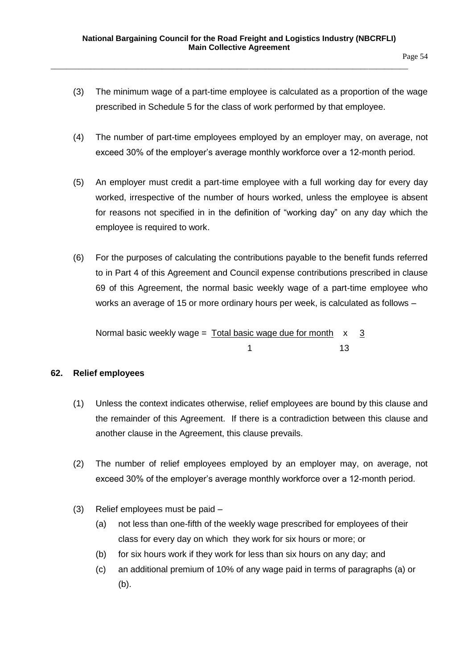- Page 54
- (3) The minimum wage of a part-time employee is calculated as a proportion of the wage prescribed in Schedule 5 for the class of work performed by that employee.
- (4) The number of part-time employees employed by an employer may, on average, not exceed 30% of the employer's average monthly workforce over a 12-month period.
- (5) An employer must credit a part-time employee with a full working day for every day worked, irrespective of the number of hours worked, unless the employee is absent for reasons not specified in in the definition of "working day" on any day which the employee is required to work.
- (6) For the purposes of calculating the contributions payable to the benefit funds referred to in Part 4 of this Agreement and Council expense contributions prescribed in clause 69 of this Agreement, the normal basic weekly wage of a part-time employee who works an average of 15 or more ordinary hours per week, is calculated as follows –

Normal basic weekly wage =  $Total basic wage due for month x 3$ 1 13

### **62. Relief employees**

- (1) Unless the context indicates otherwise, relief employees are bound by this clause and the remainder of this Agreement. If there is a contradiction between this clause and another clause in the Agreement, this clause prevails.
- (2) The number of relief employees employed by an employer may, on average, not exceed 30% of the employer's average monthly workforce over a 12-month period.
- (3) Relief employees must be paid
	- (a) not less than one-fifth of the weekly wage prescribed for employees of their class for every day on which they work for six hours or more; or
	- (b) for six hours work if they work for less than six hours on any day; and
	- (c) an additional premium of 10% of any wage paid in terms of paragraphs (a) or (b).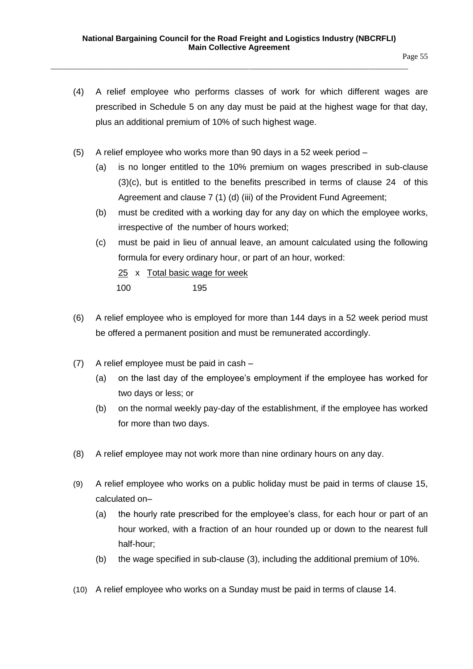- (4) A relief employee who performs classes of work for which different wages are prescribed in Schedule 5 on any day must be paid at the highest wage for that day, plus an additional premium of 10% of such highest wage.
- (5) A relief employee who works more than 90 days in a 52 week period
	- (a) is no longer entitled to the 10% premium on wages prescribed in sub-clause (3)(c), but is entitled to the benefits prescribed in terms of clause 24 of this Agreement and clause 7 (1) (d) (iii) of the Provident Fund Agreement;
	- (b) must be credited with a working day for any day on which the employee works, irrespective of the number of hours worked;
	- (c) must be paid in lieu of annual leave, an amount calculated using the following formula for every ordinary hour, or part of an hour, worked:
		- 25 x Total basic wage for week
		- 100 195
- (6) A relief employee who is employed for more than 144 days in a 52 week period must be offered a permanent position and must be remunerated accordingly.
- (7) A relief employee must be paid in cash
	- (a) on the last day of the employee's employment if the employee has worked for two days or less; or
	- (b) on the normal weekly pay-day of the establishment, if the employee has worked for more than two days.
- (8) A relief employee may not work more than nine ordinary hours on any day.
- (9) A relief employee who works on a public holiday must be paid in terms of clause 15, calculated on–
	- (a) the hourly rate prescribed for the employee's class, for each hour or part of an hour worked, with a fraction of an hour rounded up or down to the nearest full half-hour;
	- (b) the wage specified in sub-clause (3), including the additional premium of 10%.
- (10) A relief employee who works on a Sunday must be paid in terms of clause 14.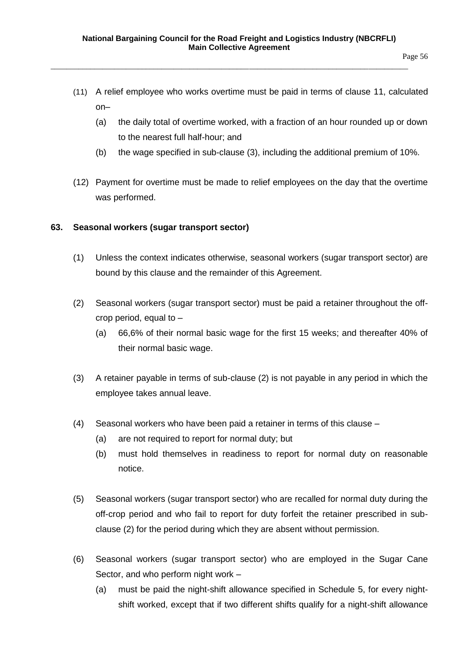- (11) A relief employee who works overtime must be paid in terms of clause 11, calculated on–
	- (a) the daily total of overtime worked, with a fraction of an hour rounded up or down to the nearest full half-hour; and
	- (b) the wage specified in sub-clause (3), including the additional premium of 10%.
- (12) Payment for overtime must be made to relief employees on the day that the overtime was performed.

#### **63. Seasonal workers (sugar transport sector)**

- (1) Unless the context indicates otherwise, seasonal workers (sugar transport sector) are bound by this clause and the remainder of this Agreement.
- (2) Seasonal workers (sugar transport sector) must be paid a retainer throughout the offcrop period, equal to –
	- (a) 66,6% of their normal basic wage for the first 15 weeks; and thereafter 40% of their normal basic wage.
- (3) A retainer payable in terms of sub-clause (2) is not payable in any period in which the employee takes annual leave.
- (4) Seasonal workers who have been paid a retainer in terms of this clause
	- (a) are not required to report for normal duty; but
	- (b) must hold themselves in readiness to report for normal duty on reasonable notice.
- (5) Seasonal workers (sugar transport sector) who are recalled for normal duty during the off-crop period and who fail to report for duty forfeit the retainer prescribed in subclause (2) for the period during which they are absent without permission.
- (6) Seasonal workers (sugar transport sector) who are employed in the Sugar Cane Sector, and who perform night work –
	- (a) must be paid the night-shift allowance specified in Schedule 5, for every nightshift worked, except that if two different shifts qualify for a night-shift allowance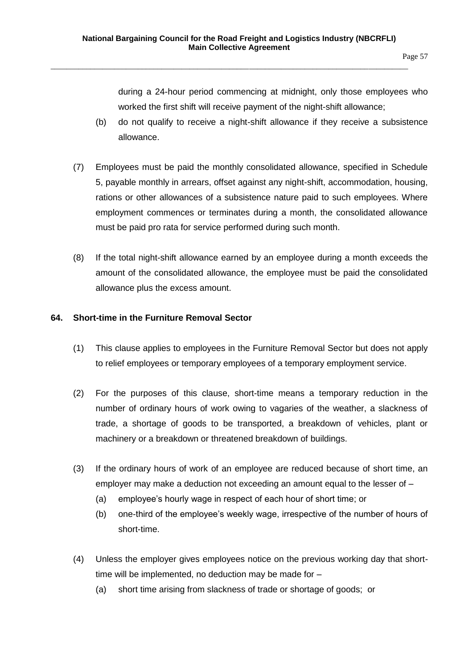during a 24-hour period commencing at midnight, only those employees who worked the first shift will receive payment of the night-shift allowance;

- (b) do not qualify to receive a night-shift allowance if they receive a subsistence allowance.
- (7) Employees must be paid the monthly consolidated allowance, specified in Schedule 5, payable monthly in arrears, offset against any night-shift, accommodation, housing, rations or other allowances of a subsistence nature paid to such employees. Where employment commences or terminates during a month, the consolidated allowance must be paid pro rata for service performed during such month.
- (8) If the total night-shift allowance earned by an employee during a month exceeds the amount of the consolidated allowance, the employee must be paid the consolidated allowance plus the excess amount.

# **64. Short-time in the Furniture Removal Sector**

- (1) This clause applies to employees in the Furniture Removal Sector but does not apply to relief employees or temporary employees of a temporary employment service.
- (2) For the purposes of this clause, short-time means a temporary reduction in the number of ordinary hours of work owing to vagaries of the weather, a slackness of trade, a shortage of goods to be transported, a breakdown of vehicles, plant or machinery or a breakdown or threatened breakdown of buildings.
- (3) If the ordinary hours of work of an employee are reduced because of short time, an employer may make a deduction not exceeding an amount equal to the lesser of –
	- (a) employee's hourly wage in respect of each hour of short time; or
	- (b) one-third of the employee's weekly wage, irrespective of the number of hours of short-time.
- (4) Unless the employer gives employees notice on the previous working day that shorttime will be implemented, no deduction may be made for –
	- (a) short time arising from slackness of trade or shortage of goods; or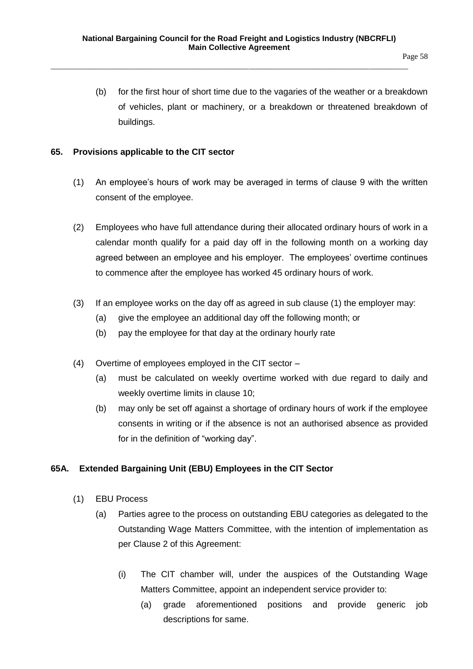(b) for the first hour of short time due to the vagaries of the weather or a breakdown of vehicles, plant or machinery, or a breakdown or threatened breakdown of buildings.

### **65. Provisions applicable to the CIT sector**

- (1) An employee's hours of work may be averaged in terms of clause 9 with the written consent of the employee.
- (2) Employees who have full attendance during their allocated ordinary hours of work in a calendar month qualify for a paid day off in the following month on a working day agreed between an employee and his employer. The employees' overtime continues to commence after the employee has worked 45 ordinary hours of work.
- (3) If an employee works on the day off as agreed in sub clause (1) the employer may:
	- (a) give the employee an additional day off the following month; or
	- (b) pay the employee for that day at the ordinary hourly rate
- (4) Overtime of employees employed in the CIT sector
	- (a) must be calculated on weekly overtime worked with due regard to daily and weekly overtime limits in clause 10;
	- (b) may only be set off against a shortage of ordinary hours of work if the employee consents in writing or if the absence is not an authorised absence as provided for in the definition of "working day".

# **65A. Extended Bargaining Unit (EBU) Employees in the CIT Sector**

- (1) EBU Process
	- (a) Parties agree to the process on outstanding EBU categories as delegated to the Outstanding Wage Matters Committee, with the intention of implementation as per Clause 2 of this Agreement:
		- (i) The CIT chamber will, under the auspices of the Outstanding Wage Matters Committee, appoint an independent service provider to:
			- (a) grade aforementioned positions and provide generic job descriptions for same.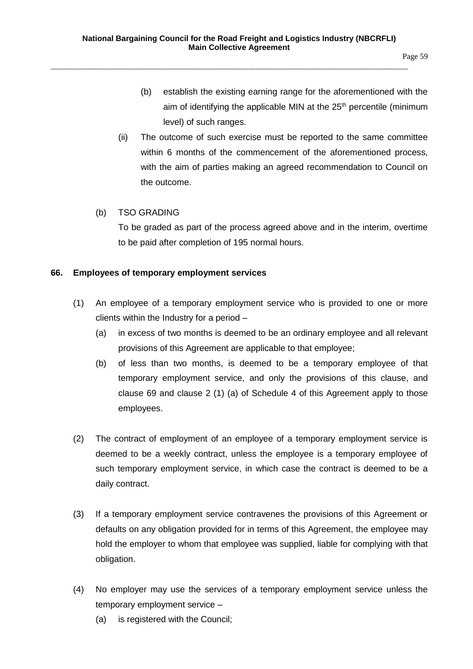- (b) establish the existing earning range for the aforementioned with the aim of identifying the applicable MIN at the  $25<sup>th</sup>$  percentile (minimum level) of such ranges.
- (ii) The outcome of such exercise must be reported to the same committee within 6 months of the commencement of the aforementioned process, with the aim of parties making an agreed recommendation to Council on the outcome.

### (b) TSO GRADING

To be graded as part of the process agreed above and in the interim, overtime to be paid after completion of 195 normal hours.

### **66. Employees of temporary employment services**

- (1) An employee of a temporary employment service who is provided to one or more clients within the Industry for a period –
	- (a) in excess of two months is deemed to be an ordinary employee and all relevant provisions of this Agreement are applicable to that employee;
	- (b) of less than two months, is deemed to be a temporary employee of that temporary employment service, and only the provisions of this clause, and clause 69 and clause 2 (1) (a) of Schedule 4 of this Agreement apply to those employees.
- (2) The contract of employment of an employee of a temporary employment service is deemed to be a weekly contract, unless the employee is a temporary employee of such temporary employment service, in which case the contract is deemed to be a daily contract.
- (3) If a temporary employment service contravenes the provisions of this Agreement or defaults on any obligation provided for in terms of this Agreement, the employee may hold the employer to whom that employee was supplied, liable for complying with that obligation.
- (4) No employer may use the services of a temporary employment service unless the temporary employment service –
	- (a) is registered with the Council;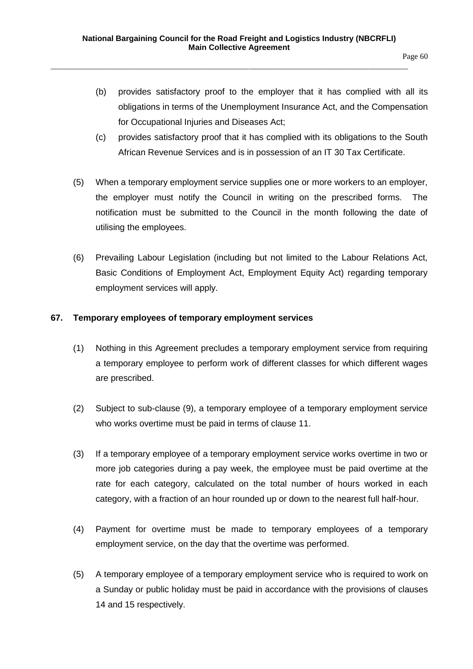- (b) provides satisfactory proof to the employer that it has complied with all its obligations in terms of the Unemployment Insurance Act, and the Compensation for Occupational Injuries and Diseases Act;
- (c) provides satisfactory proof that it has complied with its obligations to the South African Revenue Services and is in possession of an IT 30 Tax Certificate.
- (5) When a temporary employment service supplies one or more workers to an employer, the employer must notify the Council in writing on the prescribed forms. The notification must be submitted to the Council in the month following the date of utilising the employees.
- (6) Prevailing Labour Legislation (including but not limited to the Labour Relations Act, Basic Conditions of Employment Act, Employment Equity Act) regarding temporary employment services will apply.

### **67. Temporary employees of temporary employment services**

- (1) Nothing in this Agreement precludes a temporary employment service from requiring a temporary employee to perform work of different classes for which different wages are prescribed.
- (2) Subject to sub-clause (9), a temporary employee of a temporary employment service who works overtime must be paid in terms of clause 11.
- (3) If a temporary employee of a temporary employment service works overtime in two or more job categories during a pay week, the employee must be paid overtime at the rate for each category, calculated on the total number of hours worked in each category, with a fraction of an hour rounded up or down to the nearest full half-hour.
- (4) Payment for overtime must be made to temporary employees of a temporary employment service, on the day that the overtime was performed.
- (5) A temporary employee of a temporary employment service who is required to work on a Sunday or public holiday must be paid in accordance with the provisions of clauses 14 and 15 respectively.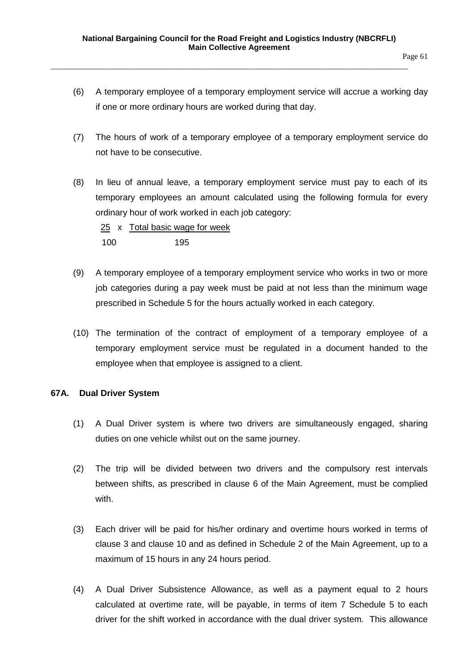- (6) A temporary employee of a temporary employment service will accrue a working day if one or more ordinary hours are worked during that day.
- (7) The hours of work of a temporary employee of a temporary employment service do not have to be consecutive.
- (8) In lieu of annual leave, a temporary employment service must pay to each of its temporary employees an amount calculated using the following formula for every ordinary hour of work worked in each job category:

 25 x Total basic wage for week 100 195

- (9) A temporary employee of a temporary employment service who works in two or more job categories during a pay week must be paid at not less than the minimum wage prescribed in Schedule 5 for the hours actually worked in each category.
- (10) The termination of the contract of employment of a temporary employee of a temporary employment service must be regulated in a document handed to the employee when that employee is assigned to a client.

### **67A. Dual Driver System**

- (1) A Dual Driver system is where two drivers are simultaneously engaged, sharing duties on one vehicle whilst out on the same journey.
- (2) The trip will be divided between two drivers and the compulsory rest intervals between shifts, as prescribed in clause 6 of the Main Agreement, must be complied with.
- (3) Each driver will be paid for his/her ordinary and overtime hours worked in terms of clause 3 and clause 10 and as defined in Schedule 2 of the Main Agreement, up to a maximum of 15 hours in any 24 hours period.
- (4) A Dual Driver Subsistence Allowance, as well as a payment equal to 2 hours calculated at overtime rate, will be payable, in terms of item 7 Schedule 5 to each driver for the shift worked in accordance with the dual driver system. This allowance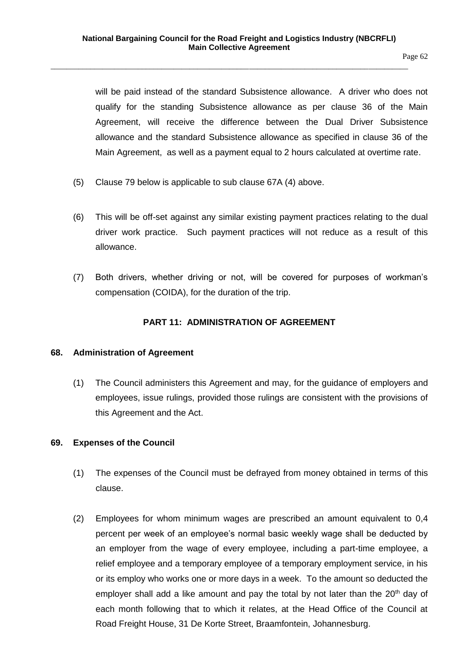will be paid instead of the standard Subsistence allowance. A driver who does not qualify for the standing Subsistence allowance as per clause 36 of the Main Agreement, will receive the difference between the Dual Driver Subsistence allowance and the standard Subsistence allowance as specified in clause 36 of the Main Agreement, as well as a payment equal to 2 hours calculated at overtime rate.

- (5) Clause 79 below is applicable to sub clause 67A (4) above.
- (6) This will be off-set against any similar existing payment practices relating to the dual driver work practice. Such payment practices will not reduce as a result of this allowance.
- (7) Both drivers, whether driving or not, will be covered for purposes of workman's compensation (COIDA), for the duration of the trip.

### **PART 11: ADMINISTRATION OF AGREEMENT**

### **68. Administration of Agreement**

(1) The Council administers this Agreement and may, for the guidance of employers and employees, issue rulings, provided those rulings are consistent with the provisions of this Agreement and the Act.

### **69. Expenses of the Council**

- (1) The expenses of the Council must be defrayed from money obtained in terms of this clause.
- (2) Employees for whom minimum wages are prescribed an amount equivalent to 0,4 percent per week of an employee's normal basic weekly wage shall be deducted by an employer from the wage of every employee, including a part-time employee, a relief employee and a temporary employee of a temporary employment service, in his or its employ who works one or more days in a week. To the amount so deducted the employer shall add a like amount and pay the total by not later than the  $20<sup>th</sup>$  day of each month following that to which it relates, at the Head Office of the Council at Road Freight House, 31 De Korte Street, Braamfontein, Johannesburg.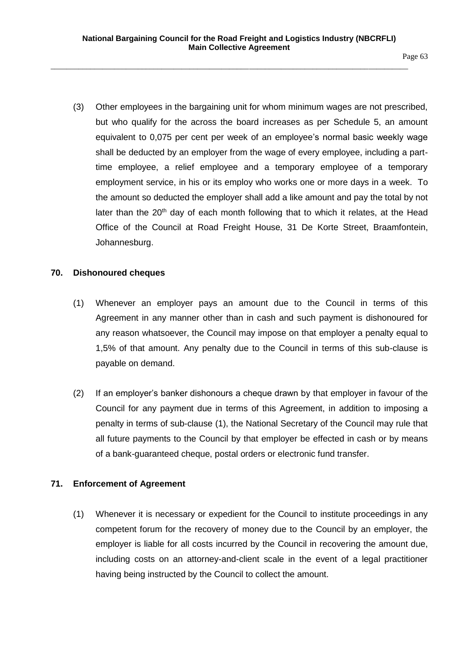Page 63

(3) Other employees in the bargaining unit for whom minimum wages are not prescribed, but who qualify for the across the board increases as per Schedule 5, an amount equivalent to 0,075 per cent per week of an employee's normal basic weekly wage shall be deducted by an employer from the wage of every employee, including a parttime employee, a relief employee and a temporary employee of a temporary employment service, in his or its employ who works one or more days in a week. To the amount so deducted the employer shall add a like amount and pay the total by not later than the  $20<sup>th</sup>$  day of each month following that to which it relates, at the Head Office of the Council at Road Freight House, 31 De Korte Street, Braamfontein, Johannesburg.

# **70. Dishonoured cheques**

- (1) Whenever an employer pays an amount due to the Council in terms of this Agreement in any manner other than in cash and such payment is dishonoured for any reason whatsoever, the Council may impose on that employer a penalty equal to 1,5% of that amount. Any penalty due to the Council in terms of this sub-clause is payable on demand.
- (2) If an employer's banker dishonours a cheque drawn by that employer in favour of the Council for any payment due in terms of this Agreement, in addition to imposing a penalty in terms of sub-clause (1), the National Secretary of the Council may rule that all future payments to the Council by that employer be effected in cash or by means of a bank-guaranteed cheque, postal orders or electronic fund transfer.

# **71. Enforcement of Agreement**

(1) Whenever it is necessary or expedient for the Council to institute proceedings in any competent forum for the recovery of money due to the Council by an employer, the employer is liable for all costs incurred by the Council in recovering the amount due, including costs on an attorney-and-client scale in the event of a legal practitioner having being instructed by the Council to collect the amount.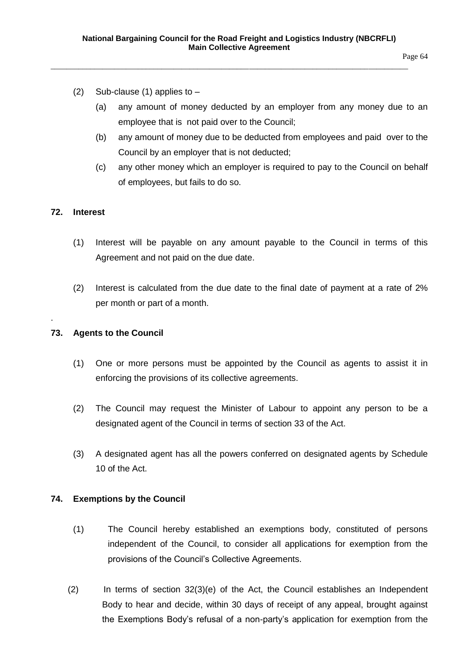Page 64

- (2) Sub-clause (1) applies to  $-$ 
	- (a) any amount of money deducted by an employer from any money due to an employee that is not paid over to the Council;
	- (b) any amount of money due to be deducted from employees and paid over to the Council by an employer that is not deducted;
	- (c) any other money which an employer is required to pay to the Council on behalf of employees, but fails to do so.

### **72. Interest**

.

- (1) Interest will be payable on any amount payable to the Council in terms of this Agreement and not paid on the due date.
- (2) Interest is calculated from the due date to the final date of payment at a rate of 2% per month or part of a month.

## **73. Agents to the Council**

- (1) One or more persons must be appointed by the Council as agents to assist it in enforcing the provisions of its collective agreements.
- (2) The Council may request the Minister of Labour to appoint any person to be a designated agent of the Council in terms of section 33 of the Act.
- (3) A designated agent has all the powers conferred on designated agents by Schedule 10 of the Act.

### **74. Exemptions by the Council**

- (1) The Council hereby established an exemptions body, constituted of persons independent of the Council, to consider all applications for exemption from the provisions of the Council's Collective Agreements.
- (2) In terms of section 32(3)(e) of the Act, the Council establishes an Independent Body to hear and decide, within 30 days of receipt of any appeal, brought against the Exemptions Body's refusal of a non-party's application for exemption from the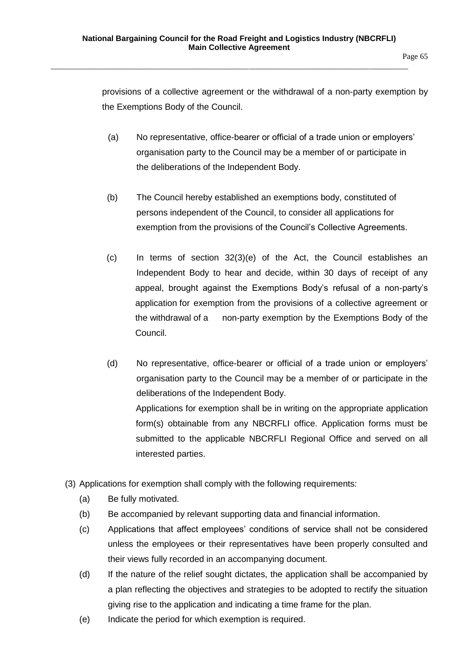provisions of a collective agreement or the withdrawal of a non-party exemption by the Exemptions Body of the Council.

- (a) No representative, office-bearer or official of a trade union or employers' organisation party to the Council may be a member of or participate in the deliberations of the Independent Body.
- (b) The Council hereby established an exemptions body, constituted of persons independent of the Council, to consider all applications for exemption from the provisions of the Council's Collective Agreements.
- (c) In terms of section 32(3)(e) of the Act, the Council establishes an Independent Body to hear and decide, within 30 days of receipt of any appeal, brought against the Exemptions Body's refusal of a non-party's application for exemption from the provisions of a collective agreement or the withdrawal of a non-party exemption by the Exemptions Body of the Council.
- (d) No representative, office-bearer or official of a trade union or employers' organisation party to the Council may be a member of or participate in the deliberations of the Independent Body. Applications for exemption shall be in writing on the appropriate application

form(s) obtainable from any NBCRFLI office. Application forms must be submitted to the applicable NBCRFLI Regional Office and served on all interested parties.

- (3) Applications for exemption shall comply with the following requirements:
	- (a) Be fully motivated.
	- (b) Be accompanied by relevant supporting data and financial information.
	- (c) Applications that affect employees' conditions of service shall not be considered unless the employees or their representatives have been properly consulted and their views fully recorded in an accompanying document.
	- (d) If the nature of the relief sought dictates, the application shall be accompanied by a plan reflecting the objectives and strategies to be adopted to rectify the situation giving rise to the application and indicating a time frame for the plan.
	- (e) Indicate the period for which exemption is required.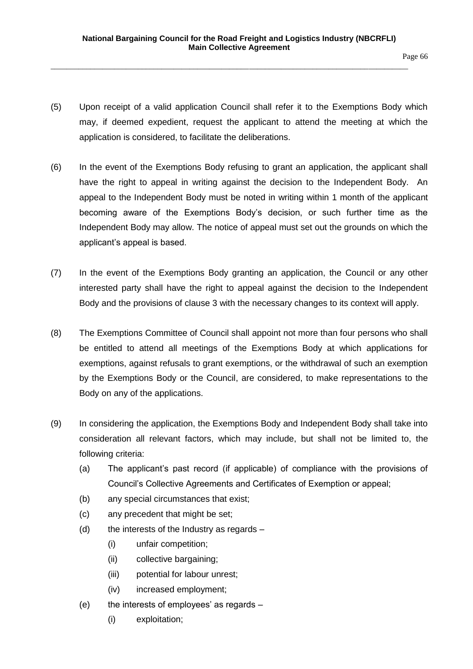- (5) Upon receipt of a valid application Council shall refer it to the Exemptions Body which may, if deemed expedient, request the applicant to attend the meeting at which the application is considered, to facilitate the deliberations.
- (6) In the event of the Exemptions Body refusing to grant an application, the applicant shall have the right to appeal in writing against the decision to the Independent Body. An appeal to the Independent Body must be noted in writing within 1 month of the applicant becoming aware of the Exemptions Body's decision, or such further time as the Independent Body may allow. The notice of appeal must set out the grounds on which the applicant's appeal is based.
- (7) In the event of the Exemptions Body granting an application, the Council or any other interested party shall have the right to appeal against the decision to the Independent Body and the provisions of clause 3 with the necessary changes to its context will apply.
- (8) The Exemptions Committee of Council shall appoint not more than four persons who shall be entitled to attend all meetings of the Exemptions Body at which applications for exemptions, against refusals to grant exemptions, or the withdrawal of such an exemption by the Exemptions Body or the Council, are considered, to make representations to the Body on any of the applications.
- (9) In considering the application, the Exemptions Body and Independent Body shall take into consideration all relevant factors, which may include, but shall not be limited to, the following criteria:
	- (a) The applicant's past record (if applicable) of compliance with the provisions of Council's Collective Agreements and Certificates of Exemption or appeal;
	- (b) any special circumstances that exist;
	- (c) any precedent that might be set;
	- (d) the interests of the Industry as regards  $-$ 
		- (i) unfair competition;
		- (ii) collective bargaining;
		- (iii) potential for labour unrest;
		- (iv) increased employment;
	- (e) the interests of employees' as regards
		- (i) exploitation;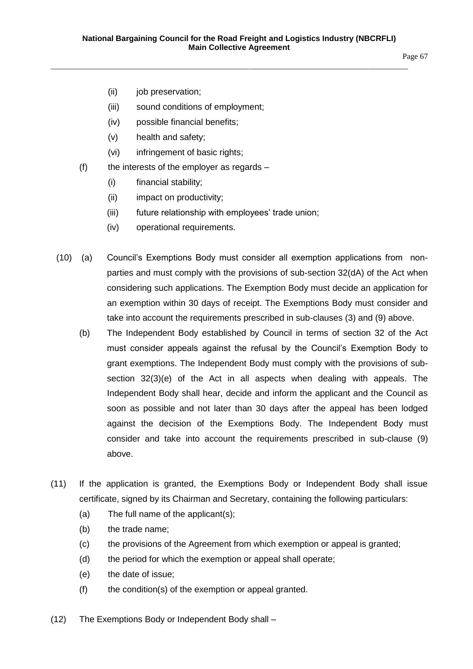Page 67

- (ii) job preservation;
- (iii) sound conditions of employment;
- (iv) possible financial benefits;
- (v) health and safety;
- (vi) infringement of basic rights;
- $(f)$  the interests of the employer as regards
	- (i) financial stability;
	- (ii) impact on productivity;
	- (iii) future relationship with employees' trade union;
	- (iv) operational requirements.
- (10) (a) Council's Exemptions Body must consider all exemption applications from nonparties and must comply with the provisions of sub-section 32(dA) of the Act when considering such applications. The Exemption Body must decide an application for an exemption within 30 days of receipt. The Exemptions Body must consider and take into account the requirements prescribed in sub-clauses (3) and (9) above.
	- (b) The Independent Body established by Council in terms of section 32 of the Act must consider appeals against the refusal by the Council's Exemption Body to grant exemptions. The Independent Body must comply with the provisions of subsection 32(3)(e) of the Act in all aspects when dealing with appeals. The Independent Body shall hear, decide and inform the applicant and the Council as soon as possible and not later than 30 days after the appeal has been lodged against the decision of the Exemptions Body. The Independent Body must consider and take into account the requirements prescribed in sub-clause (9) above.
- (11) If the application is granted, the Exemptions Body or Independent Body shall issue certificate, signed by its Chairman and Secretary, containing the following particulars:
	- (a) The full name of the applicant(s);
	- (b) the trade name;
	- (c) the provisions of the Agreement from which exemption or appeal is granted;
	- (d) the period for which the exemption or appeal shall operate;
	- (e) the date of issue;
	- (f) the condition(s) of the exemption or appeal granted.
- (12) The Exemptions Body or Independent Body shall –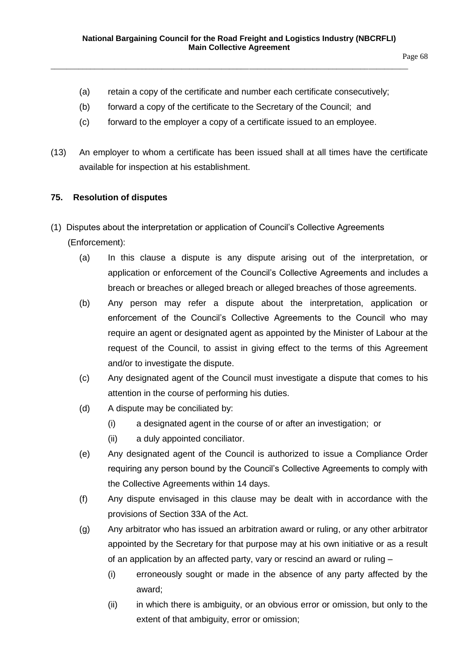- (a) retain a copy of the certificate and number each certificate consecutively;
- (b) forward a copy of the certificate to the Secretary of the Council; and

- (c) forward to the employer a copy of a certificate issued to an employee.
- (13) An employer to whom a certificate has been issued shall at all times have the certificate available for inspection at his establishment.

### **75. Resolution of disputes**

- (1) Disputes about the interpretation or application of Council's Collective Agreements (Enforcement):
	- (a) In this clause a dispute is any dispute arising out of the interpretation, or application or enforcement of the Council's Collective Agreements and includes a breach or breaches or alleged breach or alleged breaches of those agreements.
	- (b) Any person may refer a dispute about the interpretation, application or enforcement of the Council's Collective Agreements to the Council who may require an agent or designated agent as appointed by the Minister of Labour at the request of the Council, to assist in giving effect to the terms of this Agreement and/or to investigate the dispute.
	- (c) Any designated agent of the Council must investigate a dispute that comes to his attention in the course of performing his duties.
	- (d) A dispute may be conciliated by:
		- (i) a designated agent in the course of or after an investigation; or
		- (ii) a duly appointed conciliator.
	- (e) Any designated agent of the Council is authorized to issue a Compliance Order requiring any person bound by the Council's Collective Agreements to comply with the Collective Agreements within 14 days.
	- (f) Any dispute envisaged in this clause may be dealt with in accordance with the provisions of Section 33A of the Act.
	- (g) Any arbitrator who has issued an arbitration award or ruling, or any other arbitrator appointed by the Secretary for that purpose may at his own initiative or as a result of an application by an affected party, vary or rescind an award or ruling –
		- (i) erroneously sought or made in the absence of any party affected by the award;
		- (ii) in which there is ambiguity, or an obvious error or omission, but only to the extent of that ambiguity, error or omission;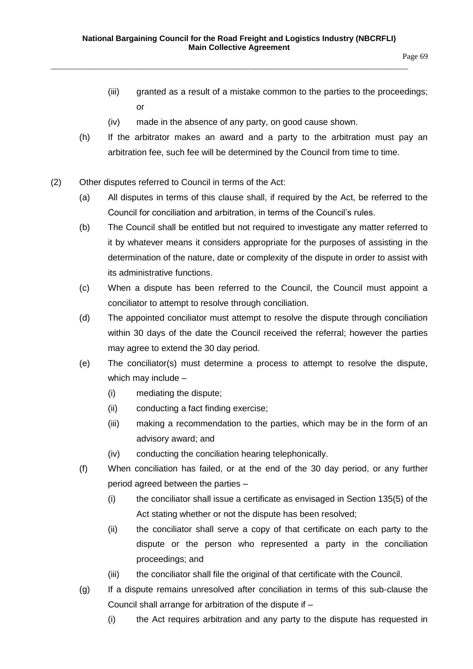- (iii) granted as a result of a mistake common to the parties to the proceedings; or
- (iv) made in the absence of any party, on good cause shown.

- (h) If the arbitrator makes an award and a party to the arbitration must pay an arbitration fee, such fee will be determined by the Council from time to time.
- (2) Other disputes referred to Council in terms of the Act:
	- (a) All disputes in terms of this clause shall, if required by the Act, be referred to the Council for conciliation and arbitration, in terms of the Council's rules.
	- (b) The Council shall be entitled but not required to investigate any matter referred to it by whatever means it considers appropriate for the purposes of assisting in the determination of the nature, date or complexity of the dispute in order to assist with its administrative functions.
	- (c) When a dispute has been referred to the Council, the Council must appoint a conciliator to attempt to resolve through conciliation.
	- (d) The appointed conciliator must attempt to resolve the dispute through conciliation within 30 days of the date the Council received the referral; however the parties may agree to extend the 30 day period.
	- (e) The conciliator(s) must determine a process to attempt to resolve the dispute, which may include –
		- (i) mediating the dispute;
		- (ii) conducting a fact finding exercise;
		- (iii) making a recommendation to the parties, which may be in the form of an advisory award; and
		- (iv) conducting the conciliation hearing telephonically.
	- (f) When conciliation has failed, or at the end of the 30 day period, or any further period agreed between the parties –
		- (i) the conciliator shall issue a certificate as envisaged in Section 135(5) of the Act stating whether or not the dispute has been resolved;
		- (ii) the conciliator shall serve a copy of that certificate on each party to the dispute or the person who represented a party in the conciliation proceedings; and
		- (iii) the conciliator shall file the original of that certificate with the Council.
	- (g) If a dispute remains unresolved after conciliation in terms of this sub-clause the Council shall arrange for arbitration of the dispute if –
		- (i) the Act requires arbitration and any party to the dispute has requested in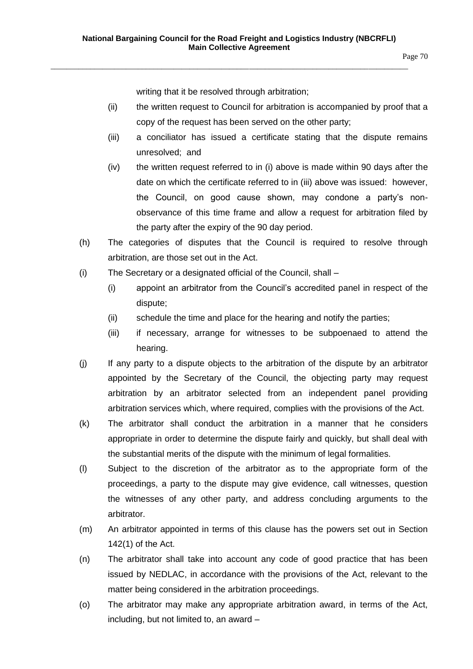Page 70

writing that it be resolved through arbitration;

\_\_\_\_\_\_\_\_\_\_\_\_\_\_\_\_\_\_\_\_\_\_\_\_\_\_\_\_\_\_\_\_\_\_\_\_\_\_\_\_\_\_\_\_\_\_\_\_\_\_\_\_\_\_\_\_\_\_\_\_\_\_\_\_\_\_\_\_\_\_\_\_\_\_\_\_\_\_\_\_\_\_\_\_\_\_\_\_\_\_

- (ii) the written request to Council for arbitration is accompanied by proof that a copy of the request has been served on the other party;
- (iii) a conciliator has issued a certificate stating that the dispute remains unresolved; and
- (iv) the written request referred to in (i) above is made within 90 days after the date on which the certificate referred to in (iii) above was issued: however, the Council, on good cause shown, may condone a party's nonobservance of this time frame and allow a request for arbitration filed by the party after the expiry of the 90 day period.
- (h) The categories of disputes that the Council is required to resolve through arbitration, are those set out in the Act.
- (i) The Secretary or a designated official of the Council, shall
	- (i) appoint an arbitrator from the Council's accredited panel in respect of the dispute;
	- (ii) schedule the time and place for the hearing and notify the parties;
	- (iii) if necessary, arrange for witnesses to be subpoenaed to attend the hearing.
- (j) If any party to a dispute objects to the arbitration of the dispute by an arbitrator appointed by the Secretary of the Council, the objecting party may request arbitration by an arbitrator selected from an independent panel providing arbitration services which, where required, complies with the provisions of the Act.
- (k) The arbitrator shall conduct the arbitration in a manner that he considers appropriate in order to determine the dispute fairly and quickly, but shall deal with the substantial merits of the dispute with the minimum of legal formalities.
- (l) Subject to the discretion of the arbitrator as to the appropriate form of the proceedings, a party to the dispute may give evidence, call witnesses, question the witnesses of any other party, and address concluding arguments to the arbitrator.
- (m) An arbitrator appointed in terms of this clause has the powers set out in Section 142(1) of the Act.
- (n) The arbitrator shall take into account any code of good practice that has been issued by NEDLAC, in accordance with the provisions of the Act, relevant to the matter being considered in the arbitration proceedings.
- (o) The arbitrator may make any appropriate arbitration award, in terms of the Act, including, but not limited to, an award –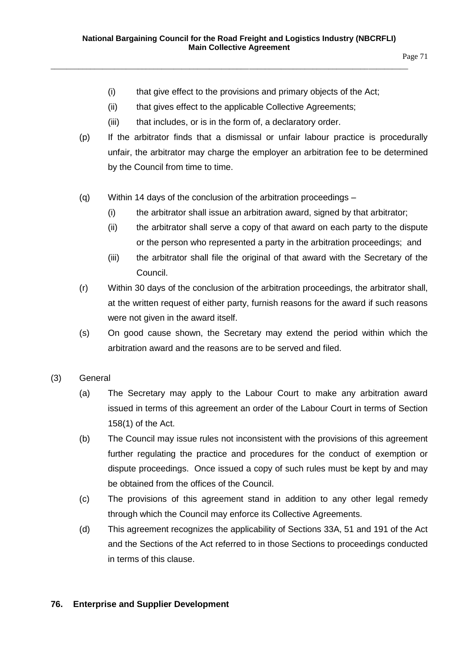- (i) that give effect to the provisions and primary objects of the Act;
- (ii) that gives effect to the applicable Collective Agreements;

- (iii) that includes, or is in the form of, a declaratory order.
- (p) If the arbitrator finds that a dismissal or unfair labour practice is procedurally unfair, the arbitrator may charge the employer an arbitration fee to be determined by the Council from time to time.
- (q) Within 14 days of the conclusion of the arbitration proceedings
	- (i) the arbitrator shall issue an arbitration award, signed by that arbitrator;
	- (ii) the arbitrator shall serve a copy of that award on each party to the dispute or the person who represented a party in the arbitration proceedings; and
	- (iii) the arbitrator shall file the original of that award with the Secretary of the Council.
- (r) Within 30 days of the conclusion of the arbitration proceedings, the arbitrator shall, at the written request of either party, furnish reasons for the award if such reasons were not given in the award itself.
- (s) On good cause shown, the Secretary may extend the period within which the arbitration award and the reasons are to be served and filed.
- (3) General
	- (a) The Secretary may apply to the Labour Court to make any arbitration award issued in terms of this agreement an order of the Labour Court in terms of Section 158(1) of the Act.
	- (b) The Council may issue rules not inconsistent with the provisions of this agreement further regulating the practice and procedures for the conduct of exemption or dispute proceedings. Once issued a copy of such rules must be kept by and may be obtained from the offices of the Council.
	- (c) The provisions of this agreement stand in addition to any other legal remedy through which the Council may enforce its Collective Agreements.
	- (d) This agreement recognizes the applicability of Sections 33A, 51 and 191 of the Act and the Sections of the Act referred to in those Sections to proceedings conducted in terms of this clause.

### **76. Enterprise and Supplier Development**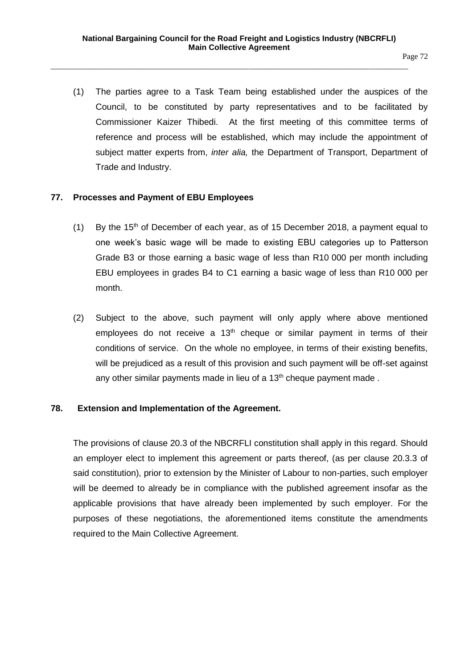(1) The parties agree to a Task Team being established under the auspices of the Council, to be constituted by party representatives and to be facilitated by Commissioner Kaizer Thibedi. At the first meeting of this committee terms of reference and process will be established, which may include the appointment of subject matter experts from, *inter alia,* the Department of Transport, Department of Trade and Industry.

#### **77. Processes and Payment of EBU Employees**

- (1) By the 15<sup>th</sup> of December of each year, as of 15 December 2018, a payment equal to one week's basic wage will be made to existing EBU categories up to Patterson Grade B3 or those earning a basic wage of less than R10 000 per month including EBU employees in grades B4 to C1 earning a basic wage of less than R10 000 per month.
- (2) Subject to the above, such payment will only apply where above mentioned employees do not receive a  $13<sup>th</sup>$  cheque or similar payment in terms of their conditions of service. On the whole no employee, in terms of their existing benefits, will be prejudiced as a result of this provision and such payment will be off-set against any other similar payments made in lieu of a  $13<sup>th</sup>$  cheque payment made.

#### **78. Extension and Implementation of the Agreement.**

The provisions of clause 20.3 of the NBCRFLI constitution shall apply in this regard. Should an employer elect to implement this agreement or parts thereof, (as per clause 20.3.3 of said constitution), prior to extension by the Minister of Labour to non-parties, such employer will be deemed to already be in compliance with the published agreement insofar as the applicable provisions that have already been implemented by such employer. For the purposes of these negotiations, the aforementioned items constitute the amendments required to the Main Collective Agreement.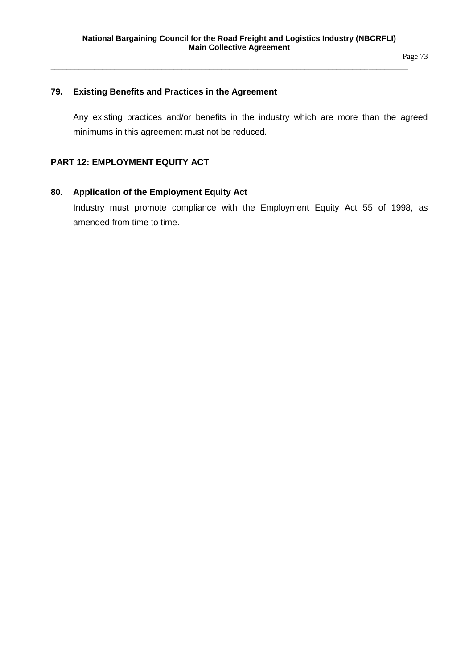Page 73

#### **79. Existing Benefits and Practices in the Agreement**

Any existing practices and/or benefits in the industry which are more than the agreed minimums in this agreement must not be reduced.

## **PART 12: EMPLOYMENT EQUITY ACT**

#### **80. Application of the Employment Equity Act**

Industry must promote compliance with the Employment Equity Act 55 of 1998, as amended from time to time.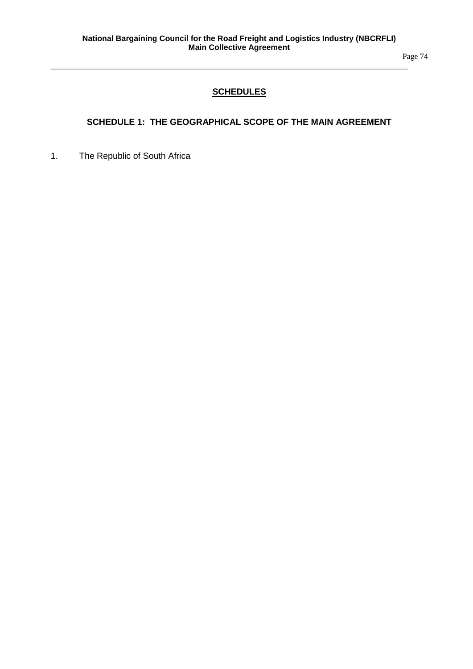Page 74

## **SCHEDULES**

\_\_\_\_\_\_\_\_\_\_\_\_\_\_\_\_\_\_\_\_\_\_\_\_\_\_\_\_\_\_\_\_\_\_\_\_\_\_\_\_\_\_\_\_\_\_\_\_\_\_\_\_\_\_\_\_\_\_\_\_\_\_\_\_\_\_\_\_\_\_\_\_\_\_\_\_\_\_\_\_\_\_\_\_\_\_\_\_\_\_

## **SCHEDULE 1: THE GEOGRAPHICAL SCOPE OF THE MAIN AGREEMENT**

1. The Republic of South Africa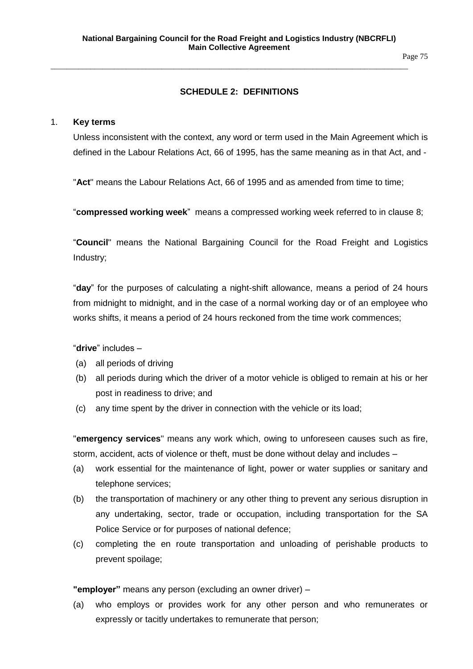Page 75

## **SCHEDULE 2: DEFINITIONS**

\_\_\_\_\_\_\_\_\_\_\_\_\_\_\_\_\_\_\_\_\_\_\_\_\_\_\_\_\_\_\_\_\_\_\_\_\_\_\_\_\_\_\_\_\_\_\_\_\_\_\_\_\_\_\_\_\_\_\_\_\_\_\_\_\_\_\_\_\_\_\_\_\_\_\_\_\_\_\_\_\_\_\_\_\_\_\_\_\_\_

#### 1. **Key terms**

Unless inconsistent with the context, any word or term used in the Main Agreement which is defined in the Labour Relations Act, 66 of 1995, has the same meaning as in that Act, and -

"**Act**" means the Labour Relations Act, 66 of 1995 and as amended from time to time;

"**compressed working week**" means a compressed working week referred to in clause 8;

"**Council**" means the National Bargaining Council for the Road Freight and Logistics Industry;

"**day**" for the purposes of calculating a night-shift allowance, means a period of 24 hours from midnight to midnight, and in the case of a normal working day or of an employee who works shifts, it means a period of 24 hours reckoned from the time work commences;

"**drive**" includes –

- (a) all periods of driving
- (b) all periods during which the driver of a motor vehicle is obliged to remain at his or her post in readiness to drive; and
- (c) any time spent by the driver in connection with the vehicle or its load;

"**emergency services**" means any work which, owing to unforeseen causes such as fire, storm, accident, acts of violence or theft, must be done without delay and includes –

- (a) work essential for the maintenance of light, power or water supplies or sanitary and telephone services;
- (b) the transportation of machinery or any other thing to prevent any serious disruption in any undertaking, sector, trade or occupation, including transportation for the SA Police Service or for purposes of national defence;
- (c) completing the en route transportation and unloading of perishable products to prevent spoilage;

**"employer"** means any person (excluding an owner driver) –

(a) who employs or provides work for any other person and who remunerates or expressly or tacitly undertakes to remunerate that person;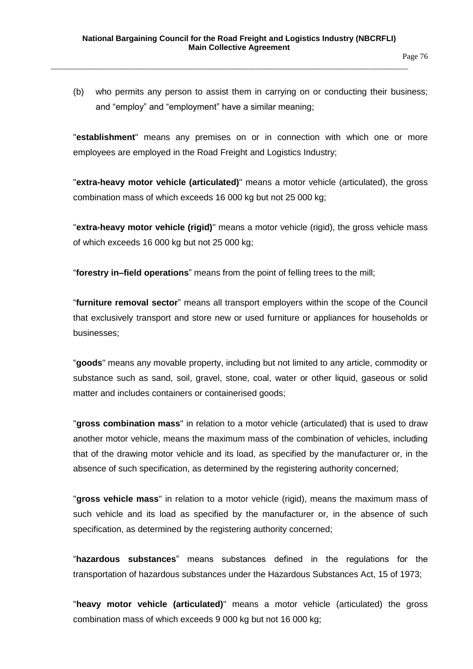(b) who permits any person to assist them in carrying on or conducting their business; and "employ" and "employment" have a similar meaning;

"**establishment**" means any premises on or in connection with which one or more employees are employed in the Road Freight and Logistics Industry;

"**extra-heavy motor vehicle (articulated)**" means a motor vehicle (articulated), the gross combination mass of which exceeds 16 000 kg but not 25 000 kg;

"**extra-heavy motor vehicle (rigid)**" means a motor vehicle (rigid), the gross vehicle mass of which exceeds 16 000 kg but not 25 000 kg;

"**forestry in–field operations**" means from the point of felling trees to the mill;

"**furniture removal sector**" means all transport employers within the scope of the Council that exclusively transport and store new or used furniture or appliances for households or businesses;

"**goods**" means any movable property, including but not limited to any article, commodity or substance such as sand, soil, gravel, stone, coal, water or other liquid, gaseous or solid matter and includes containers or containerised goods;

"**gross combination mass**" in relation to a motor vehicle (articulated) that is used to draw another motor vehicle, means the maximum mass of the combination of vehicles, including that of the drawing motor vehicle and its load, as specified by the manufacturer or, in the absence of such specification, as determined by the registering authority concerned;

"**gross vehicle mass**" in relation to a motor vehicle (rigid), means the maximum mass of such vehicle and its load as specified by the manufacturer or, in the absence of such specification, as determined by the registering authority concerned;

"**hazardous substances**" means substances defined in the regulations for the transportation of hazardous substances under the Hazardous Substances Act, 15 of 1973;

"**heavy motor vehicle (articulated)**" means a motor vehicle (articulated) the gross combination mass of which exceeds 9 000 kg but not 16 000 kg;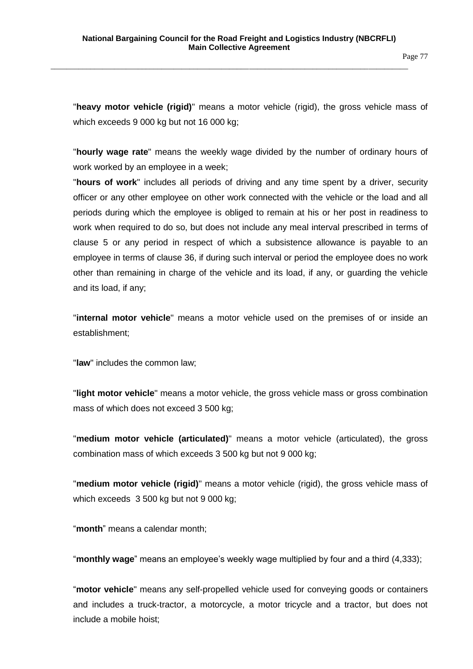Page 77

"**heavy motor vehicle (rigid)**" means a motor vehicle (rigid), the gross vehicle mass of which exceeds 9 000 kg but not 16 000 kg;

"**hourly wage rate**" means the weekly wage divided by the number of ordinary hours of work worked by an employee in a week;

"**hours of work**" includes all periods of driving and any time spent by a driver, security officer or any other employee on other work connected with the vehicle or the load and all periods during which the employee is obliged to remain at his or her post in readiness to work when required to do so, but does not include any meal interval prescribed in terms of clause 5 or any period in respect of which a subsistence allowance is payable to an employee in terms of clause 36, if during such interval or period the employee does no work other than remaining in charge of the vehicle and its load, if any, or guarding the vehicle and its load, if any;

"**internal motor vehicle**" means a motor vehicle used on the premises of or inside an establishment;

"**law**" includes the common law;

"**light motor vehicle**" means a motor vehicle, the gross vehicle mass or gross combination mass of which does not exceed 3 500 kg;

"**medium motor vehicle (articulated)**" means a motor vehicle (articulated), the gross combination mass of which exceeds 3 500 kg but not 9 000 kg;

"**medium motor vehicle (rigid)**" means a motor vehicle (rigid), the gross vehicle mass of which exceeds 3 500 kg but not 9 000 kg;

"**month**" means a calendar month;

"**monthly wage**" means an employee's weekly wage multiplied by four and a third (4,333);

"**motor vehicle**" means any self-propelled vehicle used for conveying goods or containers and includes a truck-tractor, a motorcycle, a motor tricycle and a tractor, but does not include a mobile hoist;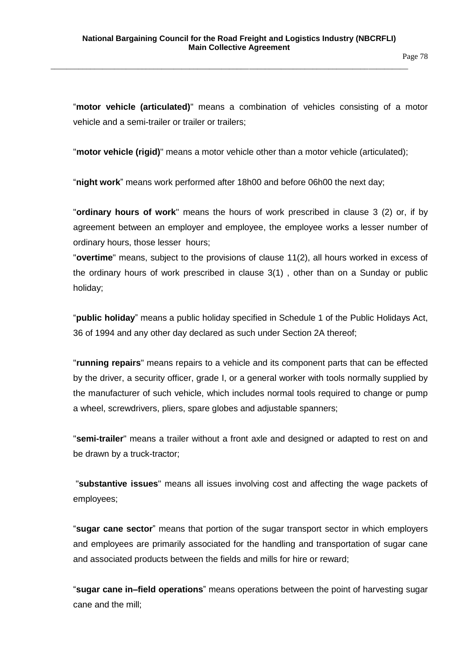Page 78

"**motor vehicle (articulated)**" means a combination of vehicles consisting of a motor vehicle and a semi-trailer or trailer or trailers;

"**motor vehicle (rigid)**" means a motor vehicle other than a motor vehicle (articulated);

"**night work**" means work performed after 18h00 and before 06h00 the next day;

"**ordinary hours of work**" means the hours of work prescribed in clause 3 (2) or, if by agreement between an employer and employee, the employee works a lesser number of ordinary hours, those lesser hours;

"**overtime**" means, subject to the provisions of clause 11(2), all hours worked in excess of the ordinary hours of work prescribed in clause 3(1) , other than on a Sunday or public holiday;

"**public holiday**" means a public holiday specified in Schedule 1 of the Public Holidays Act, 36 of 1994 and any other day declared as such under Section 2A thereof;

"**running repairs**" means repairs to a vehicle and its component parts that can be effected by the driver, a security officer, grade I, or a general worker with tools normally supplied by the manufacturer of such vehicle, which includes normal tools required to change or pump a wheel, screwdrivers, pliers, spare globes and adjustable spanners;

"**semi-trailer**" means a trailer without a front axle and designed or adapted to rest on and be drawn by a truck-tractor;

"**substantive issues**" means all issues involving cost and affecting the wage packets of employees;

"**sugar cane sector**" means that portion of the sugar transport sector in which employers and employees are primarily associated for the handling and transportation of sugar cane and associated products between the fields and mills for hire or reward;

"**sugar cane in–field operations**" means operations between the point of harvesting sugar cane and the mill;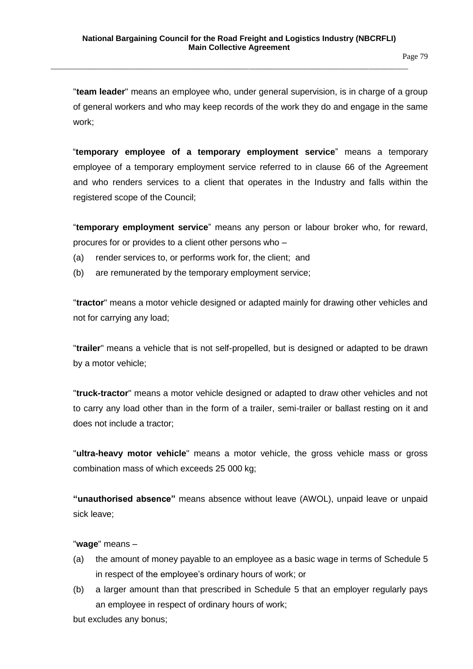"**team leader**" means an employee who, under general supervision, is in charge of a group of general workers and who may keep records of the work they do and engage in the same work;

"**temporary employee of a temporary employment service**" means a temporary employee of a temporary employment service referred to in clause 66 of the Agreement and who renders services to a client that operates in the Industry and falls within the registered scope of the Council;

"**temporary employment service**" means any person or labour broker who, for reward, procures for or provides to a client other persons who –

- (a) render services to, or performs work for, the client; and
- (b) are remunerated by the temporary employment service;

"**tractor**" means a motor vehicle designed or adapted mainly for drawing other vehicles and not for carrying any load;

"**trailer**" means a vehicle that is not self-propelled, but is designed or adapted to be drawn by a motor vehicle;

"**truck-tractor**" means a motor vehicle designed or adapted to draw other vehicles and not to carry any load other than in the form of a trailer, semi-trailer or ballast resting on it and does not include a tractor;

"**ultra-heavy motor vehicle**" means a motor vehicle, the gross vehicle mass or gross combination mass of which exceeds 25 000 kg;

**"unauthorised absence"** means absence without leave (AWOL), unpaid leave or unpaid sick leave;

#### "**wage**" means –

- (a) the amount of money payable to an employee as a basic wage in terms of Schedule 5 in respect of the employee's ordinary hours of work; or
- (b) a larger amount than that prescribed in Schedule 5 that an employer regularly pays an employee in respect of ordinary hours of work;

but excludes any bonus;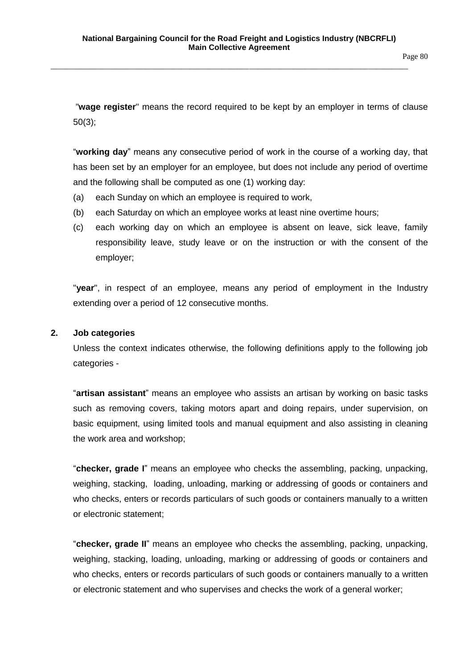"**wage register**" means the record required to be kept by an employer in terms of clause 50(3);

"**working day**" means any consecutive period of work in the course of a working day, that has been set by an employer for an employee, but does not include any period of overtime and the following shall be computed as one (1) working day:

- (a) each Sunday on which an employee is required to work,
- (b) each Saturday on which an employee works at least nine overtime hours;
- (c) each working day on which an employee is absent on leave, sick leave, family responsibility leave, study leave or on the instruction or with the consent of the employer;

"**year**", in respect of an employee, means any period of employment in the Industry extending over a period of 12 consecutive months.

#### **2. Job categories**

Unless the context indicates otherwise, the following definitions apply to the following job categories -

"**artisan assistant**" means an employee who assists an artisan by working on basic tasks such as removing covers, taking motors apart and doing repairs, under supervision, on basic equipment, using limited tools and manual equipment and also assisting in cleaning the work area and workshop;

"**checker, grade I**" means an employee who checks the assembling, packing, unpacking, weighing, stacking, loading, unloading, marking or addressing of goods or containers and who checks, enters or records particulars of such goods or containers manually to a written or electronic statement;

"**checker, grade II**" means an employee who checks the assembling, packing, unpacking, weighing, stacking, loading, unloading, marking or addressing of goods or containers and who checks, enters or records particulars of such goods or containers manually to a written or electronic statement and who supervises and checks the work of a general worker;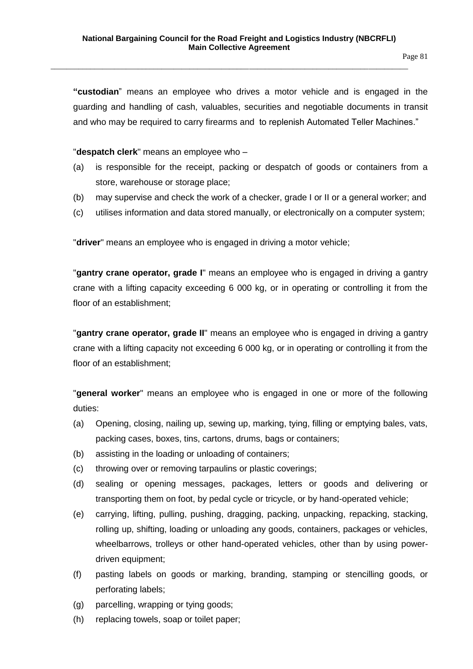**"custodian**" means an employee who drives a motor vehicle and is engaged in the guarding and handling of cash, valuables, securities and negotiable documents in transit and who may be required to carry firearms and to replenish Automated Teller Machines."

"**despatch clerk**" means an employee who –

- (a) is responsible for the receipt, packing or despatch of goods or containers from a store, warehouse or storage place;
- (b) may supervise and check the work of a checker, grade I or II or a general worker; and
- (c) utilises information and data stored manually, or electronically on a computer system;

"**driver**" means an employee who is engaged in driving a motor vehicle;

"**gantry crane operator, grade I**" means an employee who is engaged in driving a gantry crane with a lifting capacity exceeding 6 000 kg, or in operating or controlling it from the floor of an establishment;

"**gantry crane operator, grade II**" means an employee who is engaged in driving a gantry crane with a lifting capacity not exceeding 6 000 kg, or in operating or controlling it from the floor of an establishment;

"**general worker**" means an employee who is engaged in one or more of the following duties:

- (a) Opening, closing, nailing up, sewing up, marking, tying, filling or emptying bales, vats, packing cases, boxes, tins, cartons, drums, bags or containers;
- (b) assisting in the loading or unloading of containers;
- (c) throwing over or removing tarpaulins or plastic coverings;
- (d) sealing or opening messages, packages, letters or goods and delivering or transporting them on foot, by pedal cycle or tricycle, or by hand-operated vehicle;
- (e) carrying, lifting, pulling, pushing, dragging, packing, unpacking, repacking, stacking, rolling up, shifting, loading or unloading any goods, containers, packages or vehicles, wheelbarrows, trolleys or other hand-operated vehicles, other than by using powerdriven equipment;
- (f) pasting labels on goods or marking, branding, stamping or stencilling goods, or perforating labels;
- (g) parcelling, wrapping or tying goods;
- (h) replacing towels, soap or toilet paper;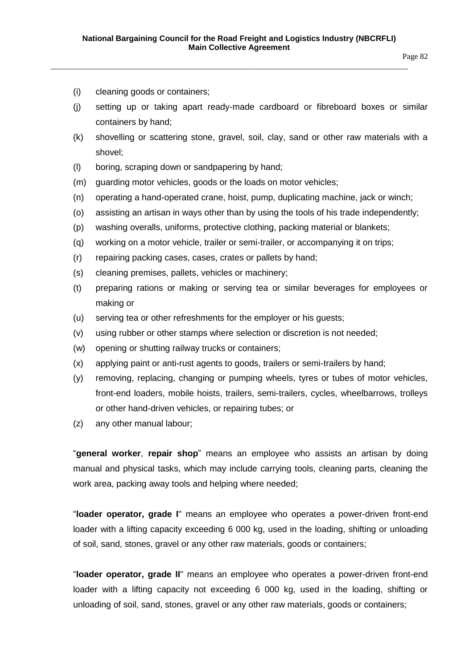- (i) cleaning goods or containers;
- (j) setting up or taking apart ready-made cardboard or fibreboard boxes or similar containers by hand;
- (k) shovelling or scattering stone, gravel, soil, clay, sand or other raw materials with a shovel;
- (l) boring, scraping down or sandpapering by hand;
- (m) guarding motor vehicles, goods or the loads on motor vehicles;
- (n) operating a hand-operated crane, hoist, pump, duplicating machine, jack or winch;
- (o) assisting an artisan in ways other than by using the tools of his trade independently;
- (p) washing overalls, uniforms, protective clothing, packing material or blankets;
- (q) working on a motor vehicle, trailer or semi-trailer, or accompanying it on trips;
- (r) repairing packing cases, cases, crates or pallets by hand;
- (s) cleaning premises, pallets, vehicles or machinery;
- (t) preparing rations or making or serving tea or similar beverages for employees or making or
- (u) serving tea or other refreshments for the employer or his guests;
- (v) using rubber or other stamps where selection or discretion is not needed;
- (w) opening or shutting railway trucks or containers;
- (x) applying paint or anti-rust agents to goods, trailers or semi-trailers by hand;
- (y) removing, replacing, changing or pumping wheels, tyres or tubes of motor vehicles, front-end loaders, mobile hoists, trailers, semi-trailers, cycles, wheelbarrows, trolleys or other hand-driven vehicles, or repairing tubes; or
- (z) any other manual labour;

"**general worker**, **repair shop**" means an employee who assists an artisan by doing manual and physical tasks, which may include carrying tools, cleaning parts, cleaning the work area, packing away tools and helping where needed;

"**loader operator, grade I**" means an employee who operates a power-driven front-end loader with a lifting capacity exceeding 6 000 kg, used in the loading, shifting or unloading of soil, sand, stones, gravel or any other raw materials, goods or containers;

"**loader operator, grade II**" means an employee who operates a power-driven front-end loader with a lifting capacity not exceeding 6 000 kg, used in the loading, shifting or unloading of soil, sand, stones, gravel or any other raw materials, goods or containers;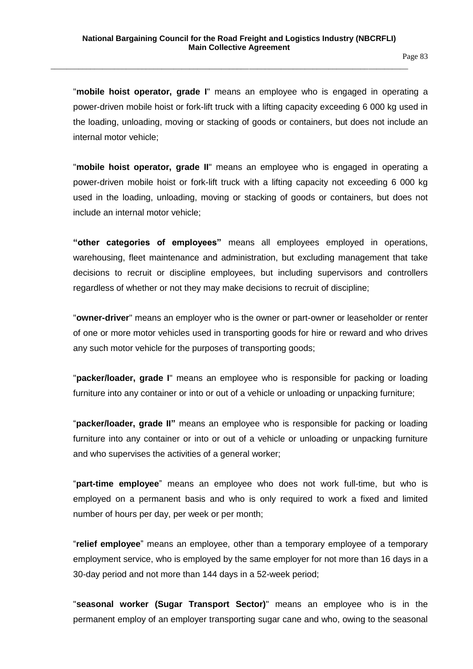"**mobile hoist operator, grade I**" means an employee who is engaged in operating a power-driven mobile hoist or fork-lift truck with a lifting capacity exceeding 6 000 kg used in the loading, unloading, moving or stacking of goods or containers, but does not include an internal motor vehicle;

"**mobile hoist operator, grade II**" means an employee who is engaged in operating a power-driven mobile hoist or fork-lift truck with a lifting capacity not exceeding 6 000 kg used in the loading, unloading, moving or stacking of goods or containers, but does not include an internal motor vehicle;

**"other categories of employees"** means all employees employed in operations, warehousing, fleet maintenance and administration, but excluding management that take decisions to recruit or discipline employees, but including supervisors and controllers regardless of whether or not they may make decisions to recruit of discipline;

"**owner-driver**" means an employer who is the owner or part-owner or leaseholder or renter of one or more motor vehicles used in transporting goods for hire or reward and who drives any such motor vehicle for the purposes of transporting goods;

"**packer/loader, grade I**" means an employee who is responsible for packing or loading furniture into any container or into or out of a vehicle or unloading or unpacking furniture;

"**packer/loader, grade II"** means an employee who is responsible for packing or loading furniture into any container or into or out of a vehicle or unloading or unpacking furniture and who supervises the activities of a general worker;

"**part-time employee**" means an employee who does not work full-time, but who is employed on a permanent basis and who is only required to work a fixed and limited number of hours per day, per week or per month;

"**relief employee**" means an employee, other than a temporary employee of a temporary employment service, who is employed by the same employer for not more than 16 days in a 30-day period and not more than 144 days in a 52-week period;

"**seasonal worker (Sugar Transport Sector)**" means an employee who is in the permanent employ of an employer transporting sugar cane and who, owing to the seasonal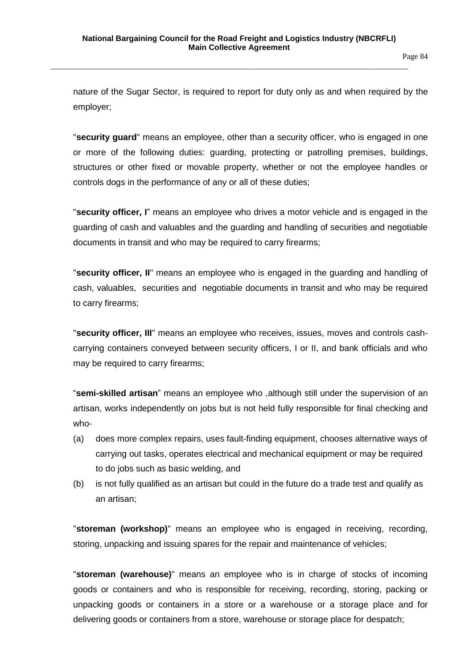nature of the Sugar Sector, is required to report for duty only as and when required by the employer;

"**security guard**" means an employee, other than a security officer, who is engaged in one or more of the following duties: guarding, protecting or patrolling premises, buildings, structures or other fixed or movable property, whether or not the employee handles or controls dogs in the performance of any or all of these duties;

"**security officer, I**" means an employee who drives a motor vehicle and is engaged in the guarding of cash and valuables and the guarding and handling of securities and negotiable documents in transit and who may be required to carry firearms;

"**security officer, II**" means an employee who is engaged in the guarding and handling of cash, valuables, securities and negotiable documents in transit and who may be required to carry firearms;

"**security officer, III**" means an employee who receives, issues, moves and controls cashcarrying containers conveyed between security officers, I or II, and bank officials and who may be required to carry firearms;

"**semi-skilled artisan**" means an employee who ,although still under the supervision of an artisan, works independently on jobs but is not held fully responsible for final checking and who-

- (a) does more complex repairs, uses fault-finding equipment, chooses alternative ways of carrying out tasks, operates electrical and mechanical equipment or may be required to do jobs such as basic welding, and
- (b) is not fully qualified as an artisan but could in the future do a trade test and qualify as an artisan;

"**storeman (workshop)**" means an employee who is engaged in receiving, recording, storing, unpacking and issuing spares for the repair and maintenance of vehicles;

"**storeman (warehouse)**" means an employee who is in charge of stocks of incoming goods or containers and who is responsible for receiving, recording, storing, packing or unpacking goods or containers in a store or a warehouse or a storage place and for delivering goods or containers from a store, warehouse or storage place for despatch;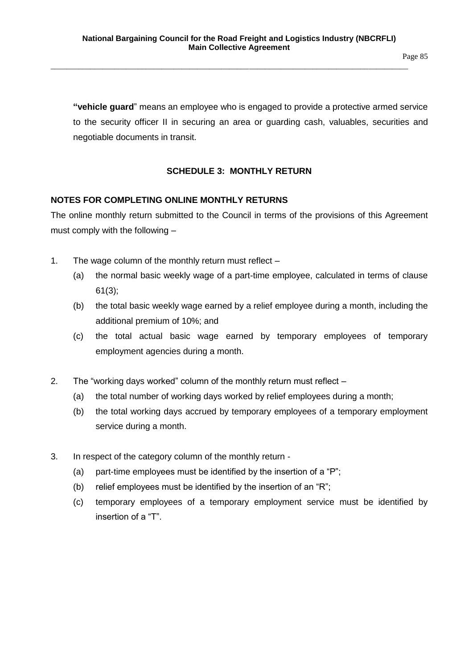Page 85

**"vehicle guard**" means an employee who is engaged to provide a protective armed service to the security officer II in securing an area or guarding cash, valuables, securities and negotiable documents in transit.

## **SCHEDULE 3: MONTHLY RETURN**

## **NOTES FOR COMPLETING ONLINE MONTHLY RETURNS**

The online monthly return submitted to the Council in terms of the provisions of this Agreement must comply with the following –

- 1. The wage column of the monthly return must reflect
	- (a) the normal basic weekly wage of a part-time employee, calculated in terms of clause 61(3);
	- (b) the total basic weekly wage earned by a relief employee during a month, including the additional premium of 10%; and
	- (c) the total actual basic wage earned by temporary employees of temporary employment agencies during a month.
- 2. The "working days worked" column of the monthly return must reflect
	- (a) the total number of working days worked by relief employees during a month;
	- (b) the total working days accrued by temporary employees of a temporary employment service during a month.
- 3. In respect of the category column of the monthly return
	- (a) part-time employees must be identified by the insertion of a "P";
	- (b) relief employees must be identified by the insertion of an "R";
	- (c) temporary employees of a temporary employment service must be identified by insertion of a "T".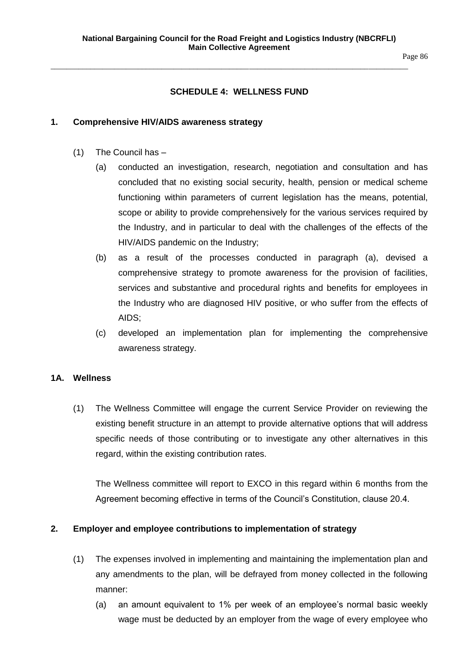Page 86

## **SCHEDULE 4: WELLNESS FUND**

\_\_\_\_\_\_\_\_\_\_\_\_\_\_\_\_\_\_\_\_\_\_\_\_\_\_\_\_\_\_\_\_\_\_\_\_\_\_\_\_\_\_\_\_\_\_\_\_\_\_\_\_\_\_\_\_\_\_\_\_\_\_\_\_\_\_\_\_\_\_\_\_\_\_\_\_\_\_\_\_\_\_\_\_\_\_\_\_\_\_

#### **1. Comprehensive HIV/AIDS awareness strategy**

- (1) The Council has
	- (a) conducted an investigation, research, negotiation and consultation and has concluded that no existing social security, health, pension or medical scheme functioning within parameters of current legislation has the means, potential, scope or ability to provide comprehensively for the various services required by the Industry, and in particular to deal with the challenges of the effects of the HIV/AIDS pandemic on the Industry;
	- (b) as a result of the processes conducted in paragraph (a), devised a comprehensive strategy to promote awareness for the provision of facilities, services and substantive and procedural rights and benefits for employees in the Industry who are diagnosed HIV positive, or who suffer from the effects of AIDS;
	- (c) developed an implementation plan for implementing the comprehensive awareness strategy.

#### **1A. Wellness**

(1) The Wellness Committee will engage the current Service Provider on reviewing the existing benefit structure in an attempt to provide alternative options that will address specific needs of those contributing or to investigate any other alternatives in this regard, within the existing contribution rates.

The Wellness committee will report to EXCO in this regard within 6 months from the Agreement becoming effective in terms of the Council's Constitution, clause 20.4.

## **2. Employer and employee contributions to implementation of strategy**

- (1) The expenses involved in implementing and maintaining the implementation plan and any amendments to the plan, will be defrayed from money collected in the following manner:
	- (a) an amount equivalent to 1% per week of an employee's normal basic weekly wage must be deducted by an employer from the wage of every employee who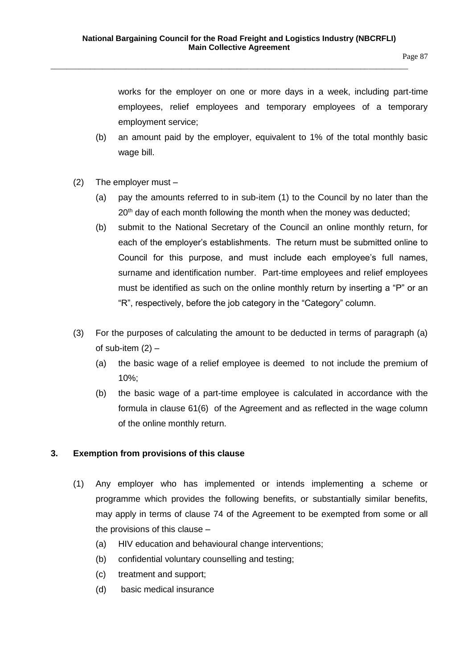works for the employer on one or more days in a week, including part-time employees, relief employees and temporary employees of a temporary employment service;

- (b) an amount paid by the employer, equivalent to 1% of the total monthly basic wage bill.
- (2) The employer must
	- (a) pay the amounts referred to in sub-item (1) to the Council by no later than the 20<sup>th</sup> day of each month following the month when the money was deducted;
	- (b) submit to the National Secretary of the Council an online monthly return, for each of the employer's establishments. The return must be submitted online to Council for this purpose, and must include each employee's full names, surname and identification number. Part-time employees and relief employees must be identified as such on the online monthly return by inserting a "P" or an "R", respectively, before the job category in the "Category" column.
- (3) For the purposes of calculating the amount to be deducted in terms of paragraph (a) of sub-item  $(2)$  –
	- (a) the basic wage of a relief employee is deemed to not include the premium of 10%;
	- (b) the basic wage of a part-time employee is calculated in accordance with the formula in clause 61(6) of the Agreement and as reflected in the wage column of the online monthly return.

## **3. Exemption from provisions of this clause**

- (1) Any employer who has implemented or intends implementing a scheme or programme which provides the following benefits, or substantially similar benefits, may apply in terms of clause 74 of the Agreement to be exempted from some or all the provisions of this clause –
	- (a) HIV education and behavioural change interventions;
	- (b) confidential voluntary counselling and testing;
	- (c) treatment and support;
	- (d) basic medical insurance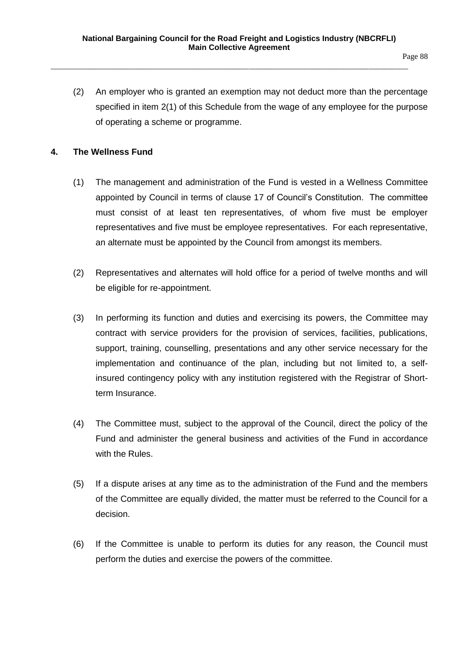(2) An employer who is granted an exemption may not deduct more than the percentage specified in item 2(1) of this Schedule from the wage of any employee for the purpose of operating a scheme or programme.

## **4. The Wellness Fund**

- (1) The management and administration of the Fund is vested in a Wellness Committee appointed by Council in terms of clause 17 of Council's Constitution. The committee must consist of at least ten representatives, of whom five must be employer representatives and five must be employee representatives. For each representative, an alternate must be appointed by the Council from amongst its members.
- (2) Representatives and alternates will hold office for a period of twelve months and will be eligible for re-appointment.
- (3) In performing its function and duties and exercising its powers, the Committee may contract with service providers for the provision of services, facilities, publications, support, training, counselling, presentations and any other service necessary for the implementation and continuance of the plan, including but not limited to, a selfinsured contingency policy with any institution registered with the Registrar of Shortterm Insurance.
- (4) The Committee must, subject to the approval of the Council, direct the policy of the Fund and administer the general business and activities of the Fund in accordance with the Rules.
- (5) If a dispute arises at any time as to the administration of the Fund and the members of the Committee are equally divided, the matter must be referred to the Council for a decision.
- (6) If the Committee is unable to perform its duties for any reason, the Council must perform the duties and exercise the powers of the committee.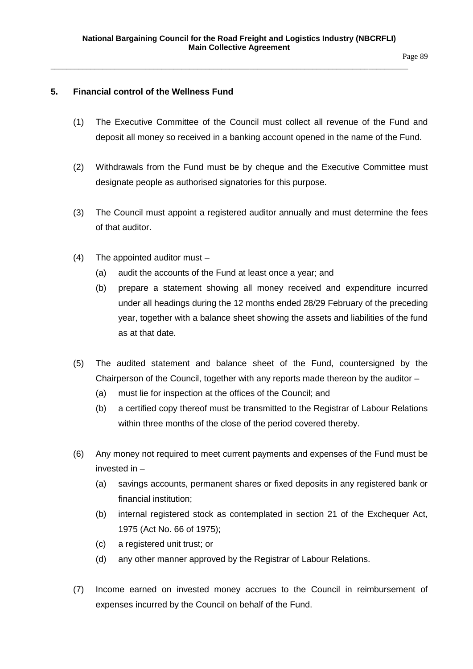Page 89

## **5. Financial control of the Wellness Fund**

- (1) The Executive Committee of the Council must collect all revenue of the Fund and deposit all money so received in a banking account opened in the name of the Fund.
- (2) Withdrawals from the Fund must be by cheque and the Executive Committee must designate people as authorised signatories for this purpose.
- (3) The Council must appoint a registered auditor annually and must determine the fees of that auditor.
- (4) The appointed auditor must
	- (a) audit the accounts of the Fund at least once a year; and
	- (b) prepare a statement showing all money received and expenditure incurred under all headings during the 12 months ended 28/29 February of the preceding year, together with a balance sheet showing the assets and liabilities of the fund as at that date.
- (5) The audited statement and balance sheet of the Fund, countersigned by the Chairperson of the Council, together with any reports made thereon by the auditor –
	- (a) must lie for inspection at the offices of the Council; and
	- (b) a certified copy thereof must be transmitted to the Registrar of Labour Relations within three months of the close of the period covered thereby.
- (6) Any money not required to meet current payments and expenses of the Fund must be invested in –
	- (a) savings accounts, permanent shares or fixed deposits in any registered bank or financial institution;
	- (b) internal registered stock as contemplated in section 21 of the Exchequer Act, 1975 (Act No. 66 of 1975);
	- (c) a registered unit trust; or
	- (d) any other manner approved by the Registrar of Labour Relations.
- (7) Income earned on invested money accrues to the Council in reimbursement of expenses incurred by the Council on behalf of the Fund.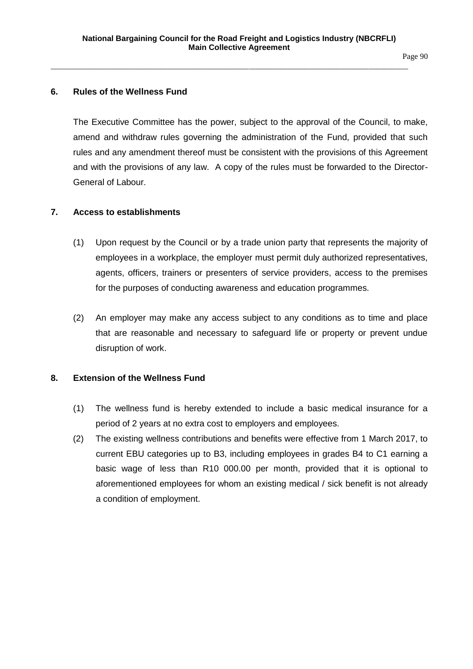Page 90

## **6. Rules of the Wellness Fund**

The Executive Committee has the power, subject to the approval of the Council, to make, amend and withdraw rules governing the administration of the Fund, provided that such rules and any amendment thereof must be consistent with the provisions of this Agreement and with the provisions of any law. A copy of the rules must be forwarded to the Director-General of Labour.

## **7. Access to establishments**

- (1) Upon request by the Council or by a trade union party that represents the majority of employees in a workplace, the employer must permit duly authorized representatives, agents, officers, trainers or presenters of service providers, access to the premises for the purposes of conducting awareness and education programmes.
- (2) An employer may make any access subject to any conditions as to time and place that are reasonable and necessary to safeguard life or property or prevent undue disruption of work.

## **8. Extension of the Wellness Fund**

- (1) The wellness fund is hereby extended to include a basic medical insurance for a period of 2 years at no extra cost to employers and employees.
- (2) The existing wellness contributions and benefits were effective from 1 March 2017, to current EBU categories up to B3, including employees in grades B4 to C1 earning a basic wage of less than R10 000.00 per month, provided that it is optional to aforementioned employees for whom an existing medical / sick benefit is not already a condition of employment.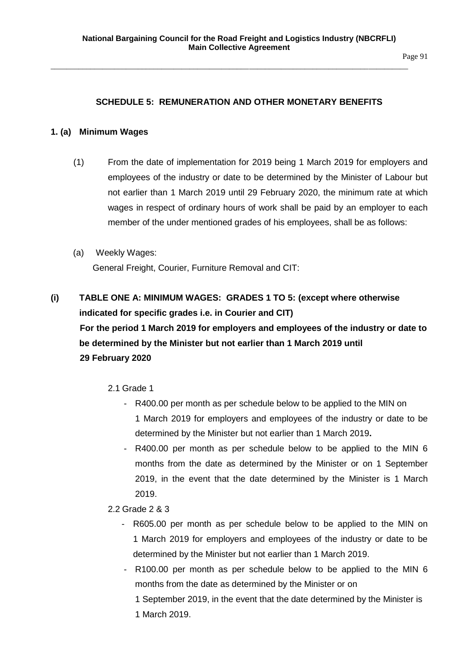## **SCHEDULE 5: REMUNERATION AND OTHER MONETARY BENEFITS**

## **1. (a) Minimum Wages**

- (1) From the date of implementation for 2019 being 1 March 2019 for employers and employees of the industry or date to be determined by the Minister of Labour but not earlier than 1 March 2019 until 29 February 2020, the minimum rate at which wages in respect of ordinary hours of work shall be paid by an employer to each member of the under mentioned grades of his employees, shall be as follows:
- (a) Weekly Wages:

General Freight, Courier, Furniture Removal and CIT:

- **(i) TABLE ONE A: MINIMUM WAGES: GRADES 1 TO 5: (except where otherwise indicated for specific grades i.e. in Courier and CIT) For the period 1 March 2019 for employers and employees of the industry or date to be determined by the Minister but not earlier than 1 March 2019 until 29 February 2020**
	- 2.1 Grade 1
		- R400.00 per month as per schedule below to be applied to the MIN on 1 March 2019 for employers and employees of the industry or date to be determined by the Minister but not earlier than 1 March 2019**.**
		- R400.00 per month as per schedule below to be applied to the MIN 6 months from the date as determined by the Minister or on 1 September 2019, in the event that the date determined by the Minister is 1 March 2019.
	- 2.2 Grade 2 & 3
		- R605.00 per month as per schedule below to be applied to the MIN on 1 March 2019 for employers and employees of the industry or date to be determined by the Minister but not earlier than 1 March 2019.
		- R100.00 per month as per schedule below to be applied to the MIN 6 months from the date as determined by the Minister or on
			- 1 September 2019, in the event that the date determined by the Minister is 1 March 2019.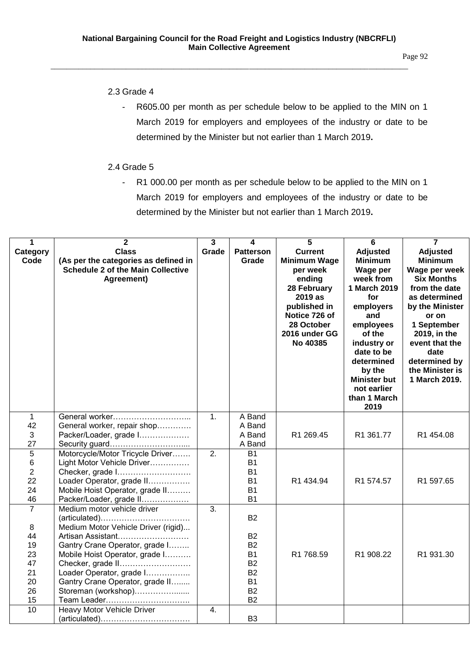Page 92

## 2.3 Grade 4

- R605.00 per month as per schedule below to be applied to the MIN on 1 March 2019 for employers and employees of the industry or date to be determined by the Minister but not earlier than 1 March 2019**.**

## 2.4 Grade 5

- R1 000.00 per month as per schedule below to be applied to the MIN on 1 March 2019 for employers and employees of the industry or date to be determined by the Minister but not earlier than 1 March 2019**.**

| $\mathbf{1}$        | $\overline{2}$                                               | $\overline{\mathbf{3}}$ | 4                      | 5                           | $\overline{6}$      | $\overline{7}$              |
|---------------------|--------------------------------------------------------------|-------------------------|------------------------|-----------------------------|---------------------|-----------------------------|
| Category            | <b>Class</b>                                                 | Grade                   | <b>Patterson</b>       | <b>Current</b>              | <b>Adjusted</b>     | <b>Adjusted</b>             |
| Code                | (As per the categories as defined in                         |                         | Grade                  | <b>Minimum Wage</b>         | <b>Minimum</b>      | <b>Minimum</b>              |
|                     | <b>Schedule 2 of the Main Collective</b>                     |                         |                        | per week                    | Wage per            | Wage per week               |
|                     | Agreement)                                                   |                         |                        | ending                      | week from           | <b>Six Months</b>           |
|                     |                                                              |                         |                        | 28 February                 | 1 March 2019        | from the date               |
|                     |                                                              |                         |                        | 2019 as                     | for                 | as determined               |
|                     |                                                              |                         |                        | published in                | employers           | by the Minister             |
|                     |                                                              |                         |                        | Notice 726 of               | and                 | or on                       |
|                     |                                                              |                         |                        | 28 October<br>2016 under GG | employees<br>of the | 1 September<br>2019, in the |
|                     |                                                              |                         |                        | No 40385                    | industry or         | event that the              |
|                     |                                                              |                         |                        |                             | date to be          | date                        |
|                     |                                                              |                         |                        |                             | determined          | determined by               |
|                     |                                                              |                         |                        |                             | by the              | the Minister is             |
|                     |                                                              |                         |                        |                             | <b>Minister but</b> | 1 March 2019.               |
|                     |                                                              |                         |                        |                             | not earlier         |                             |
|                     |                                                              |                         |                        |                             | than 1 March        |                             |
|                     |                                                              |                         |                        |                             | 2019                |                             |
| $\mathbf{1}$        | General worker                                               | 1.                      | A Band                 |                             |                     |                             |
| 42                  | General worker, repair shop                                  |                         | A Band                 |                             |                     |                             |
| 3                   | Packer/Loader, grade I                                       |                         | A Band                 | R1 269.45                   | R1 361.77           | R1 454.08                   |
| 27                  | Security guard                                               |                         | A Band                 |                             |                     |                             |
| 5                   | Motorcycle/Motor Tricycle Driver                             | $\overline{2}$ .        | <b>B1</b>              |                             |                     |                             |
| 6<br>$\overline{2}$ | Light Motor Vehicle Driver                                   |                         | <b>B1</b><br><b>B1</b> |                             |                     |                             |
| 22                  | Checker, grade I                                             |                         | <b>B1</b>              | R1 434.94                   | R1 574.57           | R1 597.65                   |
| 24                  | Loader Operator, grade II<br>Mobile Hoist Operator, grade II |                         | <b>B1</b>              |                             |                     |                             |
| 46                  | Packer/Loader, grade II                                      |                         | <b>B1</b>              |                             |                     |                             |
| $\overline{7}$      | Medium motor vehicle driver                                  | 3.                      |                        |                             |                     |                             |
|                     |                                                              |                         | <b>B2</b>              |                             |                     |                             |
| $\,8\,$             | Medium Motor Vehicle Driver (rigid)                          |                         |                        |                             |                     |                             |
| 44                  | Artisan Assistant                                            |                         | <b>B2</b>              |                             |                     |                             |
| 19                  | Gantry Crane Operator, grade I                               |                         | <b>B2</b>              |                             |                     |                             |
| 23                  | Mobile Hoist Operator, grade I                               |                         | <b>B1</b>              | R1 768.59                   | R1 908.22           | R1 931.30                   |
| 47                  | Checker, grade II                                            |                         | <b>B2</b>              |                             |                     |                             |
| 21                  | Loader Operator, grade I                                     |                         | <b>B2</b>              |                             |                     |                             |
| 20                  | Gantry Crane Operator, grade II                              |                         | <b>B1</b>              |                             |                     |                             |
| 26                  | Storeman (workshop)                                          |                         | <b>B2</b>              |                             |                     |                             |
| 15                  |                                                              |                         | <b>B2</b>              |                             |                     |                             |
| $\overline{10}$     | Heavy Motor Vehicle Driver                                   | 4.                      |                        |                             |                     |                             |
|                     |                                                              |                         | B <sub>3</sub>         |                             |                     |                             |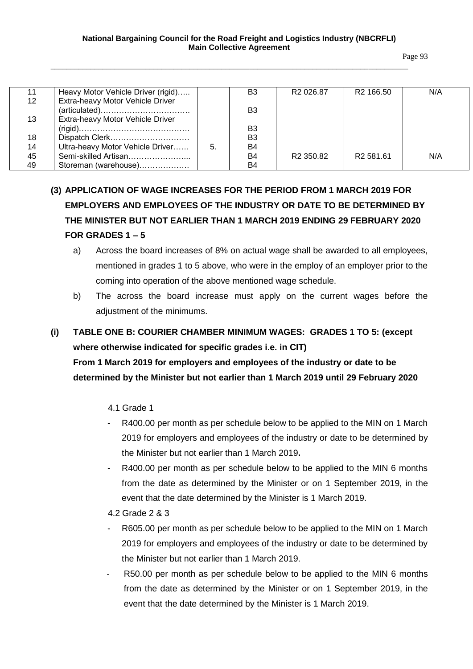| 11 | Heavy Motor Vehicle Driver (rigid)                                           |    | B3             | R <sub>2</sub> 026.87 | R <sub>2</sub> 166.50 | N/A |
|----|------------------------------------------------------------------------------|----|----------------|-----------------------|-----------------------|-----|
| 12 | Extra-heavy Motor Vehicle Driver                                             |    |                |                       |                       |     |
|    | $(\text{articulated}) \dots \dots \dots \dots \dots \dots \dots \dots \dots$ |    | B3             |                       |                       |     |
| 13 | Extra-heavy Motor Vehicle Driver                                             |    |                |                       |                       |     |
|    |                                                                              |    | B3             |                       |                       |     |
| 18 | Dispatch Clerk                                                               |    | B <sub>3</sub> |                       |                       |     |
| 14 | Ultra-heavy Motor Vehicle Driver                                             | 5. | B4             |                       |                       |     |
| 45 | Semi-skilled Artisan                                                         |    | <b>B4</b>      | R <sub>2</sub> 350.82 | R <sub>2</sub> 581.61 | N/A |
| 49 | Storeman (warehouse)                                                         |    | B4             |                       |                       |     |

# **(3) APPLICATION OF WAGE INCREASES FOR THE PERIOD FROM 1 MARCH 2019 FOR EMPLOYERS AND EMPLOYEES OF THE INDUSTRY OR DATE TO BE DETERMINED BY THE MINISTER BUT NOT EARLIER THAN 1 MARCH 2019 ENDING 29 FEBRUARY 2020 FOR GRADES 1 – 5**

- a) Across the board increases of 8% on actual wage shall be awarded to all employees, mentioned in grades 1 to 5 above, who were in the employ of an employer prior to the coming into operation of the above mentioned wage schedule.
- b) The across the board increase must apply on the current wages before the adjustment of the minimums.

## **(i) TABLE ONE B: COURIER CHAMBER MINIMUM WAGES: GRADES 1 TO 5: (except where otherwise indicated for specific grades i.e. in CIT)**

**From 1 March 2019 for employers and employees of the industry or date to be determined by the Minister but not earlier than 1 March 2019 until 29 February 2020**

## 4.1 Grade 1

- R400.00 per month as per schedule below to be applied to the MIN on 1 March 2019 for employers and employees of the industry or date to be determined by the Minister but not earlier than 1 March 2019**.**
- R400.00 per month as per schedule below to be applied to the MIN 6 months from the date as determined by the Minister or on 1 September 2019, in the event that the date determined by the Minister is 1 March 2019.

## 4.2 Grade 2 & 3

- R605.00 per month as per schedule below to be applied to the MIN on 1 March 2019 for employers and employees of the industry or date to be determined by the Minister but not earlier than 1 March 2019.
- R50.00 per month as per schedule below to be applied to the MIN 6 months from the date as determined by the Minister or on 1 September 2019, in the event that the date determined by the Minister is 1 March 2019.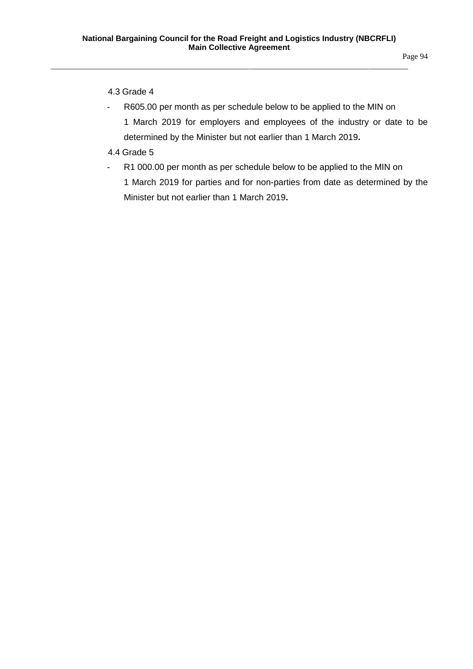## 4.3 Grade 4

- R605.00 per month as per schedule below to be applied to the MIN on 1 March 2019 for employers and employees of the industry or date to be determined by the Minister but not earlier than 1 March 2019**.**
- 4.4 Grade 5
- R1 000.00 per month as per schedule below to be applied to the MIN on 1 March 2019 for parties and for non-parties from date as determined by the Minister but not earlier than 1 March 2019**.**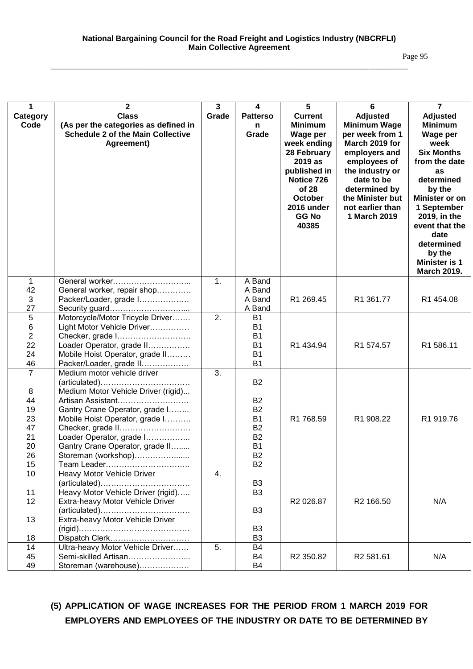| 1<br>Category<br>Code                                               | $\mathbf{2}$<br><b>Class</b><br>(As per the categories as defined in<br><b>Schedule 2 of the Main Collective</b><br>Agreement)                                                                                                                                                                                                                                              | 3<br>Grade | 4<br><b>Patterso</b><br>n<br>Grade                                                                                | $\overline{5}$<br><b>Current</b><br><b>Minimum</b><br>Wage per<br>week ending<br>28 February<br>2019 as<br>published in<br>Notice 726<br>of 28<br><b>October</b><br>2016 under<br><b>GG No</b><br>40385 | 6<br>Adjusted<br><b>Minimum Wage</b><br>per week from 1<br>March 2019 for<br>employers and<br>employees of<br>the industry or<br>date to be<br>determined by<br>the Minister but<br>not earlier than<br>1 March 2019 | $\overline{7}$<br><b>Adjusted</b><br><b>Minimum</b><br>Wage per<br>week<br><b>Six Months</b><br>from the date<br>as<br>determined<br>by the<br><b>Minister or on</b><br>1 September<br>2019, in the<br>event that the<br>date<br>determined<br>by the<br><b>Minister is 1</b><br><b>March 2019.</b> |
|---------------------------------------------------------------------|-----------------------------------------------------------------------------------------------------------------------------------------------------------------------------------------------------------------------------------------------------------------------------------------------------------------------------------------------------------------------------|------------|-------------------------------------------------------------------------------------------------------------------|---------------------------------------------------------------------------------------------------------------------------------------------------------------------------------------------------------|----------------------------------------------------------------------------------------------------------------------------------------------------------------------------------------------------------------------|-----------------------------------------------------------------------------------------------------------------------------------------------------------------------------------------------------------------------------------------------------------------------------------------------------|
| $\mathbf{1}$<br>42                                                  | General worker<br>General worker, repair shop                                                                                                                                                                                                                                                                                                                               | 1.         | A Band<br>A Band                                                                                                  |                                                                                                                                                                                                         |                                                                                                                                                                                                                      |                                                                                                                                                                                                                                                                                                     |
| 3<br>27                                                             | Packer/Loader, grade I<br>Security guard                                                                                                                                                                                                                                                                                                                                    |            | A Band<br>A Band                                                                                                  | R1 269.45                                                                                                                                                                                               | R1 361.77                                                                                                                                                                                                            | R1 454.08                                                                                                                                                                                                                                                                                           |
| 5<br>$\,6\,$<br>$\overline{2}$<br>22<br>24<br>46                    | Motorcycle/Motor Tricycle Driver<br>Light Motor Vehicle Driver<br>Checker, grade I<br>Loader Operator, grade II<br>Mobile Hoist Operator, grade II<br>Packer/Loader, grade II                                                                                                                                                                                               | 2.         | <b>B1</b><br><b>B1</b><br><b>B1</b><br><b>B1</b><br><b>B1</b><br><b>B1</b>                                        | R1 434.94                                                                                                                                                                                               | R1 574.57                                                                                                                                                                                                            | R1 586.11                                                                                                                                                                                                                                                                                           |
| $\overline{7}$<br>8<br>44<br>19<br>23<br>47<br>21<br>20<br>26<br>15 | Medium motor vehicle driver<br>$(\text{articulated}) \dots \dots \dots \dots \dots \dots \dots \dots \dots \dots$<br>Medium Motor Vehicle Driver (rigid)<br>Artisan Assistant<br>Gantry Crane Operator, grade I<br>Mobile Hoist Operator, grade I<br>Checker, grade II<br>Loader Operator, grade I<br>Gantry Crane Operator, grade II<br>Storeman (workshop)<br>Team Leader | 3.         | <b>B2</b><br><b>B2</b><br><b>B2</b><br><b>B1</b><br><b>B2</b><br><b>B2</b><br><b>B1</b><br><b>B2</b><br><b>B2</b> | R1 768.59                                                                                                                                                                                               | R1 908.22                                                                                                                                                                                                            | R1 919.76                                                                                                                                                                                                                                                                                           |
| 10<br>11<br>12<br>13<br>18                                          | Heavy Motor Vehicle Driver<br>$(\text{articulated}) \dots \dots \dots \dots \dots \dots \dots \dots \dots \dots$<br>Heavy Motor Vehicle Driver (rigid)<br>Extra-heavy Motor Vehicle Driver<br>Extra-heavy Motor Vehicle Driver<br>Dispatch Clerk                                                                                                                            | 4.         | B <sub>3</sub><br>B <sub>3</sub><br>B <sub>3</sub><br>B <sub>3</sub><br>B <sub>3</sub>                            | R2 026.87                                                                                                                                                                                               | R <sub>2</sub> 166.50                                                                                                                                                                                                | N/A                                                                                                                                                                                                                                                                                                 |
| 14<br>45<br>49                                                      | Ultra-heavy Motor Vehicle Driver<br>Semi-skilled Artisan<br>Storeman (warehouse)                                                                                                                                                                                                                                                                                            | 5.         | B4<br>B4<br>B4                                                                                                    | R <sub>2</sub> 350.82                                                                                                                                                                                   | R2 581.61                                                                                                                                                                                                            | N/A                                                                                                                                                                                                                                                                                                 |

## **(5) APPLICATION OF WAGE INCREASES FOR THE PERIOD FROM 1 MARCH 2019 FOR EMPLOYERS AND EMPLOYEES OF THE INDUSTRY OR DATE TO BE DETERMINED BY**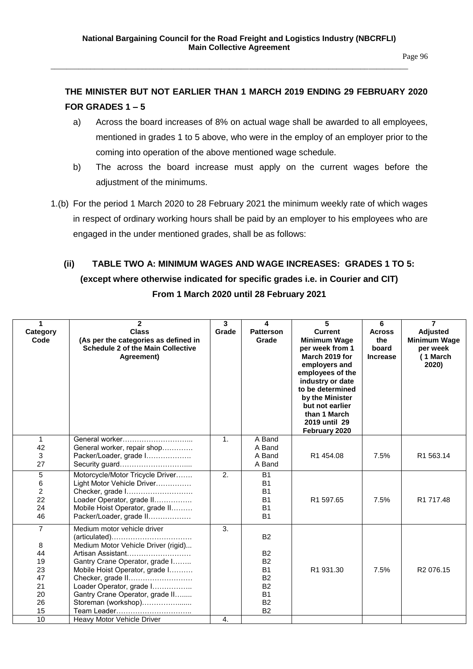Page 96

## **THE MINISTER BUT NOT EARLIER THAN 1 MARCH 2019 ENDING 29 FEBRUARY 2020 FOR GRADES 1 – 5**

- a) Across the board increases of 8% on actual wage shall be awarded to all employees, mentioned in grades 1 to 5 above, who were in the employ of an employer prior to the coming into operation of the above mentioned wage schedule.
- b) The across the board increase must apply on the current wages before the adjustment of the minimums.
- 1.(b) For the period 1 March 2020 to 28 February 2021 the minimum weekly rate of which wages in respect of ordinary working hours shall be paid by an employer to his employees who are engaged in the under mentioned grades, shall be as follows:

# **(ii) TABLE TWO A: MINIMUM WAGES AND WAGE INCREASES: GRADES 1 TO 5: (except where otherwise indicated for specific grades i.e. in Courier and CIT) From 1 March 2020 until 28 February 2021**

| 1                                                                   | $\mathbf{2}$                                                                                                                                                                                                                                                                                                                                                 | 3                | 4                                                                                                                           | 5                                                                                                                                                                                                                                               | 6                                                | $\overline{7}$                                                          |
|---------------------------------------------------------------------|--------------------------------------------------------------------------------------------------------------------------------------------------------------------------------------------------------------------------------------------------------------------------------------------------------------------------------------------------------------|------------------|-----------------------------------------------------------------------------------------------------------------------------|-------------------------------------------------------------------------------------------------------------------------------------------------------------------------------------------------------------------------------------------------|--------------------------------------------------|-------------------------------------------------------------------------|
| Category<br>Code                                                    | <b>Class</b><br>(As per the categories as defined in<br><b>Schedule 2 of the Main Collective</b><br>Agreement)                                                                                                                                                                                                                                               | Grade            | <b>Patterson</b><br>Grade                                                                                                   | <b>Current</b><br><b>Minimum Wage</b><br>per week from 1<br>March 2019 for<br>employers and<br>employees of the<br>industry or date<br>to be determined<br>by the Minister<br>but not earlier<br>than 1 March<br>2019 until 29<br>February 2020 | <b>Across</b><br>the<br>board<br><b>Increase</b> | <b>Adjusted</b><br><b>Minimum Wage</b><br>per week<br>(1 March<br>2020) |
| $\mathbf 1$<br>42<br>3<br>27                                        | General worker<br>General worker, repair shop<br>Packer/Loader, grade I<br>Security guard                                                                                                                                                                                                                                                                    | 1.               | A Band<br>A Band<br>A Band<br>A Band                                                                                        | R1 454.08                                                                                                                                                                                                                                       | 7.5%                                             | R1 563.14                                                               |
| $\sqrt{5}$<br>6<br>$\overline{c}$<br>22<br>24<br>46                 | Motorcycle/Motor Tricycle Driver<br>Light Motor Vehicle Driver<br>Checker, grade I<br>Loader Operator, grade II<br>Mobile Hoist Operator, grade II<br>Packer/Loader, grade II                                                                                                                                                                                | 2.               | <b>B1</b><br>B <sub>1</sub><br><b>B1</b><br><b>B1</b><br><b>B1</b><br><b>B1</b>                                             | R1 597.65                                                                                                                                                                                                                                       | 7.5%                                             | R1 717.48                                                               |
| $\overline{7}$<br>8<br>44<br>19<br>23<br>47<br>21<br>20<br>26<br>15 | Medium motor vehicle driver<br>$(\text{articulated}) \dots \dots \dots \dots \dots \dots \dots \dots \dots \dots$<br>Medium Motor Vehicle Driver (rigid)<br>Artisan Assistant<br>Gantry Crane Operator, grade I<br>Mobile Hoist Operator, grade I<br>Checker, grade II<br>Loader Operator, grade I<br>Gantry Crane Operator, grade II<br>Storeman (workshop) | 3.               | <b>B2</b><br><b>B2</b><br><b>B2</b><br><b>B1</b><br><b>B2</b><br>B <sub>2</sub><br><b>B1</b><br>B <sub>2</sub><br><b>B2</b> | R1 931.30                                                                                                                                                                                                                                       | 7.5%                                             | R <sub>2</sub> 076.15                                                   |
| 10                                                                  | Heavy Motor Vehicle Driver                                                                                                                                                                                                                                                                                                                                   | $\overline{4}$ . |                                                                                                                             |                                                                                                                                                                                                                                                 |                                                  |                                                                         |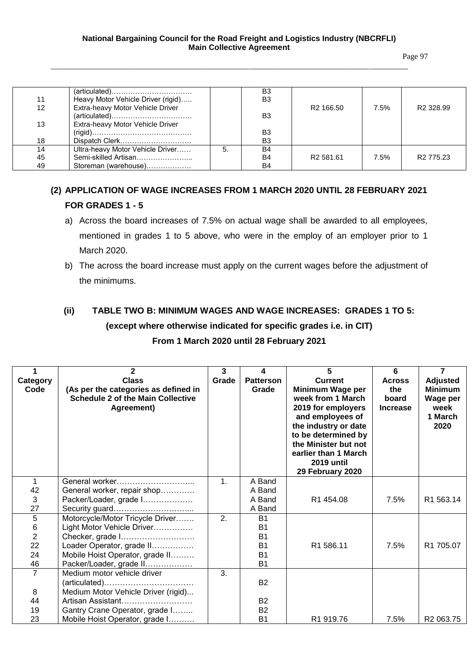Page 97

| 11 | $(\text{articulated}) \dots \dots \dots \dots \dots \dots \dots \dots \dots$<br>Heavy Motor Vehicle Driver (rigid) |    | B <sub>3</sub><br>B <sub>3</sub> |                       |      |                       |
|----|--------------------------------------------------------------------------------------------------------------------|----|----------------------------------|-----------------------|------|-----------------------|
| 12 | Extra-heavy Motor Vehicle Driver                                                                                   |    |                                  | R <sub>2</sub> 166.50 | 7.5% | R <sub>2</sub> 328.99 |
|    | $(\text{articulated}) \dots \dots \dots \dots \dots \dots \dots \dots \dots \dots$                                 |    | B <sub>3</sub>                   |                       |      |                       |
| 13 | Extra-heavy Motor Vehicle Driver                                                                                   |    |                                  |                       |      |                       |
|    |                                                                                                                    |    | B <sub>3</sub>                   |                       |      |                       |
| 18 | Dispatch Clerk                                                                                                     |    | B <sub>3</sub>                   |                       |      |                       |
| 14 | Ultra-heavy Motor Vehicle Driver                                                                                   | 5. | B4                               |                       |      |                       |
| 45 | Semi-skilled Artisan                                                                                               |    | B <sub>4</sub>                   | R <sub>2</sub> 581.61 | 7.5% | R2 775.23             |
| 49 | Storeman (warehouse)                                                                                               |    | <b>B4</b>                        |                       |      |                       |

## **(2) APPLICATION OF WAGE INCREASES FROM 1 MARCH 2020 UNTIL 28 FEBRUARY 2021 FOR GRADES 1 - 5**

- a) Across the board increases of 7.5% on actual wage shall be awarded to all employees, mentioned in grades 1 to 5 above, who were in the employ of an employer prior to 1 March 2020.
- b) The across the board increase must apply on the current wages before the adjustment of the minimums.

# **(ii) TABLE TWO B: MINIMUM WAGES AND WAGE INCREASES: GRADES 1 TO 5: (except where otherwise indicated for specific grades i.e. in CIT)**

## **From 1 March 2020 until 28 February 2021**

| Category<br>Code | $\mathbf{2}$<br><b>Class</b><br>(As per the categories as defined in<br><b>Schedule 2 of the Main Collective</b><br>Agreement) | 3<br>Grade     | 4<br><b>Patterson</b><br>Grade | 5<br><b>Current</b><br>Minimum Wage per<br>week from 1 March<br>2019 for employers<br>and employees of<br>the industry or date<br>to be determined by<br>the Minister but not<br>earlier than 1 March<br><b>2019 until</b> | 6<br><b>Across</b><br>the<br>board<br><b>Increase</b> | $\overline{7}$<br><b>Adjusted</b><br><b>Minimum</b><br>Wage per<br>week<br>1 March<br>2020 |
|------------------|--------------------------------------------------------------------------------------------------------------------------------|----------------|--------------------------------|----------------------------------------------------------------------------------------------------------------------------------------------------------------------------------------------------------------------------|-------------------------------------------------------|--------------------------------------------------------------------------------------------|
|                  |                                                                                                                                |                |                                | 29 February 2020                                                                                                                                                                                                           |                                                       |                                                                                            |
|                  | General worker                                                                                                                 | $\mathbf{1}$ . | A Band                         |                                                                                                                                                                                                                            |                                                       |                                                                                            |
| 42               | General worker, repair shop                                                                                                    |                | A Band                         |                                                                                                                                                                                                                            |                                                       |                                                                                            |
| 3                | Packer/Loader, grade I                                                                                                         |                | A Band                         | R1 454.08                                                                                                                                                                                                                  | 7.5%                                                  | R <sub>1</sub> 563.14                                                                      |
| 27               | Security guard                                                                                                                 |                | A Band                         |                                                                                                                                                                                                                            |                                                       |                                                                                            |
| $\overline{5}$   | Motorcycle/Motor Tricycle Driver                                                                                               | 2.             | <b>B1</b>                      |                                                                                                                                                                                                                            |                                                       |                                                                                            |
| 6                | Light Motor Vehicle Driver                                                                                                     |                | <b>B1</b>                      |                                                                                                                                                                                                                            |                                                       |                                                                                            |
| $\overline{2}$   | Checker, grade I                                                                                                               |                | <b>B1</b>                      |                                                                                                                                                                                                                            |                                                       |                                                                                            |
| 22               | Loader Operator, grade II                                                                                                      |                | <b>B1</b>                      | R1 586.11                                                                                                                                                                                                                  | 7.5%                                                  | R1 705.07                                                                                  |
| 24               | Mobile Hoist Operator, grade II                                                                                                |                | <b>B1</b>                      |                                                                                                                                                                                                                            |                                                       |                                                                                            |
| 46               | Packer/Loader, grade II                                                                                                        |                | <b>B1</b>                      |                                                                                                                                                                                                                            |                                                       |                                                                                            |
| $\overline{7}$   | Medium motor vehicle driver                                                                                                    | 3.             |                                |                                                                                                                                                                                                                            |                                                       |                                                                                            |
|                  |                                                                                                                                |                | <b>B2</b>                      |                                                                                                                                                                                                                            |                                                       |                                                                                            |
| 8                | Medium Motor Vehicle Driver (rigid)                                                                                            |                |                                |                                                                                                                                                                                                                            |                                                       |                                                                                            |
| 44               | Artisan Assistant                                                                                                              |                | <b>B2</b>                      |                                                                                                                                                                                                                            |                                                       |                                                                                            |
| 19               | Gantry Crane Operator, grade I                                                                                                 |                | <b>B2</b>                      |                                                                                                                                                                                                                            |                                                       |                                                                                            |
| 23               | Mobile Hoist Operator, grade I                                                                                                 |                | <b>B1</b>                      | R <sub>1</sub> 919.76                                                                                                                                                                                                      | 7.5%                                                  | R <sub>2</sub> 063.75                                                                      |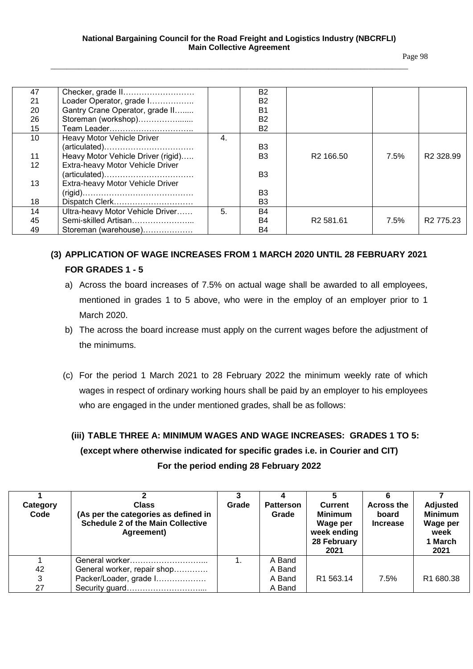|--|--|

| 47 | Checker, grade II                  |    | B2             |                       |      |                       |
|----|------------------------------------|----|----------------|-----------------------|------|-----------------------|
| 21 | Loader Operator, grade I           |    | B <sub>2</sub> |                       |      |                       |
| 20 | Gantry Crane Operator, grade II    |    | B1             |                       |      |                       |
| 26 | Storeman (workshop)                |    | B <sub>2</sub> |                       |      |                       |
| 15 |                                    |    | <b>B2</b>      |                       |      |                       |
| 10 | <b>Heavy Motor Vehicle Driver</b>  | 4. |                |                       |      |                       |
|    | (articulated)                      |    | B <sub>3</sub> |                       |      |                       |
| 11 | Heavy Motor Vehicle Driver (rigid) |    | B <sub>3</sub> | R <sub>2</sub> 166.50 | 7.5% | R <sub>2</sub> 328.99 |
| 12 | Extra-heavy Motor Vehicle Driver   |    |                |                       |      |                       |
|    | (articulated)                      |    | B <sub>3</sub> |                       |      |                       |
| 13 | Extra-heavy Motor Vehicle Driver   |    |                |                       |      |                       |
|    |                                    |    | B <sub>3</sub> |                       |      |                       |
| 18 | Dispatch Clerk                     |    | B3             |                       |      |                       |
| 14 | Ultra-heavy Motor Vehicle Driver   | 5. | B4             |                       |      |                       |
| 45 | Semi-skilled Artisan               |    | <b>B4</b>      | R <sub>2</sub> 581.61 | 7.5% | R <sub>2</sub> 775.23 |
| 49 | Storeman (warehouse)               |    | B4             |                       |      |                       |

## **(3) APPLICATION OF WAGE INCREASES FROM 1 MARCH 2020 UNTIL 28 FEBRUARY 2021 FOR GRADES 1 - 5**

- a) Across the board increases of 7.5% on actual wage shall be awarded to all employees, mentioned in grades 1 to 5 above, who were in the employ of an employer prior to 1 March 2020.
- b) The across the board increase must apply on the current wages before the adjustment of the minimums.
- (c) For the period 1 March 2021 to 28 February 2022 the minimum weekly rate of which wages in respect of ordinary working hours shall be paid by an employer to his employees who are engaged in the under mentioned grades, shall be as follows:

 **(iii) TABLE THREE A: MINIMUM WAGES AND WAGE INCREASES: GRADES 1 TO 5: (except where otherwise indicated for specific grades i.e. in Courier and CIT) For the period ending 28 February 2022**

| Category<br>Code | <b>Class</b><br>(As per the categories as defined in<br><b>Schedule 2 of the Main Collective</b><br>Agreement) | Grade | <b>Patterson</b><br>Grade | <b>Current</b><br><b>Minimum</b><br>Wage per<br>week ending<br>28 February<br>2021 | <b>Across the</b><br>board<br><b>Increase</b> | Adjusted<br><b>Minimum</b><br>Wage per<br>week<br>1 March<br>2021 |
|------------------|----------------------------------------------------------------------------------------------------------------|-------|---------------------------|------------------------------------------------------------------------------------|-----------------------------------------------|-------------------------------------------------------------------|
|                  |                                                                                                                |       | A Band                    |                                                                                    |                                               |                                                                   |
| 42               | General worker, repair shop                                                                                    |       | A Band                    |                                                                                    |                                               |                                                                   |
| 3                | Packer/Loader, grade I                                                                                         |       | A Band                    | R <sub>1</sub> 563.14                                                              | 7.5%                                          | R <sub>1</sub> 680.38                                             |
| 27               |                                                                                                                |       | A Band                    |                                                                                    |                                               |                                                                   |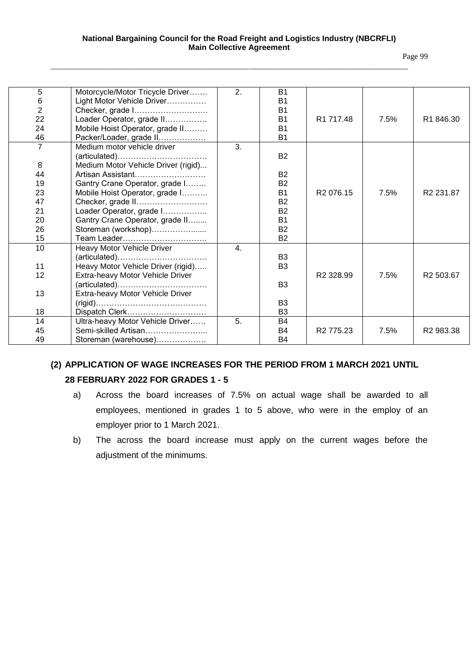#### **National Bargaining Council for the Road Freight and Logistics Industry (NBCRFLI) Main Collective Agreement**

\_\_\_\_\_\_\_\_\_\_\_\_\_\_\_\_\_\_\_\_\_\_\_\_\_\_\_\_\_\_\_\_\_\_\_\_\_\_\_\_\_\_\_\_\_\_\_\_\_\_\_\_\_\_\_\_\_\_\_\_\_\_\_\_\_\_\_\_\_\_\_\_\_\_\_\_\_\_\_\_\_\_\_\_\_\_\_\_\_\_

Page 99

| 5              | Motorcycle/Motor Tricycle Driver    | 2.               | <b>B1</b>      |                       |      |                       |
|----------------|-------------------------------------|------------------|----------------|-----------------------|------|-----------------------|
| 6              | Light Motor Vehicle Driver          |                  | <b>B1</b>      |                       |      |                       |
| $\overline{2}$ | Checker, grade I                    |                  | <b>B1</b>      |                       |      |                       |
| 22             | Loader Operator, grade II           |                  | <b>B1</b>      | R <sub>1</sub> 717.48 | 7.5% | R1 846.30             |
| 24             | Mobile Hoist Operator, grade II     |                  | <b>B1</b>      |                       |      |                       |
| 46             | Packer/Loader, grade II             |                  | <b>B1</b>      |                       |      |                       |
| $\overline{7}$ | Medium motor vehicle driver         | $\overline{3}$ . |                |                       |      |                       |
|                | (articulated)                       |                  | <b>B2</b>      |                       |      |                       |
| 8              | Medium Motor Vehicle Driver (rigid) |                  |                |                       |      |                       |
| 44             | Artisan Assistant                   |                  | <b>B2</b>      |                       |      |                       |
| 19             | Gantry Crane Operator, grade I      |                  | <b>B2</b>      |                       |      |                       |
| 23             | Mobile Hoist Operator, grade I      |                  | <b>B1</b>      | R <sub>2</sub> 076.15 | 7.5% | R <sub>2</sub> 231.87 |
| 47             | Checker, grade II                   |                  | <b>B2</b>      |                       |      |                       |
| 21             | Loader Operator, grade I            |                  | <b>B2</b>      |                       |      |                       |
| 20             | Gantry Crane Operator, grade II     |                  | <b>B1</b>      |                       |      |                       |
| 26             | Storeman (workshop)                 |                  | <b>B2</b>      |                       |      |                       |
| 15             | Team Leader                         |                  | <b>B2</b>      |                       |      |                       |
| 10             | Heavy Motor Vehicle Driver          | 4.               |                |                       |      |                       |
|                | (articulated)                       |                  | B <sub>3</sub> |                       |      |                       |
| 11             | Heavy Motor Vehicle Driver (rigid)  |                  | B <sub>3</sub> |                       |      |                       |
| 12             | Extra-heavy Motor Vehicle Driver    |                  |                | R <sub>2</sub> 328.99 | 7.5% | R <sub>2</sub> 503.67 |
|                | (articulated)                       |                  | B <sub>3</sub> |                       |      |                       |
| 13             | Extra-heavy Motor Vehicle Driver    |                  |                |                       |      |                       |
|                |                                     |                  | B <sub>3</sub> |                       |      |                       |
| 18             |                                     |                  | B <sub>3</sub> |                       |      |                       |
| 14             | Ultra-heavy Motor Vehicle Driver    | 5.               | B <sub>4</sub> |                       |      |                       |
| 45             | Semi-skilled Artisan                |                  | B <sub>4</sub> | R <sub>2</sub> 775.23 | 7.5% | R <sub>2</sub> 983.38 |
| 49             | Storeman (warehouse)                |                  | B <sub>4</sub> |                       |      |                       |

# **(2) APPLICATION OF WAGE INCREASES FOR THE PERIOD FROM 1 MARCH 2021 UNTIL 28 FEBRUARY 2022 FOR GRADES 1 - 5**

- a) Across the board increases of 7.5% on actual wage shall be awarded to all employees, mentioned in grades 1 to 5 above, who were in the employ of an employer prior to 1 March 2021.
- b) The across the board increase must apply on the current wages before the adjustment of the minimums.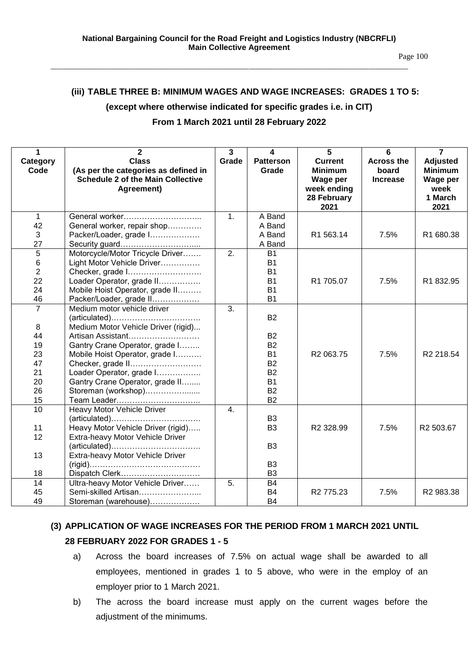#### **(iii) TABLE THREE B: MINIMUM WAGES AND WAGE INCREASES: GRADES 1 TO 5:**

#### **(except where otherwise indicated for specific grades i.e. in CIT)**

#### **From 1 March 2021 until 28 February 2022**

| 1              | $\overline{2}$                                                                     | $\overline{3}$   | $\overline{\mathbf{4}}$ | 5                       | 6                 | $\overline{7}$   |
|----------------|------------------------------------------------------------------------------------|------------------|-------------------------|-------------------------|-------------------|------------------|
| Category       | <b>Class</b>                                                                       | Grade            | <b>Patterson</b>        | <b>Current</b>          | <b>Across the</b> | <b>Adjusted</b>  |
| Code           | (As per the categories as defined in                                               |                  | Grade                   | <b>Minimum</b>          | board             | <b>Minimum</b>   |
|                | <b>Schedule 2 of the Main Collective</b><br>Agreement)                             |                  |                         | Wage per<br>week ending | <b>Increase</b>   | Wage per<br>week |
|                |                                                                                    |                  |                         | 28 February             |                   | 1 March          |
|                |                                                                                    |                  |                         | 2021                    |                   | 2021             |
| $\mathbf 1$    | General worker                                                                     | 1.               | $\overline{A}$ Band     |                         |                   |                  |
| 42             | General worker, repair shop                                                        |                  | A Band                  |                         |                   |                  |
| 3              | Packer/Loader, grade I                                                             |                  | A Band                  | R1 563.14               | 7.5%              | R1 680.38        |
| 27             |                                                                                    |                  | A Band                  |                         |                   |                  |
| $\overline{5}$ | Motorcycle/Motor Tricycle Driver                                                   | $\overline{2}$ . | <b>B1</b>               |                         |                   |                  |
| $\,6\,$        | Light Motor Vehicle Driver                                                         |                  | <b>B1</b>               |                         |                   |                  |
| $\overline{2}$ | Checker, grade I                                                                   |                  | <b>B1</b>               |                         |                   |                  |
| 22             | Loader Operator, grade II                                                          |                  | <b>B1</b>               | R1 705.07               | 7.5%              | R1832.95         |
| 24             | Mobile Hoist Operator, grade II                                                    |                  | <b>B1</b>               |                         |                   |                  |
| 46             | Packer/Loader, grade II                                                            |                  | <b>B1</b>               |                         |                   |                  |
| $\overline{7}$ | Medium motor vehicle driver                                                        | $\overline{3}$ . |                         |                         |                   |                  |
|                | (articulated)                                                                      |                  | <b>B2</b>               |                         |                   |                  |
| 8<br>44        | Medium Motor Vehicle Driver (rigid)<br>Artisan Assistant                           |                  | <b>B2</b>               |                         |                   |                  |
| 19             | Gantry Crane Operator, grade I                                                     |                  | <b>B2</b>               |                         |                   |                  |
| 23             | Mobile Hoist Operator, grade I                                                     |                  | <b>B1</b>               | R2 063.75               | 7.5%              | R2 218.54        |
| 47             | Checker, grade II                                                                  |                  | <b>B2</b>               |                         |                   |                  |
| 21             | Loader Operator, grade I                                                           |                  | <b>B2</b>               |                         |                   |                  |
| 20             | Gantry Crane Operator, grade II                                                    |                  | <b>B1</b>               |                         |                   |                  |
| 26             | Storeman (workshop)                                                                |                  | <b>B2</b>               |                         |                   |                  |
| 15             | Team Leader                                                                        |                  | <b>B2</b>               |                         |                   |                  |
| 10             | Heavy Motor Vehicle Driver                                                         | 4.               |                         |                         |                   |                  |
|                | $(\text{articulated}) \dots \dots \dots \dots \dots \dots \dots \dots \dots \dots$ |                  | B <sub>3</sub>          |                         |                   |                  |
| 11             | Heavy Motor Vehicle Driver (rigid)                                                 |                  | B <sub>3</sub>          | R2 328.99               | 7.5%              | R2 503.67        |
| 12             | Extra-heavy Motor Vehicle Driver                                                   |                  |                         |                         |                   |                  |
|                |                                                                                    |                  | B <sub>3</sub>          |                         |                   |                  |
| 13             | Extra-heavy Motor Vehicle Driver                                                   |                  |                         |                         |                   |                  |
|                |                                                                                    |                  | B <sub>3</sub>          |                         |                   |                  |
| 18             | Dispatch Clerk                                                                     |                  | B <sub>3</sub>          |                         |                   |                  |
| 14             | Ultra-heavy Motor Vehicle Driver                                                   | 5.               | <b>B4</b>               |                         |                   |                  |
| 45             | Semi-skilled Artisan                                                               |                  | <b>B4</b>               | R2 775.23               | 7.5%              | R2 983.38        |
| 49             | Storeman (warehouse)                                                               |                  | <b>B4</b>               |                         |                   |                  |

## **(3) APPLICATION OF WAGE INCREASES FOR THE PERIOD FROM 1 MARCH 2021 UNTIL 28 FEBRUARY 2022 FOR GRADES 1 - 5**

- a) Across the board increases of 7.5% on actual wage shall be awarded to all employees, mentioned in grades 1 to 5 above, who were in the employ of an employer prior to 1 March 2021.
- b) The across the board increase must apply on the current wages before the adjustment of the minimums.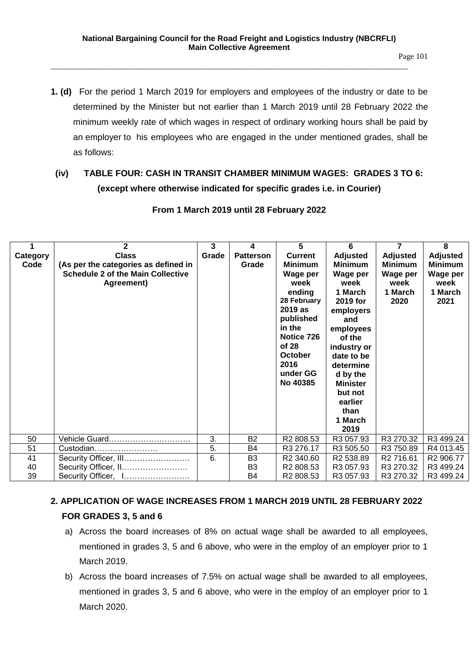**1. (d)** For the period 1 March 2019 for employers and employees of the industry or date to be determined by the Minister but not earlier than 1 March 2019 until 28 February 2022 the minimum weekly rate of which wages in respect of ordinary working hours shall be paid by an employer to his employees who are engaged in the under mentioned grades, shall be as follows:

## **(iv) TABLE FOUR: CASH IN TRANSIT CHAMBER MINIMUM WAGES: GRADES 3 TO 6: (except where otherwise indicated for specific grades i.e. in Courier)**

|                  | 2                                                                                                              | 3     | 4                         | 5                                                                                                                                                                                 | 6                                                                                                                                                                                                                                                 | 7                                                                        | 8                                                                        |
|------------------|----------------------------------------------------------------------------------------------------------------|-------|---------------------------|-----------------------------------------------------------------------------------------------------------------------------------------------------------------------------------|---------------------------------------------------------------------------------------------------------------------------------------------------------------------------------------------------------------------------------------------------|--------------------------------------------------------------------------|--------------------------------------------------------------------------|
| Category<br>Code | <b>Class</b><br>(As per the categories as defined in<br><b>Schedule 2 of the Main Collective</b><br>Agreement) | Grade | <b>Patterson</b><br>Grade | <b>Current</b><br><b>Minimum</b><br>Wage per<br>week<br>ending<br>28 February<br>2019 as<br>published<br>in the<br>Notice 726<br>of 28<br>October<br>2016<br>under GG<br>No 40385 | <b>Adjusted</b><br><b>Minimum</b><br>Wage per<br>week<br>1 March<br>2019 for<br>employers<br>and<br>employees<br>of the<br>industry or<br>date to be<br>determine<br>d by the<br><b>Minister</b><br>but not<br>earlier<br>than<br>1 March<br>2019 | <b>Adjusted</b><br><b>Minimum</b><br>Wage per<br>week<br>1 March<br>2020 | <b>Adjusted</b><br><b>Minimum</b><br>Wage per<br>week<br>1 March<br>2021 |
| 50               | Vehicle Guard                                                                                                  | 3.    | B2                        | R <sub>2</sub> 808.53                                                                                                                                                             | R3 057.93                                                                                                                                                                                                                                         | R3 270.32                                                                | R3 499.24                                                                |
| 51               | Custodian                                                                                                      | 5.    | B <sub>4</sub>            | R3 276.17                                                                                                                                                                         | R3 505.50                                                                                                                                                                                                                                         | R3 750.89                                                                | R4 013.45                                                                |
| 41               | Security Officer, III                                                                                          | 6.    | B <sub>3</sub>            | R <sub>2</sub> 340.60                                                                                                                                                             | R <sub>2</sub> 538.89                                                                                                                                                                                                                             | R <sub>2</sub> 716.61                                                    | R <sub>2</sub> 906.77                                                    |
| 40               | Security Officer, II                                                                                           |       | B <sub>3</sub>            | R <sub>2</sub> 808.53                                                                                                                                                             | R3 057.93                                                                                                                                                                                                                                         | R3 270.32                                                                | R3 499.24                                                                |
| 39               | Security Officer, 1                                                                                            |       | B4                        | R <sub>2</sub> 808.53                                                                                                                                                             | R3 057.93                                                                                                                                                                                                                                         | R3 270.32                                                                | R3 499.24                                                                |

## **From 1 March 2019 until 28 February 2022**

# **2. APPLICATION OF WAGE INCREASES FROM 1 MARCH 2019 UNTIL 28 FEBRUARY 2022 FOR GRADES 3, 5 and 6**

- a) Across the board increases of 8% on actual wage shall be awarded to all employees, mentioned in grades 3, 5 and 6 above, who were in the employ of an employer prior to 1 March 2019.
- b) Across the board increases of 7.5% on actual wage shall be awarded to all employees, mentioned in grades 3, 5 and 6 above, who were in the employ of an employer prior to 1 March 2020.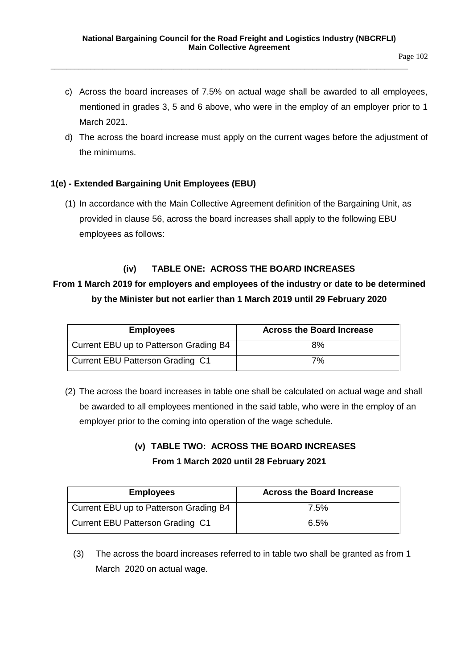- c) Across the board increases of 7.5% on actual wage shall be awarded to all employees, mentioned in grades 3, 5 and 6 above, who were in the employ of an employer prior to 1 March 2021.
- d) The across the board increase must apply on the current wages before the adjustment of the minimums.

## **1(e) - Extended Bargaining Unit Employees (EBU)**

(1) In accordance with the Main Collective Agreement definition of the Bargaining Unit, as provided in clause 56, across the board increases shall apply to the following EBU employees as follows:

## **(iv) TABLE ONE: ACROSS THE BOARD INCREASES**

## **From 1 March 2019 for employers and employees of the industry or date to be determined by the Minister but not earlier than 1 March 2019 until 29 February 2020**

| <b>Employees</b>                       | <b>Across the Board Increase</b> |
|----------------------------------------|----------------------------------|
| Current EBU up to Patterson Grading B4 | 8%                               |
| Current EBU Patterson Grading C1       | 7%                               |

(2) The across the board increases in table one shall be calculated on actual wage and shall be awarded to all employees mentioned in the said table, who were in the employ of an employer prior to the coming into operation of the wage schedule.

## **(v) TABLE TWO: ACROSS THE BOARD INCREASES From 1 March 2020 until 28 February 2021**

| <b>Employees</b>                       | <b>Across the Board Increase</b> |
|----------------------------------------|----------------------------------|
| Current EBU up to Patterson Grading B4 | 7.5%                             |
| Current EBU Patterson Grading C1       | 6.5%                             |

(3) The across the board increases referred to in table two shall be granted as from 1 March 2020 on actual wage.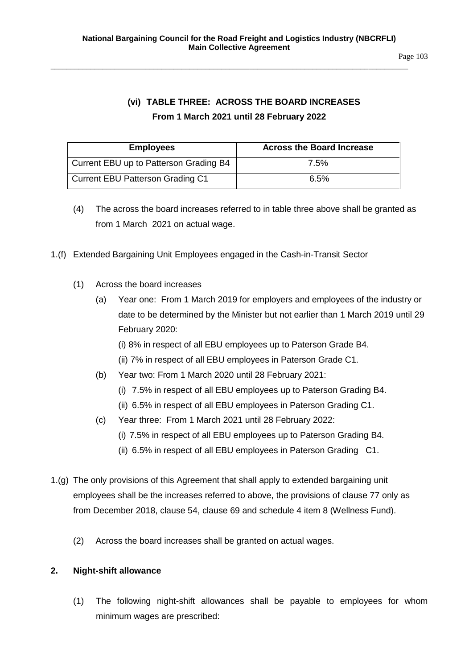# **(vi) TABLE THREE: ACROSS THE BOARD INCREASES From 1 March 2021 until 28 February 2022**

| <b>Employees</b>                        | <b>Across the Board Increase</b> |
|-----------------------------------------|----------------------------------|
| Current EBU up to Patterson Grading B4  | 7.5%                             |
| <b>Current EBU Patterson Grading C1</b> | 6.5%                             |

- (4) The across the board increases referred to in table three above shall be granted as from 1 March 2021 on actual wage.
- 1.(f) Extended Bargaining Unit Employees engaged in the Cash-in-Transit Sector
	- (1) Across the board increases
		- (a) Year one: From 1 March 2019 for employers and employees of the industry or date to be determined by the Minister but not earlier than 1 March 2019 until 29 February 2020:
			- (i) 8% in respect of all EBU employees up to Paterson Grade B4.
			- (ii) 7% in respect of all EBU employees in Paterson Grade C1.
		- (b) Year two: From 1 March 2020 until 28 February 2021:
			- (i) 7.5% in respect of all EBU employees up to Paterson Grading B4.
			- (ii) 6.5% in respect of all EBU employees in Paterson Grading C1.
		- (c) Year three: From 1 March 2021 until 28 February 2022:
			- (i) 7.5% in respect of all EBU employees up to Paterson Grading B4.
			- (ii) 6.5% in respect of all EBU employees in Paterson Grading C1.
- 1.(g) The only provisions of this Agreement that shall apply to extended bargaining unit employees shall be the increases referred to above, the provisions of clause 77 only as from December 2018, clause 54, clause 69 and schedule 4 item 8 (Wellness Fund).
	- (2) Across the board increases shall be granted on actual wages.

## **2. Night-shift allowance**

(1) The following night-shift allowances shall be payable to employees for whom minimum wages are prescribed: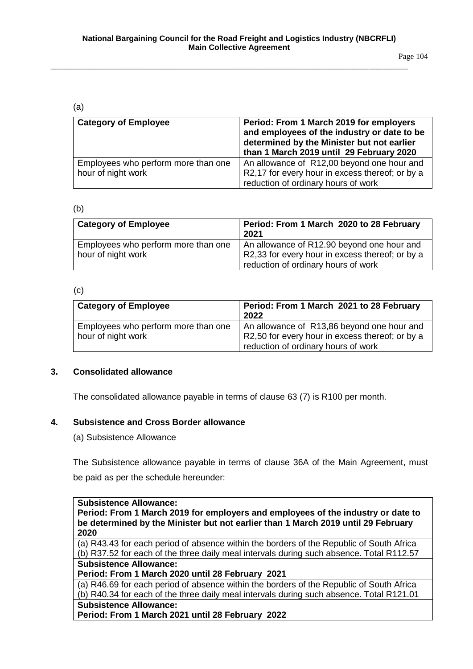Page 104

#### (a)

| <b>Category of Employee</b>         | Period: From 1 March 2019 for employers<br>and employees of the industry or date to be<br>determined by the Minister but not earlier |
|-------------------------------------|--------------------------------------------------------------------------------------------------------------------------------------|
|                                     |                                                                                                                                      |
|                                     | than 1 March 2019 until 29 February 2020                                                                                             |
| Employees who perform more than one | An allowance of R12,00 beyond one hour and                                                                                           |
| hour of night work                  | R2,17 for every hour in excess thereof; or by a                                                                                      |
|                                     | reduction of ordinary hours of work                                                                                                  |

#### (b)

| <b>Category of Employee</b>                               | Period: From 1 March 2020 to 28 February<br>2021                                              |
|-----------------------------------------------------------|-----------------------------------------------------------------------------------------------|
| Employees who perform more than one<br>hour of night work | An allowance of R12.90 beyond one hour and<br>R2,33 for every hour in excess thereof; or by a |
|                                                           | reduction of ordinary hours of work                                                           |

#### (c)

| <b>Category of Employee</b>         | Period: From 1 March 2021 to 28 February<br>2022 |
|-------------------------------------|--------------------------------------------------|
| Employees who perform more than one | An allowance of R13,86 beyond one hour and       |
| hour of night work                  | R2,50 for every hour in excess thereof; or by a  |
|                                     | reduction of ordinary hours of work              |

## **3. Consolidated allowance**

The consolidated allowance payable in terms of clause 63 (7) is R100 per month.

## **4. Subsistence and Cross Border allowance**

(a) Subsistence Allowance

The Subsistence allowance payable in terms of clause 36A of the Main Agreement, must be paid as per the schedule hereunder:

## **Subsistence Allowance: Period: From 1 March 2019 for employers and employees of the industry or date to be determined by the Minister but not earlier than 1 March 2019 until 29 February 2020**

(a) R43.43 for each period of absence within the borders of the Republic of South Africa (b) R37.52 for each of the three daily meal intervals during such absence. Total R112.57 **Subsistence Allowance:**

**Period: From 1 March 2020 until 28 February 2021**

(a) R46.69 for each period of absence within the borders of the Republic of South Africa (b) R40.34 for each of the three daily meal intervals during such absence. Total R121.01

## **Subsistence Allowance:**

**Period: From 1 March 2021 until 28 February 2022**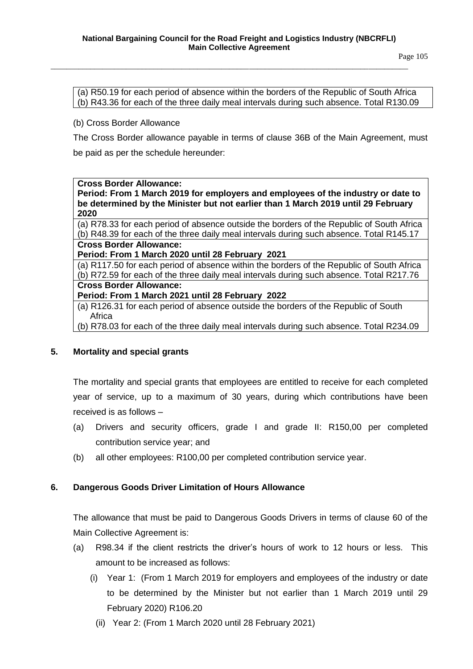(a) R50.19 for each period of absence within the borders of the Republic of South Africa (b) R43.36 for each of the three daily meal intervals during such absence. Total R130.09

(b) Cross Border Allowance

The Cross Border allowance payable in terms of clause 36B of the Main Agreement, must be paid as per the schedule hereunder:

#### **Cross Border Allowance:**

**Period: From 1 March 2019 for employers and employees of the industry or date to be determined by the Minister but not earlier than 1 March 2019 until 29 February 2020**

(a) R78.33 for each period of absence outside the borders of the Republic of South Africa (b) R48.39 for each of the three daily meal intervals during such absence. Total R145.17 **Cross Border Allowance:**

**Period: From 1 March 2020 until 28 February 2021**

(a) R117.50 for each period of absence within the borders of the Republic of South Africa (b) R72.59 for each of the three daily meal intervals during such absence. Total R217.76 **Cross Border Allowance: Period: From 1 March 2021 until 28 February 2022**

(a) R126.31 for each period of absence outside the borders of the Republic of South Africa

(b) R78.03 for each of the three daily meal intervals during such absence. Total R234.09

#### **5. Mortality and special grants**

The mortality and special grants that employees are entitled to receive for each completed year of service, up to a maximum of 30 years, during which contributions have been received is as follows –

- (a) Drivers and security officers, grade I and grade II: R150,00 per completed contribution service year; and
- (b) all other employees: R100,00 per completed contribution service year.

## **6. Dangerous Goods Driver Limitation of Hours Allowance**

The allowance that must be paid to Dangerous Goods Drivers in terms of clause 60 of the Main Collective Agreement is:

- (a) R98.34 if the client restricts the driver's hours of work to 12 hours or less. This amount to be increased as follows:
	- (i) Year 1: (From 1 March 2019 for employers and employees of the industry or date to be determined by the Minister but not earlier than 1 March 2019 until 29 February 2020) R106.20
		- (ii) Year 2: (From 1 March 2020 until 28 February 2021)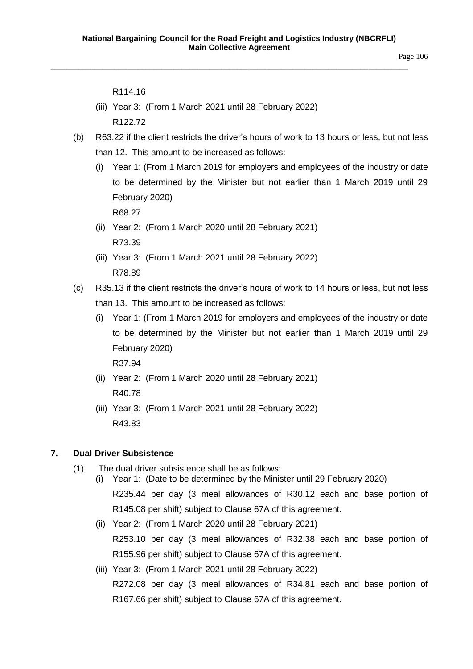Page 106

R114.16

- (iii) Year 3: (From 1 March 2021 until 28 February 2022) R122.72
- (b) R63.22 if the client restricts the driver's hours of work to 13 hours or less, but not less than 12. This amount to be increased as follows:
	- (i) Year 1: (From 1 March 2019 for employers and employees of the industry or date to be determined by the Minister but not earlier than 1 March 2019 until 29 February 2020)

R68.27

- (ii) Year 2: (From 1 March 2020 until 28 February 2021) R73.39
- (iii) Year 3: (From 1 March 2021 until 28 February 2022) R78.89
- (c) R35.13 if the client restricts the driver's hours of work to 14 hours or less, but not less than 13. This amount to be increased as follows:
	- (i) Year 1: (From 1 March 2019 for employers and employees of the industry or date to be determined by the Minister but not earlier than 1 March 2019 until 29 February 2020)

R37.94

- (ii) Year 2: (From 1 March 2020 until 28 February 2021) R40.78
- (iii) Year 3: (From 1 March 2021 until 28 February 2022) R43.83

## **7. Dual Driver Subsistence**

- (1) The dual driver subsistence shall be as follows:
	- (i) Year 1: (Date to be determined by the Minister until 29 February 2020) R235.44 per day (3 meal allowances of R30.12 each and base portion of R145.08 per shift) subject to Clause 67A of this agreement.
		- (ii) Year 2: (From 1 March 2020 until 28 February 2021) R253.10 per day (3 meal allowances of R32.38 each and base portion of R155.96 per shift) subject to Clause 67A of this agreement.
	- (iii) Year 3: (From 1 March 2021 until 28 February 2022) R272.08 per day (3 meal allowances of R34.81 each and base portion of R167.66 per shift) subject to Clause 67A of this agreement.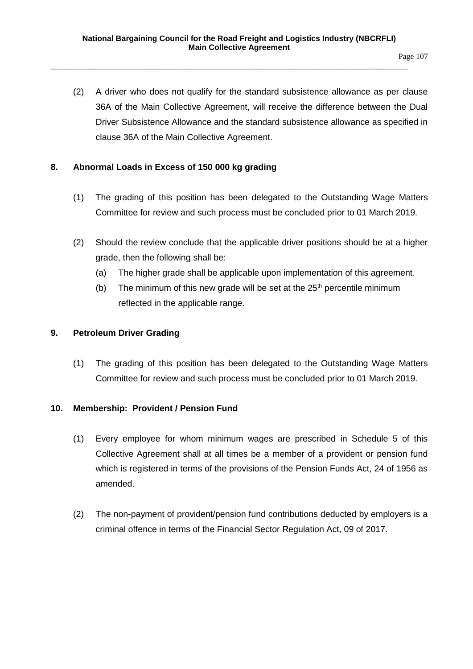(2) A driver who does not qualify for the standard subsistence allowance as per clause 36A of the Main Collective Agreement, will receive the difference between the Dual Driver Subsistence Allowance and the standard subsistence allowance as specified in clause 36A of the Main Collective Agreement.

## **8. Abnormal Loads in Excess of 150 000 kg grading**

- (1) The grading of this position has been delegated to the Outstanding Wage Matters Committee for review and such process must be concluded prior to 01 March 2019.
- (2) Should the review conclude that the applicable driver positions should be at a higher grade, then the following shall be:
	- (a) The higher grade shall be applicable upon implementation of this agreement.
	- (b) The minimum of this new grade will be set at the  $25<sup>th</sup>$  percentile minimum reflected in the applicable range.

## **9. Petroleum Driver Grading**

(1) The grading of this position has been delegated to the Outstanding Wage Matters Committee for review and such process must be concluded prior to 01 March 2019.

## **10. Membership: Provident / Pension Fund**

- (1) Every employee for whom minimum wages are prescribed in Schedule 5 of this Collective Agreement shall at all times be a member of a provident or pension fund which is registered in terms of the provisions of the Pension Funds Act, 24 of 1956 as amended.
- (2) The non-payment of provident/pension fund contributions deducted by employers is a criminal offence in terms of the Financial Sector Regulation Act, 09 of 2017.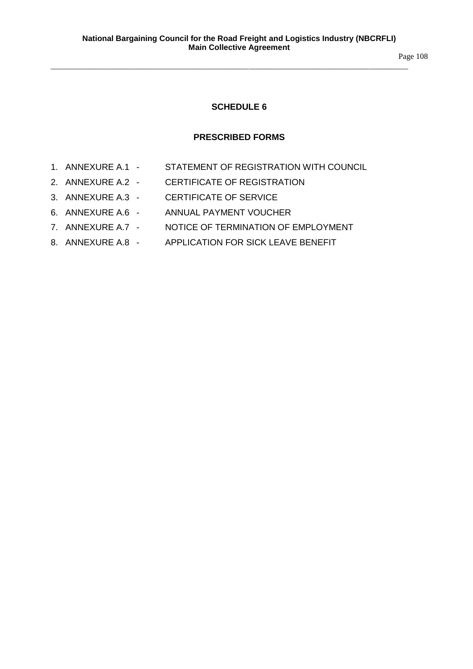Page 108

## **SCHEDULE 6**

#### **PRESCRIBED FORMS**

- 1. ANNEXURE A.1 STATEMENT OF REGISTRATION WITH COUNCIL
- 2. ANNEXURE A.2 CERTIFICATE OF REGISTRATION
- 3. ANNEXURE A.3 CERTIFICATE OF SERVICE
- 6. ANNEXURE A.6 ANNUAL PAYMENT VOUCHER
- 7. ANNEXURE A.7 NOTICE OF TERMINATION OF EMPLOYMENT
- 8. ANNEXURE A.8 APPLICATION FOR SICK LEAVE BENEFIT